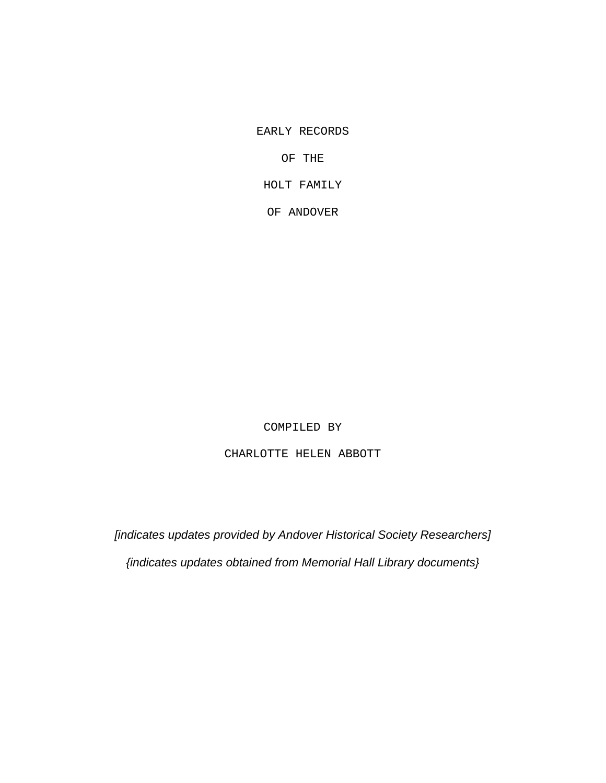EARLY RECORDS

OF THE

HOLT FAMILY

OF ANDOVER

COMPILED BY

CHARLOTTE HELEN ABBOTT

*[indicates updates provided by Andover Historical Society Researchers] {indicates updates obtained from Memorial Hall Library documents}*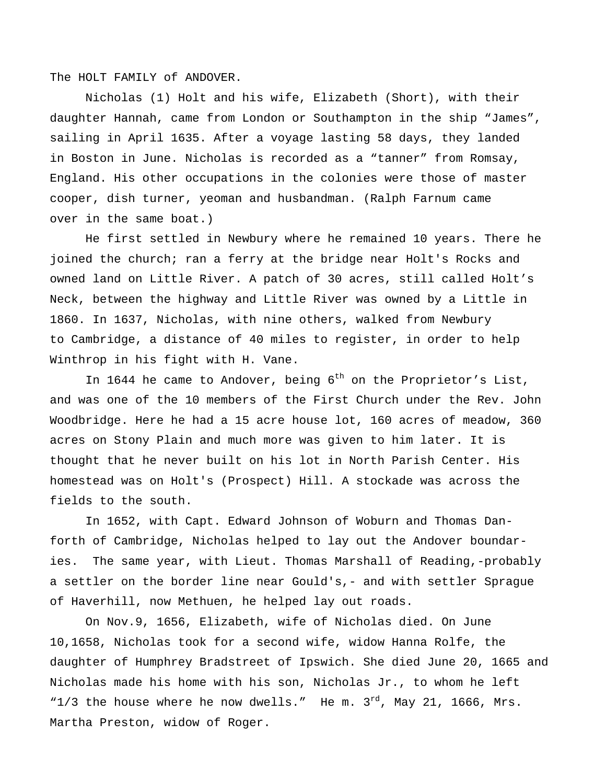The HOLT FAMILY of ANDOVER.

Nicholas (1) Holt and his wife, Elizabeth (Short), with their daughter Hannah, came from London or Southampton in the ship "James", sailing in April 1635. After a voyage lasting 58 days, they landed in Boston in June. Nicholas is recorded as a "tanner" from Romsay, England. His other occupations in the colonies were those of master cooper, dish turner, yeoman and husbandman. (Ralph Farnum came over in the same boat.)

He first settled in Newbury where he remained 10 years. There he joined the church; ran a ferry at the bridge near Holt's Rocks and owned land on Little River. A patch of 30 acres, still called Holt's Neck, between the highway and Little River was owned by a Little in 1860. In 1637, Nicholas, with nine others, walked from Newbury to Cambridge, a distance of 40 miles to register, in order to help Winthrop in his fight with H. Vane.

In 1644 he came to Andover, being  $6^{th}$  on the Proprietor's List, and was one of the 10 members of the First Church under the Rev. John Woodbridge. Here he had a 15 acre house lot, 160 acres of meadow, 360 acres on Stony Plain and much more was given to him later. It is thought that he never built on his lot in North Parish Center. His homestead was on Holt's (Prospect) Hill. A stockade was across the fields to the south.

In 1652, with Capt. Edward Johnson of Woburn and Thomas Danforth of Cambridge, Nicholas helped to lay out the Andover boundaries. The same year, with Lieut. Thomas Marshall of Reading,-probably a settler on the border line near Gould's,- and with settler Sprague of Haverhill, now Methuen, he helped lay out roads.

On Nov.9, 1656, Elizabeth, wife of Nicholas died. On June 10,1658, Nicholas took for a second wife, widow Hanna Rolfe, the daughter of Humphrey Bradstreet of Ipswich. She died June 20, 1665 and Nicholas made his home with his son, Nicholas Jr., to whom he left " $1/3$  the house where he now dwells." He m.  $3^{rd}$ , May 21, 1666, Mrs. Martha Preston, widow of Roger.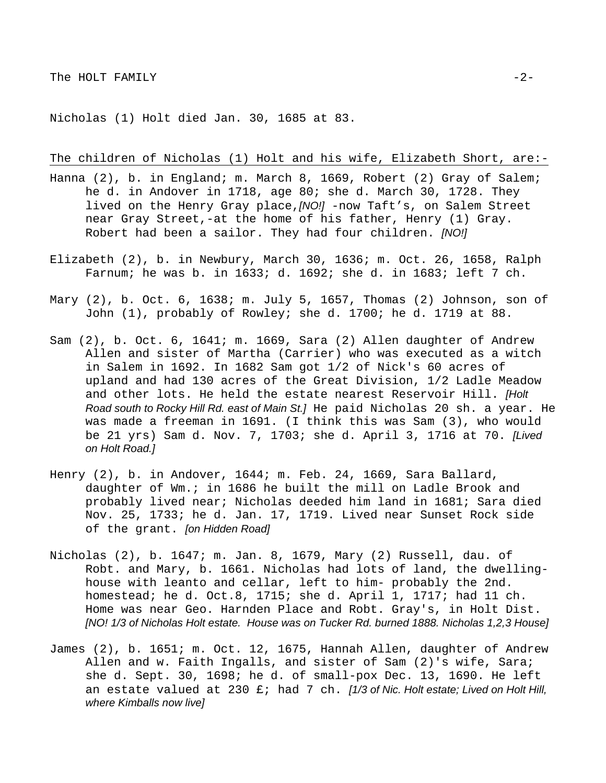Nicholas (1) Holt died Jan. 30, 1685 at 83.

The children of Nicholas (1) Holt and his wife, Elizabeth Short, are:-

- Hanna (2), b. in England; m. March 8, 1669, Robert (2) Gray of Salem; he d. in Andover in 1718, age 80; she d. March 30, 1728. They lived on the Henry Gray place,*[NO!]* -now Taft's, on Salem Street near Gray Street,-at the home of his father, Henry (1) Gray. Robert had been a sailor. They had four children. *[NO!]*
- Elizabeth (2), b. in Newbury, March 30, 1636; m. Oct. 26, 1658, Ralph Farnum; he was b. in 1633; d. 1692; she d. in 1683; left 7 ch.
- Mary (2), b. Oct. 6, 1638; m. July 5, 1657, Thomas (2) Johnson, son of John (1), probably of Rowley; she d. 1700; he d. 1719 at 88.
- Sam (2), b. Oct. 6, 1641; m. 1669, Sara (2) Allen daughter of Andrew Allen and sister of Martha (Carrier) who was executed as a witch in Salem in 1692. In 1682 Sam got 1/2 of Nick's 60 acres of upland and had 130 acres of the Great Division, 1/2 Ladle Meadow and other lots. He held the estate nearest Reservoir Hill. *[Holt Road south to Rocky Hill Rd. east of Main St.]* He paid Nicholas 20 sh. a year. He was made a freeman in 1691. (I think this was Sam (3), who would be 21 yrs) Sam d. Nov. 7, 1703; she d. April 3, 1716 at 70. *[Lived on Holt Road.]*
- Henry (2), b. in Andover, 1644; m. Feb. 24, 1669, Sara Ballard, daughter of Wm.; in 1686 he built the mill on Ladle Brook and probably lived near; Nicholas deeded him land in 1681; Sara died Nov. 25, 1733; he d. Jan. 17, 1719. Lived near Sunset Rock side of the grant. *[on Hidden Road]*
- Nicholas (2), b. 1647; m. Jan. 8, 1679, Mary (2) Russell, dau. of Robt. and Mary, b. 1661. Nicholas had lots of land, the dwellinghouse with leanto and cellar, left to him- probably the 2nd. homestead; he d. Oct.8, 1715; she d. April 1, 1717; had 11 ch. Home was near Geo. Harnden Place and Robt. Gray's, in Holt Dist. *[NO! 1/3 of Nicholas Holt estate. House was on Tucker Rd. burned 1888. Nicholas 1,2,3 House]*
- James (2), b. 1651; m. Oct. 12, 1675, Hannah Allen, daughter of Andrew Allen and w. Faith Ingalls, and sister of Sam (2)'s wife, Sara; she d. Sept. 30, 1698; he d. of small-pox Dec. 13, 1690. He left an estate valued at 230 £; had 7 ch. *[1/3 of Nic. Holt estate; Lived on Holt Hill, where Kimballs now live]*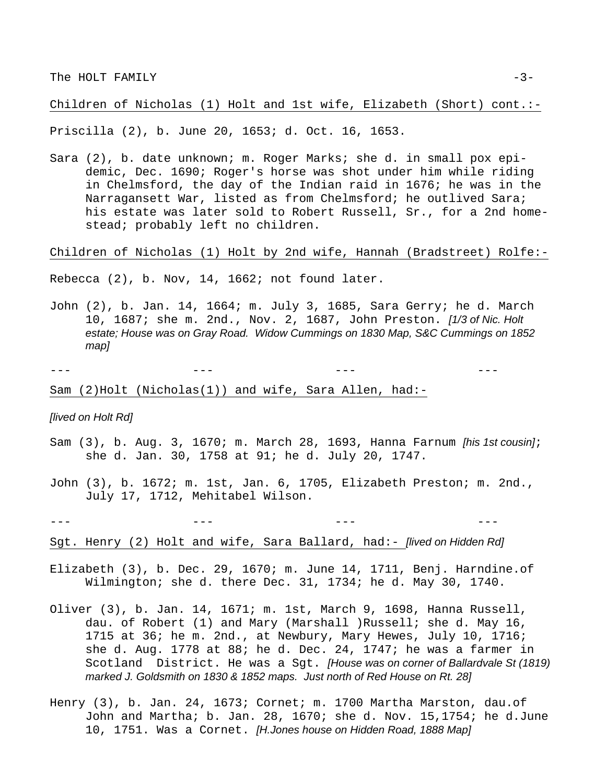Children of Nicholas (1) Holt and 1st wife, Elizabeth (Short) cont.:-

Priscilla (2), b. June 20, 1653; d. Oct. 16, 1653.

Sara (2), b. date unknown; m. Roger Marks; she d. in small pox epidemic, Dec. 1690; Roger's horse was shot under him while riding in Chelmsford, the day of the Indian raid in 1676; he was in the Narragansett War, listed as from Chelmsford; he outlived Sara; his estate was later sold to Robert Russell, Sr., for a 2nd homestead; probably left no children.

Children of Nicholas (1) Holt by 2nd wife, Hannah (Bradstreet) Rolfe:-

Rebecca (2), b. Nov, 14, 1662; not found later.

John (2), b. Jan. 14, 1664; m. July 3, 1685, Sara Gerry; he d. March 10, 1687; she m. 2nd., Nov. 2, 1687, John Preston. *[1/3 of Nic. Holt estate; House was on Gray Road. Widow Cummings on 1830 Map, S&C Cummings on 1852 map]* 

--- --- --- ---

Sam (2)Holt (Nicholas(1)) and wife, Sara Allen, had:-

#### *[lived on Holt Rd]*

- Sam (3), b. Aug. 3, 1670; m. March 28, 1693, Hanna Farnum *[his 1st cousin]*; she d. Jan. 30, 1758 at 91; he d. July 20, 1747.
- John (3), b. 1672; m. 1st, Jan. 6, 1705, Elizabeth Preston; m. 2nd., July 17, 1712, Mehitabel Wilson.

- Sgt. Henry (2) Holt and wife, Sara Ballard, had:- *[lived on Hidden Rd]*
- Elizabeth (3), b. Dec. 29, 1670; m. June 14, 1711, Benj. Harndine.of Wilmington; she d. there Dec. 31, 1734; he d. May 30, 1740.
- Oliver (3), b. Jan. 14, 1671; m. 1st, March 9, 1698, Hanna Russell, dau. of Robert (1) and Mary (Marshall )Russell; she d. May 16, 1715 at 36; he m. 2nd., at Newbury, Mary Hewes, July 10, 1716; she d. Aug. 1778 at 88; he d. Dec. 24, 1747; he was a farmer in Scotland District. He was a Sgt. *[House was on corner of Ballardvale St (1819) marked J. Goldsmith on 1830 & 1852 maps. Just north of Red House on Rt. 28]*
- Henry (3), b. Jan. 24, 1673; Cornet; m. 1700 Martha Marston, dau.of John and Martha; b. Jan. 28, 1670; she d. Nov. 15,1754; he d.June 10, 1751. Was a Cornet. *[H.Jones house on Hidden Road, 1888 Map]*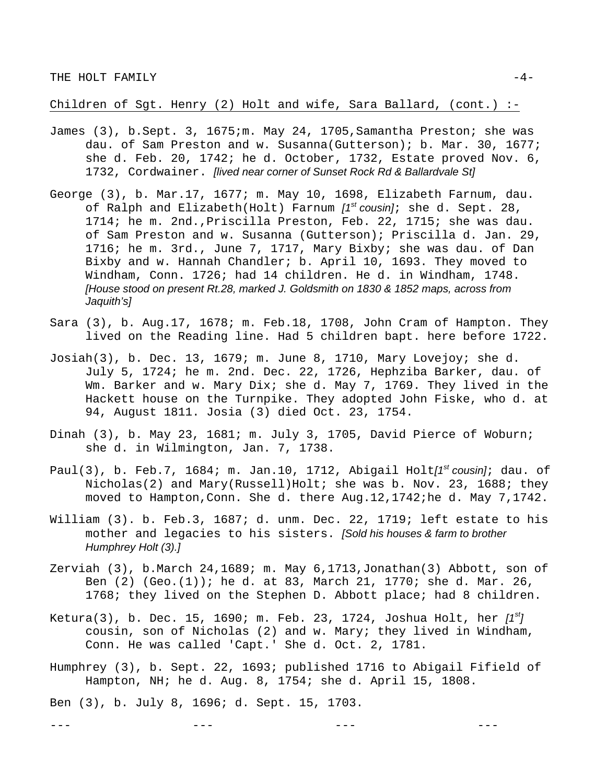Children of Sgt. Henry (2) Holt and wife, Sara Ballard, (cont.)  $:-$ 

- James (3), b.Sept. 3, 1675;m. May 24, 1705,Samantha Preston; she was dau. of Sam Preston and w. Susanna(Gutterson); b. Mar. 30, 1677; she d. Feb. 20, 1742; he d. October, 1732, Estate proved Nov. 6, 1732, Cordwainer. *[lived near corner of Sunset Rock Rd & Ballardvale St]*
- George (3), b. Mar.17, 1677; m. May 10, 1698, Elizabeth Farnum, dau. of Ralph and Elizabeth(Holt) Farnum *[1st cousin]*; she d. Sept. 28, 1714; he m. 2nd.,Priscilla Preston, Feb. 22, 1715; she was dau. of Sam Preston and w. Susanna (Gutterson); Priscilla d. Jan. 29, 1716; he m. 3rd., June 7, 1717, Mary Bixby; she was dau. of Dan Bixby and w. Hannah Chandler; b. April 10, 1693. They moved to Windham, Conn. 1726; had 14 children. He d. in Windham, 1748. *[House stood on present Rt.28, marked J. Goldsmith on 1830 & 1852 maps, across from Jaquith's]*
- Sara (3), b. Aug.17, 1678; m. Feb.18, 1708, John Cram of Hampton. They lived on the Reading line. Had 5 children bapt. here before 1722.
- Josiah(3), b. Dec. 13, 1679; m. June 8, 1710, Mary Lovejoy; she d. July 5, 1724; he m. 2nd. Dec. 22, 1726, Hephziba Barker, dau. of Wm. Barker and w. Mary Dix; she d. May 7, 1769. They lived in the Hackett house on the Turnpike. They adopted John Fiske, who d. at 94, August 1811. Josia (3) died Oct. 23, 1754.
- Dinah (3), b. May 23, 1681; m. July 3, 1705, David Pierce of Woburn; she d. in Wilmington, Jan. 7, 1738.
- Paul(3), b. Feb.7, 1684; m. Jan.10, 1712, Abigail Holt*[1st cousin]*; dau. of Nicholas(2) and Mary(Russell)Holt; she was b. Nov. 23, 1688; they moved to Hampton,Conn. She d. there Aug.12,1742;he d. May 7,1742.
- William (3). b. Feb.3, 1687; d. unm. Dec. 22, 1719; left estate to his mother and legacies to his sisters. *[Sold his houses & farm to brother Humphrey Holt (3).]*
- Zerviah (3), b.March 24,1689; m. May 6,1713,Jonathan(3) Abbott, son of Ben (2) (Geo.(1)); he d. at 83, March 21, 1770; she d. Mar. 26, 1768; they lived on the Stephen D. Abbott place; had 8 children.
- Ketura(3), b. Dec. 15, 1690; m. Feb. 23, 1724, Joshua Holt, her *[1st]* cousin, son of Nicholas (2) and w. Mary; they lived in Windham, Conn. He was called 'Capt.' She d. Oct. 2, 1781.
- Humphrey (3), b. Sept. 22, 1693; published 1716 to Abigail Fifield of Hampton, NH; he d. Aug. 8, 1754; she d. April 15, 1808.

--- --- --- ---

Ben (3), b. July 8, 1696; d. Sept. 15, 1703.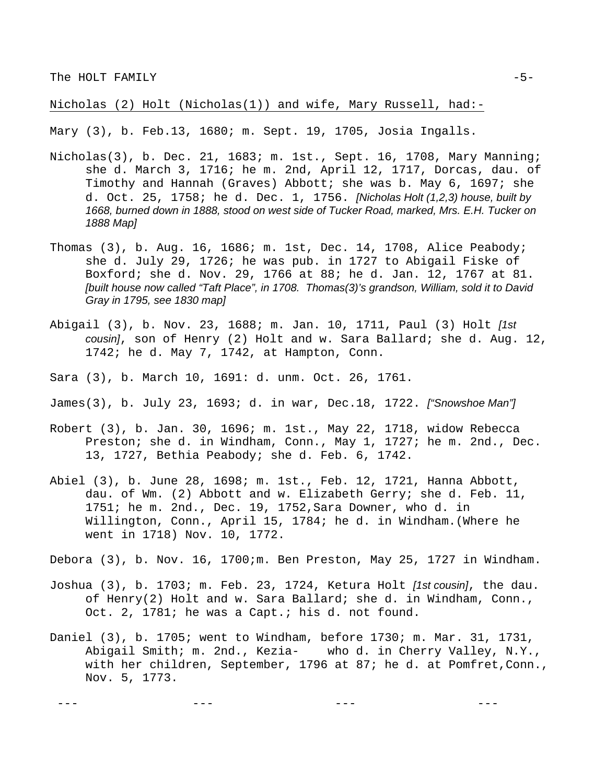Nicholas (2) Holt (Nicholas(1)) and wife, Mary Russell, had:-

Mary (3), b. Feb.13, 1680; m. Sept. 19, 1705, Josia Ingalls.

- Nicholas(3), b. Dec. 21, 1683; m. 1st., Sept. 16, 1708, Mary Manning; she d. March 3, 1716; he m. 2nd, April 12, 1717, Dorcas, dau. of Timothy and Hannah (Graves) Abbott; she was b. May 6, 1697; she d. Oct. 25, 1758; he d. Dec. 1, 1756. *[Nicholas Holt (1,2,3) house, built by 1668, burned down in 1888, stood on west side of Tucker Road, marked, Mrs. E.H. Tucker on 1888 Map]*
- Thomas  $(3)$ , b. Aug. 16, 1686; m. 1st, Dec. 14, 1708, Alice Peabody; she d. July 29, 1726; he was pub. in 1727 to Abigail Fiske of Boxford; she d. Nov. 29, 1766 at 88; he d. Jan. 12, 1767 at 81. *[built house now called "Taft Place", in 1708. Thomas(3)'s grandson, William, sold it to David Gray in 1795, see 1830 map]*
- Abigail (3), b. Nov. 23, 1688; m. Jan. 10, 1711, Paul (3) Holt *[1st cousin]*, son of Henry (2) Holt and w. Sara Ballard; she d. Aug. 12, 1742; he d. May 7, 1742, at Hampton, Conn.
- Sara (3), b. March 10, 1691: d. unm. Oct. 26, 1761.
- James(3), b. July 23, 1693; d. in war, Dec.18, 1722. *["Snowshoe Man"]*
- Robert (3), b. Jan. 30, 1696; m. 1st., May 22, 1718, widow Rebecca Preston; she d. in Windham, Conn., May 1, 1727; he m. 2nd., Dec. 13, 1727, Bethia Peabody; she d. Feb. 6, 1742.
- Abiel (3), b. June 28, 1698; m. 1st., Feb. 12, 1721, Hanna Abbott, dau. of Wm. (2) Abbott and w. Elizabeth Gerry; she d. Feb. 11, 1751; he m. 2nd., Dec. 19, 1752,Sara Downer, who d. in Willington, Conn., April 15, 1784; he d. in Windham.(Where he went in 1718) Nov. 10, 1772.

Debora (3), b. Nov. 16, 1700;m. Ben Preston, May 25, 1727 in Windham.

- Joshua (3), b. 1703; m. Feb. 23, 1724, Ketura Holt *[1st cousin]*, the dau. of Henry(2) Holt and w. Sara Ballard; she d. in Windham, Conn., Oct. 2, 1781; he was a Capt.; his d. not found.
- Daniel (3), b. 1705; went to Windham, before 1730; m. Mar. 31, 1731, Abigail Smith; m. 2nd., Kezia- who d. in Cherry Valley, N.Y., with her children, September, 1796 at 87; he d. at Pomfret,Conn., Nov. 5, 1773.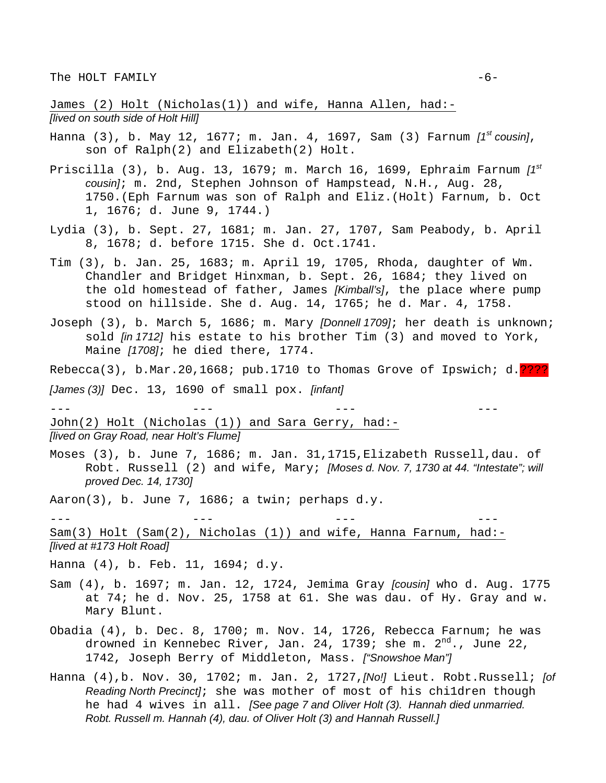James (2) Holt (Nicholas(1)) and wife, Hanna Allen, had:- *[lived on south side of Holt Hill]*

- Hanna (3), b. May 12, 1677; m. Jan. 4, 1697, Sam (3) Farnum *[1st cousin]*, son of Ralph(2) and Elizabeth(2) Holt.
- Priscilla (3), b. Aug. 13, 1679; m. March 16, 1699, Ephraim Farnum *[1st cousin]*; m. 2nd, Stephen Johnson of Hampstead, N.H., Aug. 28, 1750.(Eph Farnum was son of Ralph and Eliz.(Holt) Farnum, b. Oct 1, 1676; d. June 9, 1744.)
- Lydia (3), b. Sept. 27, 1681; m. Jan. 27, 1707, Sam Peabody, b. April 8, 1678; d. before 1715. She d. Oct.1741.
- Tim (3), b. Jan. 25, 1683; m. April 19, 1705, Rhoda, daughter of Wm. Chandler and Bridget Hinxman, b. Sept. 26, 1684; they lived on the old homestead of father, James *[Kimball's]*, the place where pump stood on hillside. She d. Aug. 14, 1765; he d. Mar. 4, 1758.
- Joseph (3), b. March 5, 1686; m. Mary *[Donnell 1709]*; her death is unknown; sold *[in 1712]* his estate to his brother Tim (3) and moved to York, Maine *[1708]*; he died there, 1774.
- Rebecca(3), b.Mar.20,1668; pub.1710 to Thomas Grove of Ipswich; d.????

*[James (3)]* Dec. 13, 1690 of small pox. *[infant]*

--- --- --- --- John(2) Holt (Nicholas (1)) and Sara Gerry, had:-*[lived on Gray Road, near Holt's Flume]*

Moses (3), b. June 7, 1686; m. Jan. 31,1715,Elizabeth Russell,dau. of Robt. Russell (2) and wife, Mary; *[Moses d. Nov. 7, 1730 at 44. "Intestate"; will proved Dec. 14, 1730]* 

Aaron(3), b. June 7, 1686; a twin; perhaps d.y.

--- --- --- --- Sam(3) Holt (Sam(2), Nicholas (1)) and wife, Hanna Farnum, had:- *[lived at #173 Holt Road]*

- Hanna (4), b. Feb. 11, 1694; d.y.
- Sam (4), b. 1697; m. Jan. 12, 1724, Jemima Gray *[cousin]* who d. Aug. 1775 at 74; he d. Nov. 25, 1758 at 61. She was dau. of Hy. Gray and w. Mary Blunt.
- Obadia (4), b. Dec. 8, 1700; m. Nov. 14, 1726, Rebecca Farnum; he was drowned in Kennebec River, Jan. 24, 1739; she m.  $2^{nd}$ ., June 22, 1742, Joseph Berry of Middleton, Mass. *["Snowshoe Man"]*
- Hanna (4),b. Nov. 30, 1702; m. Jan. 2, 1727,*[No!]* Lieut. Robt.Russell; *[of Reading North Precinct]*; she was mother of most of his chi1dren though he had 4 wives in all. *[See page 7 and Oliver Holt (3). Hannah died unmarried. Robt. Russell m. Hannah (4), dau. of Oliver Holt (3) and Hannah Russell.]*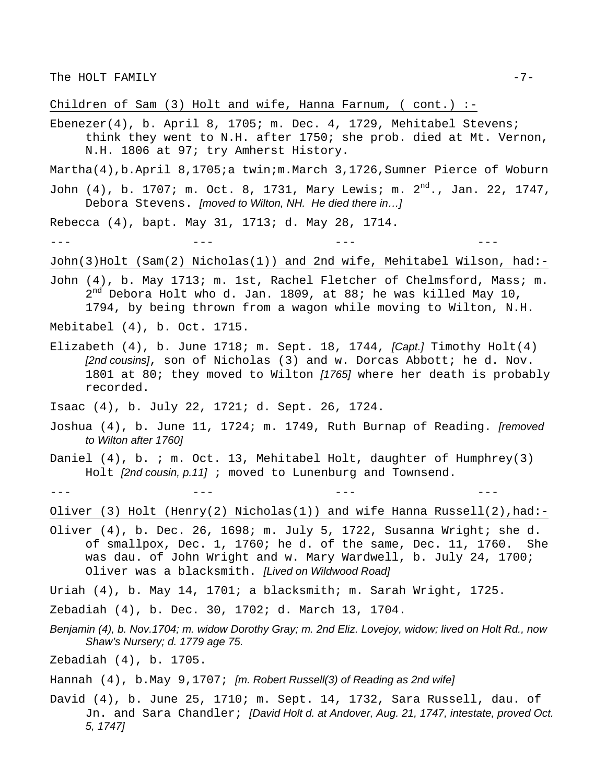Children of Sam  $(3)$  Holt and wife, Hanna Farnum,  $($  cont. $)$ :-

Ebenezer(4), b. April 8, 1705; m. Dec. 4, 1729, Mehitabel Stevens; think they went to N.H. after 1750; she prob. died at Mt. Vernon, N.H. 1806 at 97; try Amherst History.

Martha(4),b.April 8,1705;a twin;m.March 3,1726,Sumner Pierce of Woburn

John (4), b. 1707; m. Oct. 8, 1731, Mary Lewis; m.  $2^{nd}$ ., Jan. 22, 1747, Debora Stevens. *[moved to Wilton, NH. He died there in…]*

Rebecca (4), bapt. May 31, 1713; d. May 28, 1714.

--- --- --- ---

John(3)Holt (Sam(2) Nicholas(1)) and 2nd wife, Mehitabel Wilson, had:-

John (4), b. May 1713; m. 1st, Rachel Fletcher of Chelmsford, Mass; m.  $2^{nd}$  Debora Holt who d. Jan. 1809, at 88; he was killed May 10, 1794, by being thrown from a wagon while moving to Wilton, N.H.

Mebitabel (4), b. Oct. 1715.

Elizabeth (4), b. June 1718; m. Sept. 18, 1744, *[Capt.]* Timothy Holt(4) *[2nd cousins]*, son of Nicholas (3) and w. Dorcas Abbott; he d. Nov. 1801 at 80; they moved to Wilton *[1765]* where her death is probably recorded.

Isaac (4), b. July 22, 1721; d. Sept. 26, 1724.

- Joshua (4), b. June 11, 1724; m. 1749, Ruth Burnap of Reading. *[removed to Wilton after 1760]*
- Daniel (4), b. ; m. Oct. 13, Mehitabel Holt, daughter of Humphrey(3) Holt *[2nd cousin, p.11]* ; moved to Lunenburg and Townsend.

--- --- --- ---

Oliver (3) Holt (Henry(2) Nicholas(1)) and wife Hanna Russell(2),had:-

Oliver (4), b. Dec. 26, 1698; m. July 5, 1722, Susanna Wright; she d. of smallpox, Dec. 1, 1760; he d. of the same, Dec. 11, 1760. She was dau. of John Wright and w. Mary Wardwell, b. July 24, 1700; Oliver was a blacksmith. *[Lived on Wildwood Road]*

Uriah (4), b. May 14, 1701; a blacksmith; m. Sarah Wright, 1725.

Zebadiah (4), b. Dec. 30, 1702; d. March 13, 1704.

*Benjamin (4), b. Nov.1704; m. widow Dorothy Gray; m. 2nd Eliz. Lovejoy, widow; lived on Holt Rd., now Shaw's Nursery; d. 1779 age 75.*

Zebadiah (4), b. 1705.

Hannah (4), b.May 9,1707; *[m. Robert Russell(3) of Reading as 2nd wife]*

David (4), b. June 25, 1710; m. Sept. 14, 1732, Sara Russell, dau. of Jn. and Sara Chandler; *[David Holt d. at Andover, Aug. 21, 1747, intestate, proved Oct. 5, 1747]*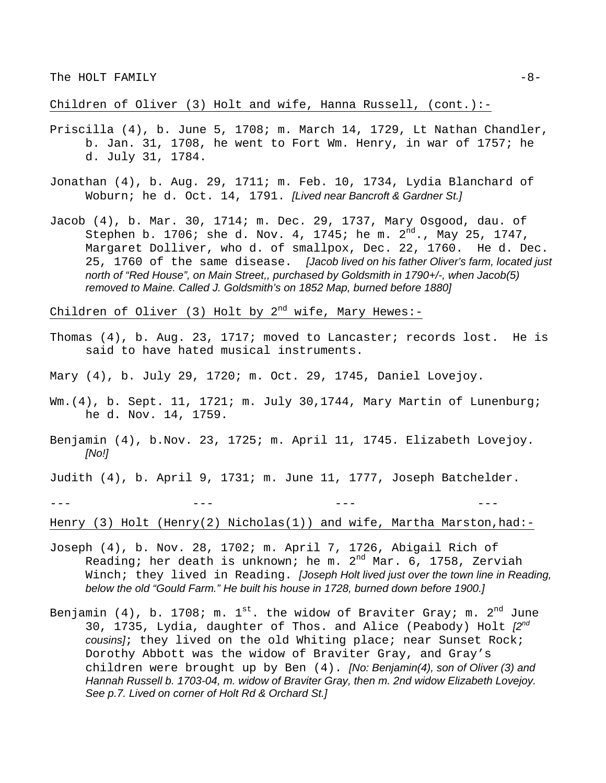Children of Oliver (3) Holt and wife, Hanna Russell, (cont.):-

- Priscilla (4), b. June 5, 1708; m. March 14, 1729, Lt Nathan Chandler, b. Jan. 31, 1708, he went to Fort Wm. Henry, in war of 1757; he d. July 31, 1784.
- Jonathan (4), b. Aug. 29, 1711; m. Feb. 10, 1734, Lydia Blanchard of Woburn; he d. Oct. 14, 1791. *[Lived near Bancroft & Gardner St.]*
- Jacob (4), b. Mar. 30, 1714; m. Dec. 29, 1737, Mary Osgood, dau. of Stephen b. 1706; she d. Nov. 4, 1745; he m.  $2^{nd}$ ., May 25, 1747, Margaret Dolliver, who d. of smallpox, Dec. 22, 1760. He d. Dec. 25, 1760 of the same disease. *[Jacob lived on his father Oliver's farm, located just north of "Red House", on Main Street,, purchased by Goldsmith in 1790+/-, when Jacob(5) removed to Maine. Called J. Goldsmith's on 1852 Map, burned before 1880]*

Children of Oliver (3) Holt by  $2^{nd}$  wife, Mary Hewes:-

Thomas (4), b. Aug. 23, 1717; moved to Lancaster; records lost. He is said to have hated musical instruments.

Mary (4), b. July 29, 1720; m. Oct. 29, 1745, Daniel Lovejoy.

- Wm.(4), b. Sept. 11, 1721; m. July 30,1744, Mary Martin of Lunenburg; he d. Nov. 14, 1759.
- Benjamin (4), b.Nov. 23, 1725; m. April 11, 1745. Elizabeth Lovejoy. *[No!]*

Judith (4), b. April 9, 1731; m. June 11, 1777, Joseph Batchelder.

--- --- --- ---

Henry (3) Holt (Henry(2) Nicholas(1)) and wife, Martha Marston, had:-

- Joseph (4), b. Nov. 28, 1702; m. April 7, 1726, Abigail Rich of Reading; her death is unknown; he m.  $2^{nd}$  Mar. 6, 1758, Zerviah Winch; they lived in Reading. *[Joseph Holt lived just over the town line in Reading, below the old "Gould Farm." He built his house in 1728, burned down before 1900.]*
- Benjamin (4), b. 1708; m.  $1^{st}$ . the widow of Braviter Gray; m.  $2^{nd}$  June 30, 1735, Lydia, daughter of Thos. and Alice (Peabody) Holt *[2nd cousins]*; they lived on the old Whiting place; near Sunset Rock; Dorothy Abbott was the widow of Braviter Gray, and Gray's children were brought up by Ben (4). *[No: Benjamin(4), son of Oliver (3) and Hannah Russell b. 1703-04, m. widow of Braviter Gray, then m. 2nd widow Elizabeth Lovejoy. See p.7. Lived on corner of Holt Rd & Orchard St.]*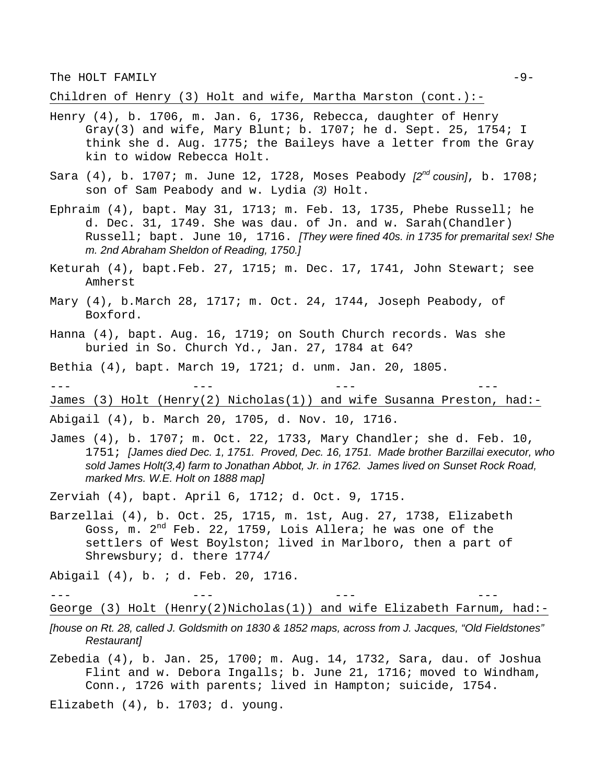The HOLT FAMILY  $-9-$ 

Children of Henry (3) Holt and wife, Martha Marston (cont.):-

- Henry (4), b. 1706, m. Jan. 6, 1736, Rebecca, daughter of Henry Gray(3) and wife, Mary Blunt; b. 1707; he d. Sept. 25, 1754; I think she d. Aug. 1775; the Baileys have a letter from the Gray kin to widow Rebecca Holt.
- Sara (4), b. 1707; m. June 12, 1728, Moses Peabody *[2nd cousin]*, b. 1708; son of Sam Peabody and w. Lydia *(3)* Holt.
- Ephraim (4), bapt. May 31, 1713; m. Feb. 13, 1735, Phebe Russell; he d. Dec. 31, 1749. She was dau. of Jn. and w. Sarah(Chandler) Russell; bapt. June 10, 1716. *[They were fined 40s. in 1735 for premarital sex! She m. 2nd Abraham Sheldon of Reading, 1750.]*
- Keturah (4), bapt.Feb. 27, 1715; m. Dec. 17, 1741, John Stewart; see Amherst
- Mary (4), b.March 28, 1717; m. Oct. 24, 1744, Joseph Peabody, of Boxford.
- Hanna (4), bapt. Aug. 16, 1719; on South Church records. Was she buried in So. Church Yd., Jan. 27, 1784 at 64?
- Bethia (4), bapt. March 19, 1721; d. unm. Jan. 20, 1805.

--- --- --- --- James (3) Holt (Henry(2) Nicholas(1)) and wife Susanna Preston, had:-

Abigail (4), b. March 20, 1705, d. Nov. 10, 1716.

James  $(4)$ , b. 1707; m. Oct. 22, 1733, Mary Chandler; she d. Feb. 10, 1751; *[James died Dec. 1, 1751. Proved, Dec. 16, 1751. Made brother Barzillai executor, who sold James Holt(3,4) farm to Jonathan Abbot, Jr. in 1762. James lived on Sunset Rock Road, marked Mrs. W.E. Holt on 1888 map]*

Zerviah (4), bapt. April 6, 1712; d. Oct. 9, 1715.

Barzellai (4), b. Oct. 25, 1715, m. 1st, Aug. 27, 1738, Elizabeth Goss, m. 2<sup>nd</sup> Feb. 22, 1759, Lois Allera; he was one of the settlers of West Boylston; lived in Marlboro, then a part of Shrewsbury; d. there 1774/

--- --- --- ---

Abigail (4), b. ; d. Feb. 20, 1716.

George (3) Holt (Henry(2)Nicholas(1)) and wife Elizabeth Farnum, had:-

*[house on Rt. 28, called J. Goldsmith on 1830 & 1852 maps, across from J. Jacques, "Old Fieldstones" Restaurant]* 

Zebedia (4), b. Jan. 25, 1700; m. Aug. 14, 1732, Sara, dau. of Joshua Flint and w. Debora Ingalls; b. June 21, 1716; moved to Windham, Conn., 1726 with parents; lived in Hampton; suicide, 1754.

Elizabeth (4), b. 1703; d. young.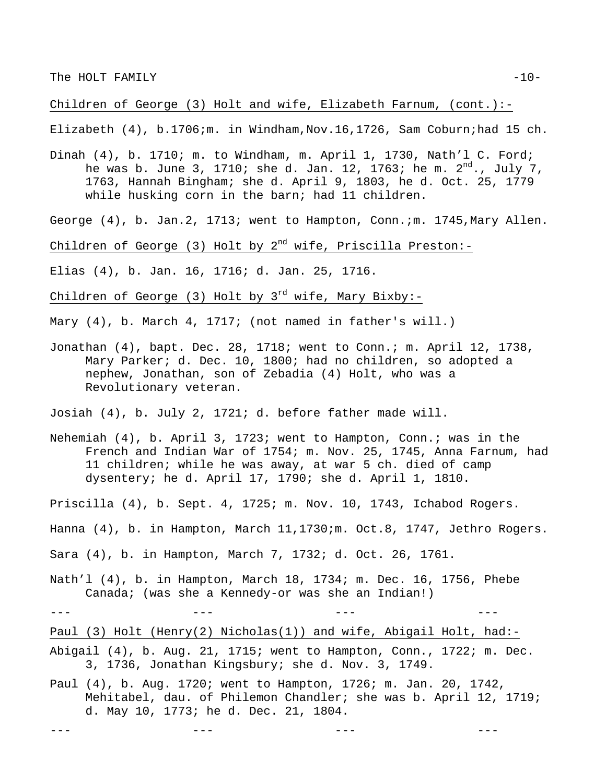## Children of George (3) Holt and wife, Elizabeth Farnum, (cont.):-

Elizabeth (4), b.1706;m. in Windham,Nov.16,1726, Sam Coburn;had 15 ch.

Dinah (4), b. 1710; m. to Windham, m. April 1, 1730, Nath'l C. Ford; he was b. June 3, 1710; she d. Jan. 12, 1763; he m.  $2^{nd}$ ., July 7, 1763, Hannah Bingham; she d. April 9, 1803, he d. Oct. 25, 1779 while husking corn in the barn; had 11 children.

George (4), b. Jan.2, 1713; went to Hampton, Conn.;m. 1745, Mary Allen.

Children of George (3) Holt by  $2^{nd}$  wife, Priscilla Preston:-

Elias (4), b. Jan. 16, 1716; d. Jan. 25, 1716.

Children of George (3) Holt by  $3^{rd}$  wife, Mary Bixby:-

Mary (4), b. March 4, 1717; (not named in father's will.)

Jonathan (4), bapt. Dec. 28, 1718; went to Conn.; m. April 12, 1738, Mary Parker; d. Dec. 10, 1800; had no children, so adopted a nephew, Jonathan, son of Zebadia (4) Holt, who was a Revolutionary veteran.

Josiah (4), b. July 2, 1721; d. before father made will.

- Nehemiah (4), b. April 3, 1723; went to Hampton, Conn.; was in the French and Indian War of 1754; m. Nov. 25, 1745, Anna Farnum, had 11 children; while he was away, at war 5 ch. died of camp dysentery; he d. April 17, 1790; she d. April 1, 1810.
- Priscilla (4), b. Sept. 4, 1725; m. Nov. 10, 1743, Ichabod Rogers.
- Hanna (4), b. in Hampton, March 11,1730;m. Oct.8, 1747, Jethro Rogers.

Sara (4), b. in Hampton, March 7, 1732; d. Oct. 26, 1761.

- Nath'l (4), b. in Hampton, March 18, 1734; m. Dec. 16, 1756, Phebe Canada; (was she a Kennedy-or was she an Indian!)
- --- --- --- ---

Paul (3) Holt (Henry(2) Nicholas(1)) and wife, Abigail Holt, had:-

- Abigail (4), b. Aug. 21, 1715; went to Hampton, Conn., 1722; m. Dec. 3, 1736, Jonathan Kingsbury; she d. Nov. 3, 1749.
- Paul (4), b. Aug. 1720; went to Hampton, 1726; m. Jan. 20, 1742, Mehitabel, dau. of Philemon Chandler; she was b. April 12, 1719; d. May 10, 1773; he d. Dec. 21, 1804.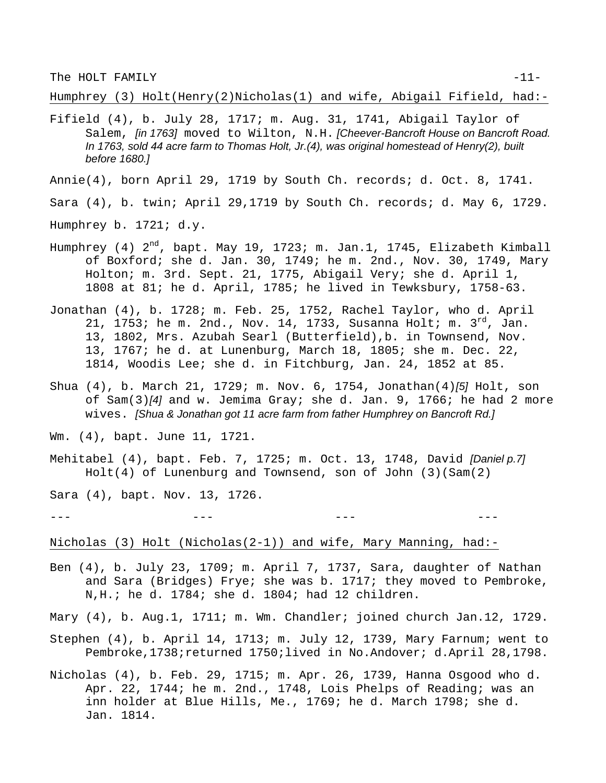The HOLT FAMILY  $-11-$ 

Humphrey (3) Holt(Henry(2)Nicholas(1) and wife, Abigail Fifield, had:-

Fifield (4), b. July 28, 1717; m. Aug. 31, 1741, Abigail Taylor of Salem, *[in 1763]* moved to Wilton, N.H. *[Cheever-Bancroft House on Bancroft Road. In 1763, sold 44 acre farm to Thomas Holt, Jr.(4), was original homestead of Henry(2), built before 1680.]*

Annie(4), born April 29, 1719 by South Ch. records; d. Oct. 8, 1741.

Sara (4), b. twin; April 29,1719 by South Ch. records; d. May 6, 1729.

- Humphrey b. 1721; d.y.
- Humphrey (4)  $2^{nd}$ , bapt. May 19, 1723; m. Jan.1, 1745, Elizabeth Kimball of Boxford; she d. Jan. 30, 1749; he m. 2nd., Nov. 30, 1749, Mary Holton; m. 3rd. Sept. 21, 1775, Abigail Very; she d. April 1, 1808 at 81; he d. April, 1785; he lived in Tewksbury, 1758-63.
- Jonathan (4), b. 1728; m. Feb. 25, 1752, Rachel Taylor, who d. April 21, 1753; he m. 2nd., Nov. 14, 1733, Susanna Holt; m. 3 $^{rd}$ , Jan. 13, 1802, Mrs. Azubah Searl (Butterfield),b. in Townsend, Nov. 13, 1767; he d. at Lunenburg, March 18, 1805; she m. Dec. 22, 1814, Woodis Lee; she d. in Fitchburg, Jan. 24, 1852 at 85.
- Shua (4), b. March 21, 1729; m. Nov. 6, 1754, Jonathan(4)*[5]* Holt, son of Sam(3)*[4]* and w. Jemima Gray; she d. Jan. 9, 1766; he had 2 more wives. *[Shua & Jonathan got 11 acre farm from father Humphrey on Bancroft Rd.]*
- Wm. (4), bapt. June 11, 1721.
- Mehitabel (4), bapt. Feb. 7, 1725; m. Oct. 13, 1748, David *[Daniel p.7]* Holt(4) of Lunenburg and Townsend, son of John (3)(Sam(2)

Sara (4), bapt. Nov. 13, 1726.

--- --- --- ---

Nicholas (3) Holt (Nicholas(2-1)) and wife, Mary Manning, had:-

Ben (4), b. July 23, 1709; m. April 7, 1737, Sara, daughter of Nathan and Sara (Bridges) Frye; she was b. 1717; they moved to Pembroke, N,H.; he d. 1784; she d. 1804; had 12 children.

Mary (4), b. Aug.1, 1711; m. Wm. Chandler; joined church Jan.12, 1729.

- Stephen (4), b. April 14, 1713; m. July 12, 1739, Mary Farnum; went to Pembroke,1738;returned 1750;lived in No.Andover; d.April 28,1798.
- Nicholas (4), b. Feb. 29, 1715; m. Apr. 26, 1739, Hanna Osgood who d. Apr. 22, 1744; he m. 2nd., 1748, Lois Phelps of Reading; was an inn holder at Blue Hills, Me., 1769; he d. March 1798; she d. Jan. 1814.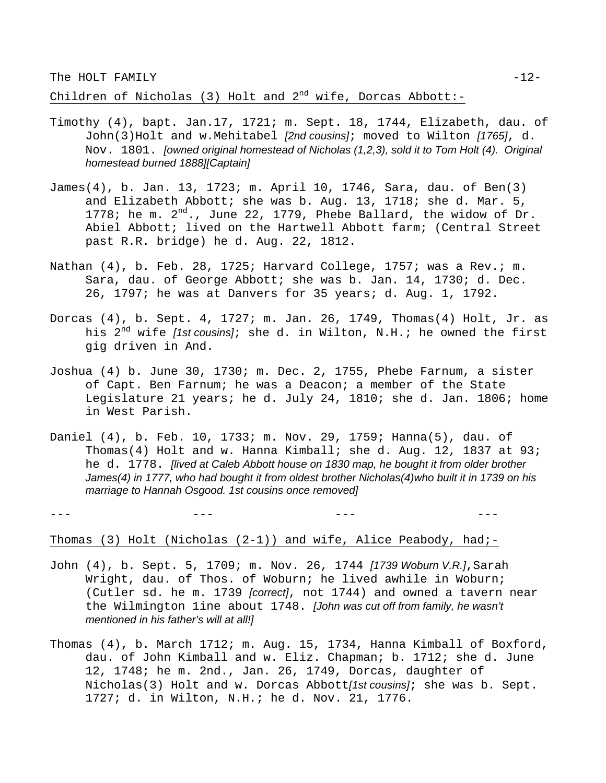Children of Nicholas (3) Holt and  $2^{nd}$  wife, Dorcas Abbott:-

- Timothy (4), bapt. Jan.17, 1721; m. Sept. 18, 1744, Elizabeth, dau. of John(3)Holt and w.Mehitabel *[2nd cousins]*; moved to Wilton *[1765]*, d. Nov. 1801. *[owned original homestead of Nicholas (1,2,3), sold it to Tom Holt (4). Original homestead burned 1888][Captain]*
- James(4), b. Jan. 13, 1723; m. April 10, 1746, Sara, dau. of Ben(3) and Elizabeth Abbott; she was b. Aug. 13, 1718; she d. Mar. 5, 1778; he m.  $2<sup>nd</sup>$ ., June 22, 1779, Phebe Ballard, the widow of Dr. Abiel Abbott; lived on the Hartwell Abbott farm; (Central Street past R.R. bridge) he d. Aug. 22, 1812.
- Nathan (4), b. Feb. 28, 1725; Harvard College, 1757; was a Rev.; m. Sara, dau. of George Abbott; she was b. Jan. 14, 1730; d. Dec. 26, 1797; he was at Danvers for 35 years; d. Aug. 1, 1792.
- Dorcas (4), b. Sept. 4, 1727; m. Jan. 26, 1749, Thomas(4) Holt, Jr. as his 2nd wife *[1st cousins]*; she d. in Wilton, N.H.; he owned the first gig driven in And.
- Joshua (4) b. June 30, 1730; m. Dec. 2, 1755, Phebe Farnum, a sister of Capt. Ben Farnum; he was a Deacon; a member of the State Legislature 21 years; he d. July 24, 1810; she d. Jan. 1806; home in West Parish.
- Daniel (4), b. Feb. 10, 1733; m. Nov. 29, 1759; Hanna(5), dau. of Thomas(4) Holt and w. Hanna Kimball; she d. Aug. 12, 1837 at 93; he d. 1778. *[lived at Caleb Abbott house on 1830 map, he bought it from older brother James(4) in 1777, who had bought it from oldest brother Nicholas(4)who built it in 1739 on his marriage to Hannah Osgood. 1st cousins once removed]*

Thomas (3) Holt (Nicholas (2-1)) and wife, Alice Peabody, had;-

- John (4), b. Sept. 5, 1709; m. Nov. 26, 1744 *[1739 Woburn V.R.]*,Sarah Wright, dau. of Thos. of Woburn; he lived awhile in Woburn; (Cutler sd. he m. 1739 *[correct]*, not 1744) and owned a tavern near the Wilmington 1ine about 1748. *[John was cut off from family, he wasn't mentioned in his father's will at all!]*
- Thomas (4), b. March 1712; m. Aug. 15, 1734, Hanna Kimball of Boxford, dau. of John Kimball and w. Eliz. Chapman; b. 1712; she d. June 12, 1748; he m. 2nd., Jan. 26, 1749, Dorcas, daughter of Nicholas(3) Holt and w. Dorcas Abbott*[1st cousins]*; she was b. Sept. 1727; d. in Wilton, N.H.; he d. Nov. 21, 1776.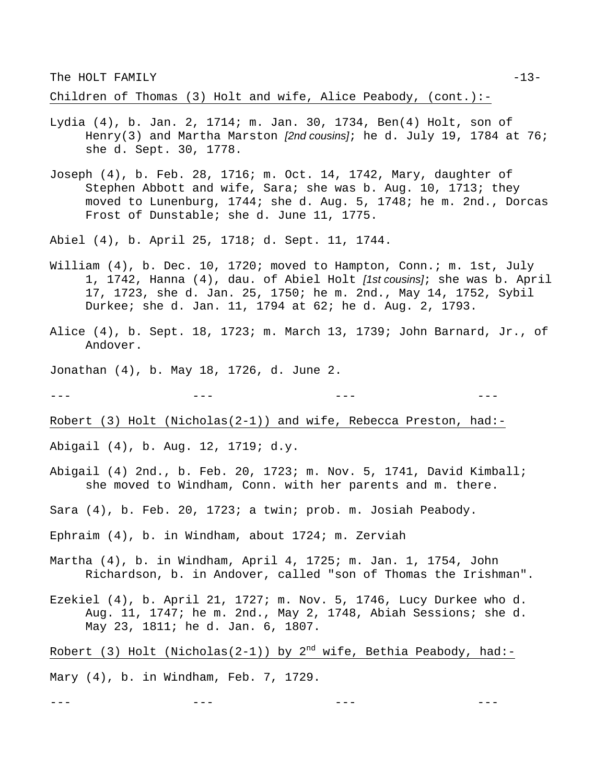The HOLT FAMILY  $-13-$ 

Children of Thomas (3) Holt and wife, Alice Peabody, (cont.):-

- Lydia (4), b. Jan. 2, 1714; m. Jan. 30, 1734, Ben(4) Holt, son of Henry(3) and Martha Marston *[2nd cousins]*; he d. July 19, 1784 at 76; she d. Sept. 30, 1778.
- Joseph (4), b. Feb. 28, 1716; m. Oct. 14, 1742, Mary, daughter of Stephen Abbott and wife, Sara; she was b. Aug. 10, 1713; they moved to Lunenburg, 1744; she d. Aug. 5, 1748; he m. 2nd., Dorcas Frost of Dunstable; she d. June 11, 1775.

Abiel (4), b. April 25, 1718; d. Sept. 11, 1744.

- William (4), b. Dec. 10, 1720; moved to Hampton, Conn.; m. 1st, July 1, 1742, Hanna (4), dau. of Abiel Holt *[1st cousins]*; she was b. April 17, 1723, she d. Jan. 25, 1750; he m. 2nd., May 14, 1752, Sybil Durkee; she d. Jan. 11, 1794 at 62; he d. Aug. 2, 1793.
- Alice (4), b. Sept. 18, 1723; m. March 13, 1739; John Barnard, Jr., of Andover.
- Jonathan (4), b. May 18, 1726, d. June 2.

--- --- --- ---

Robert (3) Holt (Nicholas(2-1)) and wife, Rebecca Preston, had:-

- Abigail (4), b. Aug. 12, 1719; d.y.
- Abigail (4) 2nd., b. Feb. 20, 1723; m. Nov. 5, 1741, David Kimball; she moved to Windham, Conn. with her parents and m. there.
- Sara (4), b. Feb. 20, 1723; a twin; prob. m. Josiah Peabody.
- Ephraim (4), b. in Windham, about 1724; m. Zerviah
- Martha (4), b. in Windham, April 4, 1725; m. Jan. 1, 1754, John Richardson, b. in Andover, called "son of Thomas the Irishman".
- Ezekiel (4), b. April 21, 1727; m. Nov. 5, 1746, Lucy Durkee who d. Aug. 11, 1747; he m. 2nd., May 2, 1748, Abiah Sessions; she d. May 23, 1811; he d. Jan. 6, 1807.
- Robert (3) Holt (Nicholas(2-1)) by  $2^{nd}$  wife, Bethia Peabody, had:-Mary (4), b. in Windham, Feb. 7, 1729.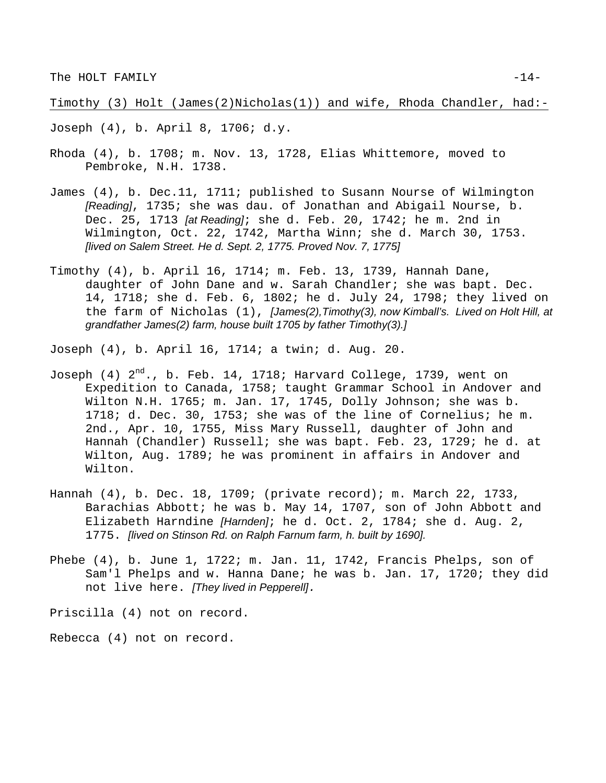Timothy (3) Holt (James(2)Nicholas(1)) and wife, Rhoda Chandler, had:-

Joseph (4), b. April 8, 1706; d.y.

- Rhoda (4), b. 1708; m. Nov. 13, 1728, Elias Whittemore, moved to Pembroke, N.H. 1738.
- James (4), b. Dec.11, 1711; published to Susann Nourse of Wilmington *[Reading]*, 1735; she was dau. of Jonathan and Abigail Nourse, b. Dec. 25, 1713 *[at Reading]*; she d. Feb. 20, 1742; he m. 2nd in Wilmington, Oct. 22, 1742, Martha Winn; she d. March 30, 1753. *[lived on Salem Street. He d. Sept. 2, 1775. Proved Nov. 7, 1775]*
- Timothy (4), b. April 16, 1714; m. Feb. 13, 1739, Hannah Dane, daughter of John Dane and w. Sarah Chandler; she was bapt. Dec. 14, 1718; she d. Feb. 6, 1802; he d. July 24, 1798; they lived on the farm of Nicholas (1), *[James(2),Timothy(3), now Kimball's. Lived on Holt Hill, at grandfather James(2) farm, house built 1705 by father Timothy(3).]*

Joseph (4), b. April 16, 1714; a twin; d. Aug. 20.

- Joseph  $(4)$   $2<sup>nd</sup>$ ., b. Feb. 14, 1718; Harvard College, 1739, went on Expedition to Canada, 1758; taught Grammar School in Andover and Wilton N.H. 1765; m. Jan. 17, 1745, Dolly Johnson; she was b. 1718; d. Dec. 30, 1753; she was of the line of Cornelius; he m. 2nd., Apr. 10, 1755, Miss Mary Russell, daughter of John and Hannah (Chandler) Russell; she was bapt. Feb. 23, 1729; he d. at Wilton, Aug. 1789; he was prominent in affairs in Andover and Wilton.
- Hannah (4), b. Dec. 18, 1709; (private record); m. March 22, 1733, Barachias Abbott; he was b. May 14, 1707, son of John Abbott and Elizabeth Harndine *[Harnden]*; he d. Oct. 2, 1784; she d. Aug. 2, 1775. *[lived on Stinson Rd. on Ralph Farnum farm, h. built by 1690].*
- Phebe (4), b. June 1, 1722; m. Jan. 11, 1742, Francis Phelps, son of Sam'l Phelps and w. Hanna Dane; he was b. Jan. 17, 1720; they did not live here. *[They lived in Pepperell].*

Priscilla (4) not on record.

Rebecca (4) not on record.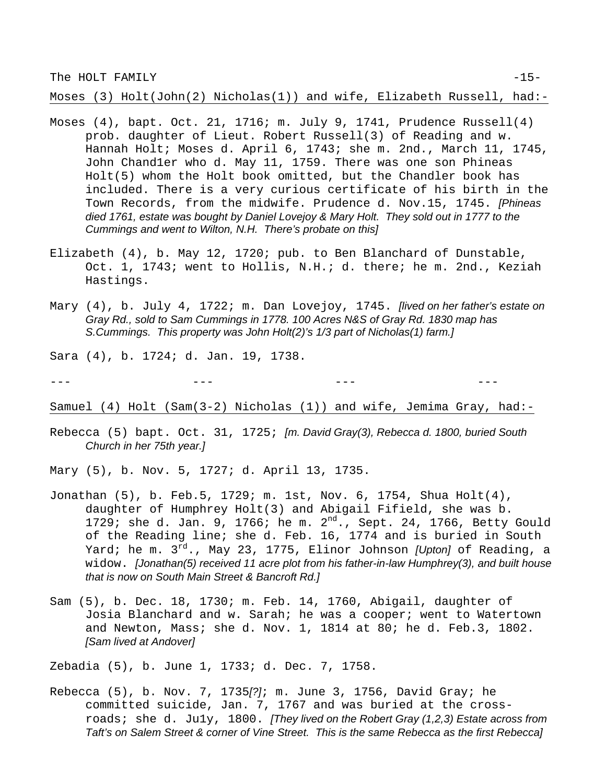The HOLT FAMILY  $-15-$ 

Moses (3) Holt(John(2) Nicholas(1)) and wife, Elizabeth Russell, had:-

- Moses (4), bapt. Oct. 21, 1716; m. July 9, 1741, Prudence Russell(4) prob. daughter of Lieut. Robert Russell(3) of Reading and w. Hannah Holt; Moses d. April 6, 1743; she m. 2nd., March 11, 1745, John Chand1er who d. May 11, 1759. There was one son Phineas Holt(5) whom the Holt book omitted, but the Chandler book has included. There is a very curious certificate of his birth in the Town Records, from the midwife. Prudence d. Nov.15, 1745. *[Phineas died 1761, estate was bought by Daniel Lovejoy & Mary Holt. They sold out in 1777 to the Cummings and went to Wilton, N.H. There's probate on this]*
- Elizabeth (4), b. May 12, 1720; pub. to Ben Blanchard of Dunstable, Oct. 1, 1743; went to Hollis, N.H.; d. there; he m. 2nd., Keziah Hastings.
- Mary (4), b. July 4, 1722; m. Dan Lovejoy, 1745. *[lived on her father's estate on Gray Rd., sold to Sam Cummings in 1778. 100 Acres N&S of Gray Rd. 1830 map has S.Cummings. This property was John Holt(2)'s 1/3 part of Nicholas(1) farm.]*

Sara (4), b. 1724; d. Jan. 19, 1738.

Samuel (4) Holt (Sam(3-2) Nicholas (1)) and wife, Jemima Gray, had:-

--- --- --- ---

Rebecca (5) bapt. Oct. 31, 1725; *[m. David Gray(3), Rebecca d. 1800, buried South Church in her 75th year.]*

Mary (5), b. Nov. 5, 1727; d. April 13, 1735.

- Jonathan (5), b. Feb.5, 1729; m. 1st, Nov. 6, 1754, Shua Holt(4), daughter of Humphrey Holt(3) and Abigail Fifield, she was b. 1729; she d. Jan. 9, 1766; he m.  $2^{nd}$ ., Sept. 24, 1766, Betty Gould of the Reading line; she d. Feb. 16, 1774 and is buried in South Yard; he m. 3rd., May 23, 1775, Elinor Johnson *[Upton]* of Reading, a widow. *[Jonathan(5) received 11 acre plot from his father-in-law Humphrey(3), and built house that is now on South Main Street & Bancroft Rd.]*
- Sam (5), b. Dec. 18, 1730; m. Feb. 14, 1760, Abigail, daughter of Josia Blanchard and w. Sarah; he was a cooper; went to Watertown and Newton, Mass; she d. Nov. 1, 1814 at 80; he d. Feb.3, 1802. *[Sam lived at Andover]*

Zebadia (5), b. June 1, 1733; d. Dec. 7, 1758.

Rebecca (5), b. Nov. 7, 1735*[?]*; m. June 3, 1756, David Gray; he committed suicide, Jan. 7, 1767 and was buried at the crossroads; she d. Ju1y, 1800. *[They lived on the Robert Gray (1,2,3) Estate across from Taft's on Salem Street & corner of Vine Street. This is the same Rebecca as the first Rebecca]*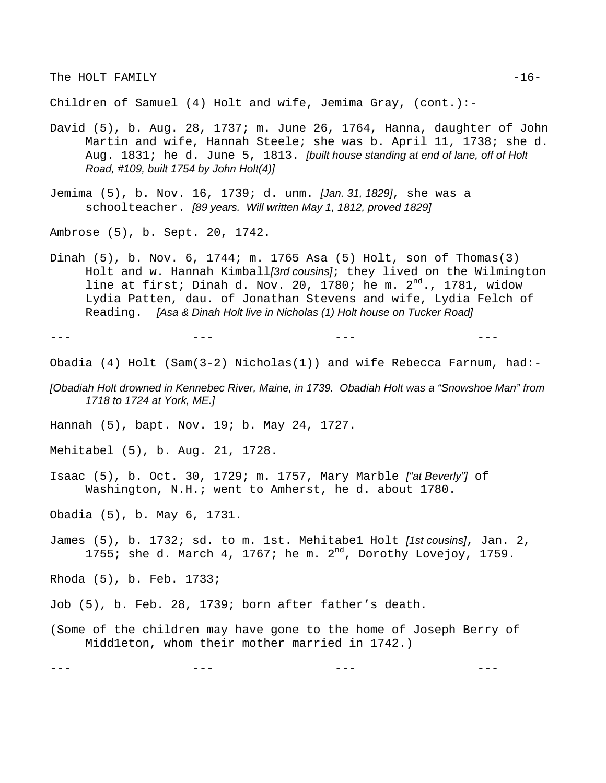Children of Samuel (4) Holt and wife, Jemima Gray, (cont.):-

- David (5), b. Aug. 28, 1737; m. June 26, 1764, Hanna, daughter of John Martin and wife, Hannah Steele; she was b. April 11, 1738; she d. Aug. 1831; he d. June 5, 1813. *[built house standing at end of lane, off of Holt Road, #109, built 1754 by John Holt(4)]*
- Jemima (5), b. Nov. 16, 1739; d. unm. *[Jan. 31, 1829]*, she was a schoolteacher. *[89 years. Will written May 1, 1812, proved 1829]*

Ambrose (5), b. Sept. 20, 1742.

Dinah (5), b. Nov. 6, 1744; m. 1765 Asa (5) Holt, son of Thomas(3) Holt and w. Hannah Kimball*[3rd cousins]*; they lived on the Wilmington line at first; Dinah d. Nov. 20, 1780; he m.  $2^{nd}$ ., 1781, widow Lydia Patten, dau. of Jonathan Stevens and wife, Lydia Felch of Reading. *[Asa & Dinah Holt live in Nicholas (1) Holt house on Tucker Road]*

--- --- --- ---

Obadia (4) Holt (Sam(3-2) Nicholas(1)) and wife Rebecca Farnum, had:-

- *[Obadiah Holt drowned in Kennebec River, Maine, in 1739. Obadiah Holt was a "Snowshoe Man" from 1718 to 1724 at York, ME.]*
- Hannah (5), bapt. Nov. 19; b. May 24, 1727.
- Mehitabel (5), b. Aug. 21, 1728.
- Isaac (5), b. Oct. 30, 1729; m. 1757, Mary Marble *["at Beverly"]* of Washington, N.H.; went to Amherst, he d. about 1780.
- Obadia (5), b. May 6, 1731.
- James (5), b. 1732; sd. to m. 1st. Mehitabe1 Holt *[1st cousins]*, Jan. 2, 1755; she d. March 4, 1767; he m.  $2^{nd}$ , Dorothy Lovejoy, 1759.
- Rhoda (5), b. Feb. 1733;
- Job (5), b. Feb. 28, 1739; born after father's death.
- (Some of the children may have gone to the home of Joseph Berry of Midd1eton, whom their mother married in 1742.)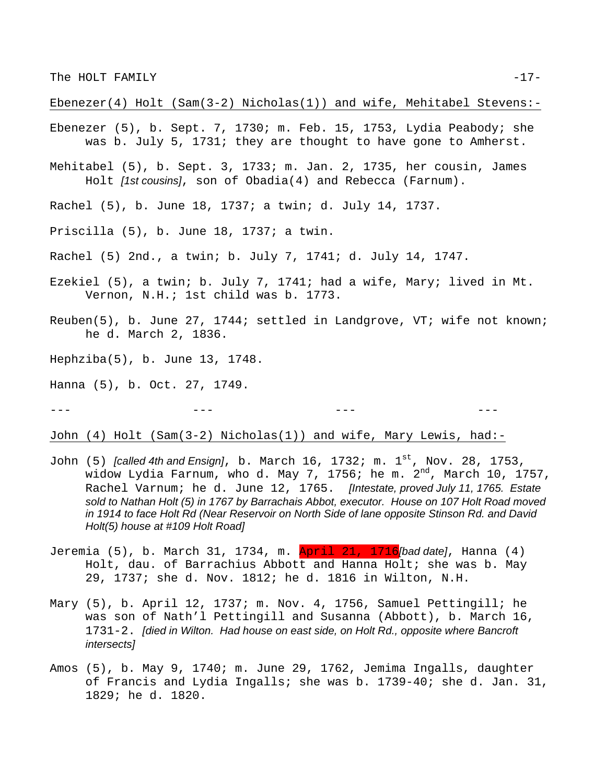## Ebenezer(4) Holt (Sam(3-2) Nicholas(1)) and wife, Mehitabel Stevens:-

- Ebenezer (5), b. Sept. 7, 1730; m. Feb. 15, 1753, Lydia Peabody; she was b. July 5, 1731; they are thought to have gone to Amherst.
- Mehitabel (5), b. Sept. 3, 1733; m. Jan. 2, 1735, her cousin, James Holt *[1st cousins]*, son of Obadia(4) and Rebecca (Farnum).
- Rachel (5), b. June 18, 1737; a twin; d. July 14, 1737.
- Priscilla (5), b. June 18, 1737; a twin.
- Rachel (5) 2nd., a twin; b. July 7, 1741; d. July 14, 1747.
- Ezekiel (5), a twin; b. July 7, 1741; had a wife, Mary; lived in Mt. Vernon, N.H.; 1st child was b. 1773.
- Reuben(5), b. June 27, 1744; settled in Landgrove, VT; wife not known; he d. March 2, 1836.
- Hephziba(5), b. June 13, 1748.
- Hanna (5), b. Oct. 27, 1749.

John (4) Holt (Sam(3-2) Nicholas(1)) and wife, Mary Lewis, had:-

- John (5) *[called 4th and Ensign]*, b. March 16, 1732; m. 1st, Nov. 28, 1753, widow Lydia Farnum, who d. May 7, 1756; he m.  $2<sup>nd</sup>$ , March 10, 1757, Rachel Varnum; he d. June 12, 1765. *[Intestate, proved July 11, 1765. Estate sold to Nathan Holt (5) in 1767 by Barrachais Abbot, executor. House on 107 Holt Road moved in 1914 to face Holt Rd (Near Reservoir on North Side of lane opposite Stinson Rd. and David Holt(5) house at #109 Holt Road]*
- Jeremia (5), b. March 31, 1734, m. April 21, 1716*[bad date]*, Hanna (4) Holt, dau. of Barrachius Abbott and Hanna Holt; she was b. May 29, 1737; she d. Nov. 1812; he d. 1816 in Wilton, N.H.
- Mary (5), b. April 12, 1737; m. Nov. 4, 1756, Samuel Pettingill; he was son of Nath'l Pettingill and Susanna (Abbott), b. March 16, 1731-2. *[died in Wilton. Had house on east side, on Holt Rd., opposite where Bancroft intersects]*
- Amos (5), b. May 9, 1740; m. June 29, 1762, Jemima Ingalls, daughter of Francis and Lydia Ingalls; she was b. 1739-40; she d. Jan. 31, 1829; he d. 1820.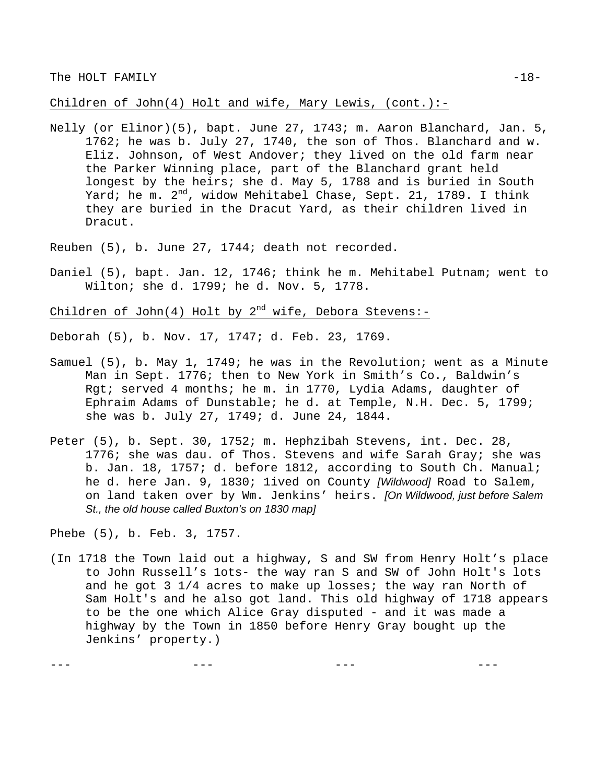Children of John(4) Holt and wife, Mary Lewis, (cont.):-

Nelly (or Elinor)(5), bapt. June 27, 1743; m. Aaron Blanchard, Jan. 5, 1762; he was b. July 27, 1740, the son of Thos. Blanchard and w. Eliz. Johnson, of West Andover; they lived on the old farm near the Parker Winning place, part of the Blanchard grant held longest by the heirs; she d. May 5, 1788 and is buried in South Yard; he m. 2<sup>nd</sup>, widow Mehitabel Chase, Sept. 21, 1789. I think they are buried in the Dracut Yard, as their children lived in Dracut.

Reuben (5), b. June 27, 1744; death not recorded.

Daniel (5), bapt. Jan. 12, 1746; think he m. Mehitabel Putnam; went to Wilton; she d. 1799; he d. Nov. 5, 1778.

Children of John(4) Holt by  $2^{nd}$  wife, Debora Stevens:-

Deborah (5), b. Nov. 17, 1747; d. Feb. 23, 1769.

- Samuel (5), b. May 1, 1749; he was in the Revolution; went as a Minute Man in Sept. 1776; then to New York in Smith's Co., Baldwin's Rgt; served 4 months; he m. in 1770, Lydia Adams, daughter of Ephraim Adams of Dunstable; he d. at Temple, N.H. Dec. 5, 1799; she was b. July 27, 1749; d. June 24, 1844.
- Peter (5), b. Sept. 30, 1752; m. Hephzibah Stevens, int. Dec. 28, 1776; she was dau. of Thos. Stevens and wife Sarah Gray; she was b. Jan. 18, 1757; d. before 1812, according to South Ch. Manual; he d. here Jan. 9, 1830; 1ived on County *[Wildwood]* Road to Salem, on land taken over by Wm. Jenkins' heirs. *[On Wildwood, just before Salem St., the old house called Buxton's on 1830 map]*

Phebe (5), b. Feb. 3, 1757.

(In 1718 the Town laid out a highway, S and SW from Henry Holt's place to John Russell's 1ots- the way ran S and SW of John Holt's lots and he got 3 1/4 acres to make up losses; the way ran North of Sam Holt's and he also got land. This old highway of 1718 appears to be the one which Alice Gray disputed - and it was made a highway by the Town in 1850 before Henry Gray bought up the Jenkins' property.)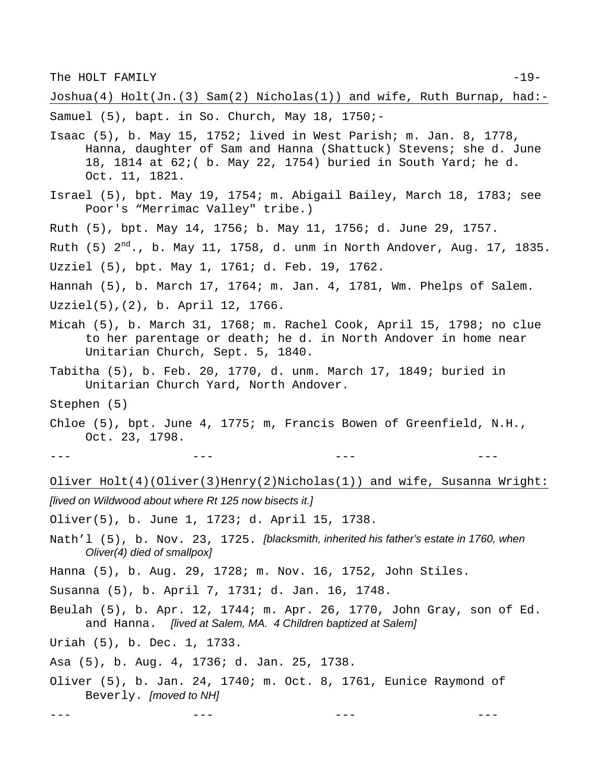The HOLT FAMILY  $-19-$ 

Joshua(4) Holt(Jn.(3) Sam(2) Nicholas(1)) and wife, Ruth Burnap, had:-

Samuel (5), bapt. in So. Church, May 18, 1750;-

- Isaac (5), b. May 15, 1752; lived in West Parish; m. Jan. 8, 1778, Hanna, daughter of Sam and Hanna (Shattuck) Stevens; she d. June 18, 1814 at 62;( b. May 22, 1754) buried in South Yard; he d. Oct. 11, 1821.
- Israel (5), bpt. May 19, 1754; m. Abigail Bailey, March 18, 1783; see Poor's "Merrimac Valley" tribe.)
- Ruth (5), bpt. May 14, 1756; b. May 11, 1756; d. June 29, 1757.

Ruth (5)  $2^{nd}$ ., b. May 11, 1758, d. unm in North Andover, Aug. 17, 1835. Uzziel (5), bpt. May 1, 1761; d. Feb. 19, 1762.

Hannah (5), b. March 17, 1764; m. Jan. 4, 1781, Wm. Phelps of Salem. Uzziel(5),(2), b. April 12, 1766.

- Micah (5), b. March 31, 1768; m. Rachel Cook, April 15, 1798; no clue to her parentage or death; he d. in North Andover in home near Unitarian Church, Sept. 5, 1840.
- Tabitha (5), b. Feb. 20, 1770, d. unm. March 17, 1849; buried in Unitarian Church Yard, North Andover.
- Stephen (5)

Chloe (5), bpt. June 4, 1775; m, Francis Bowen of Greenfield, N.H., Oct. 23, 1798.

--- --- --- ---

Oliver Holt(4)(Oliver(3)Henry(2)Nicholas(1)) and wife, Susanna Wright: *[lived on Wildwood about where Rt 125 now bisects it.]* 

Oliver(5), b. June 1, 1723; d. April 15, 1738.

Nath'l (5), b. Nov. 23, 1725. *[blacksmith, inherited his father's estate in 1760, when Oliver(4) died of smallpox]*

Hanna (5), b. Aug. 29, 1728; m. Nov. 16, 1752, John Stiles.

Susanna (5), b. April 7, 1731; d. Jan. 16, 1748.

Beulah (5), b. Apr. 12, 1744; m. Apr. 26, 1770, John Gray, son of Ed. and Hanna. *[lived at Salem, MA. 4 Children baptized at Salem]*

Uriah (5), b. Dec. 1, 1733.

Asa (5), b. Aug. 4, 1736; d. Jan. 25, 1738.

Oliver (5), b. Jan. 24, 1740; m. Oct. 8, 1761, Eunice Raymond of Beverly. *[moved to NH]*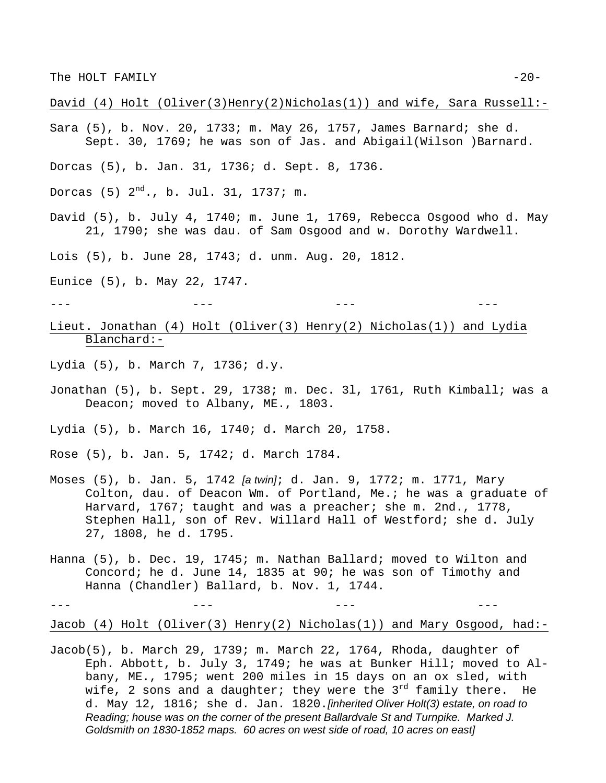David (4) Holt (Oliver(3)Henry(2)Nicholas(1)) and wife, Sara Russell:-

- Sara (5), b. Nov. 20, 1733; m. May 26, 1757, James Barnard; she d. Sept. 30, 1769; he was son of Jas. and Abigail(Wilson )Barnard.
- Dorcas (5), b. Jan. 31, 1736; d. Sept. 8, 1736.
- Dorcas (5)  $2^{nd}$ ., b. Jul. 31, 1737; m.
- David (5), b. July 4, 1740; m. June 1, 1769, Rebecca Osgood who d. May 21, 1790; she was dau. of Sam Osgood and w. Dorothy Wardwell.

Lois (5), b. June 28, 1743; d. unm. Aug. 20, 1812.

Eunice (5), b. May 22, 1747.

--- --- --- ---

Lieut. Jonathan (4) Holt (Oliver(3) Henry(2) Nicholas(1)) and Lydia Blanchard:-

Lydia (5), b. March 7, 1736; d.y.

Jonathan (5), b. Sept. 29, 1738; m. Dec. 3l, 1761, Ruth Kimball; was a Deacon; moved to Albany, ME., 1803.

Lydia (5), b. March 16, 1740; d. March 20, 1758.

Rose (5), b. Jan. 5, 1742; d. March 1784.

- Moses (5), b. Jan. 5, 1742 *[a twin]*; d. Jan. 9, 1772; m. 1771, Mary Colton, dau. of Deacon Wm. of Portland, Me.; he was a graduate of Harvard, 1767; taught and was a preacher; she m. 2nd., 1778, Stephen Hall, son of Rev. Willard Hall of Westford; she d. July 27, 1808, he d. 1795.
- Hanna (5), b. Dec. 19, 1745; m. Nathan Ballard; moved to Wilton and Concord; he d. June 14, 1835 at 90; he was son of Timothy and Hanna (Chandler) Ballard, b. Nov. 1, 1744.

--- --- --- ---

Jacob (4) Holt (Oliver(3) Henry(2) Nicholas(1)) and Mary Osgood, had:-

Jacob(5), b. March 29, 1739; m. March 22, 1764, Rhoda, daughter of Eph. Abbott, b. July 3, 1749; he was at Bunker Hill; moved to Albany, ME., 1795; went 200 miles in 15 days on an ox sled, with wife, 2 sons and a daughter; they were the  $3^{rd}$  family there. He d. May 12, 1816; she d. Jan. 1820.*[inherited Oliver Holt(3) estate, on road to Reading; house was on the corner of the present Ballardvale St and Turnpike. Marked J. Goldsmith on 1830-1852 maps. 60 acres on west side of road, 10 acres on east]*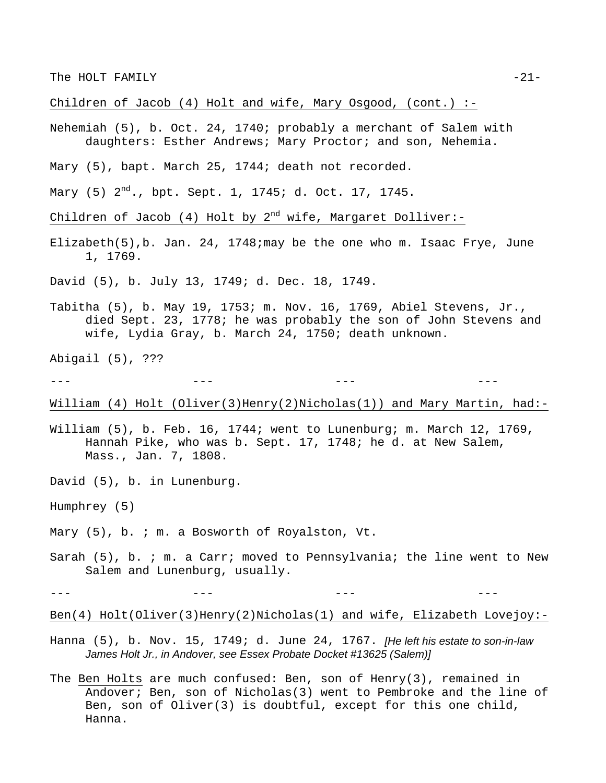The HOLT FAMILY  $-21-$ 

Children of Jacob (4) Holt and wife, Mary Osgood, (cont.) :-

Nehemiah (5), b. Oct. 24, 1740; probably a merchant of Salem with daughters: Esther Andrews; Mary Proctor; and son, Nehemia.

Mary (5), bapt. March 25, 1744; death not recorded.

Mary (5)  $2^{nd}$ ., bpt. Sept. 1, 1745; d. Oct. 17, 1745.

Children of Jacob (4) Holt by  $2^{nd}$  wife, Margaret Dolliver:-

Elizabeth(5),b. Jan. 24, 1748;may be the one who m. Isaac Frye, June 1, 1769.

David (5), b. July 13, 1749; d. Dec. 18, 1749.

Tabitha (5), b. May 19, 1753; m. Nov. 16, 1769, Abiel Stevens, Jr., died Sept. 23, 1778; he was probably the son of John Stevens and wife, Lydia Gray, b. March 24, 1750; death unknown.

Abigail (5), ???

--- --- --- ---

William (4) Holt (Oliver(3)Henry(2)Nicholas(1)) and Mary Martin, had:-

- William (5), b. Feb. 16, 1744; went to Lunenburg; m. March 12, 1769, Hannah Pike, who was b. Sept. 17, 1748; he d. at New Salem, Mass., Jan. 7, 1808.
- David (5), b. in Lunenburg.
- Humphrey (5)

Mary (5), b. ; m. a Bosworth of Royalston, Vt.

Sarah (5), b. ; m. a Carr; moved to Pennsylvania; the line went to New Salem and Lunenburg, usually.

--- --- --- ---

Ben(4) Holt(Oliver(3)Henry(2)Nicholas(1) and wife, Elizabeth Lovejoy:-

- Hanna (5), b. Nov. 15, 1749; d. June 24, 1767. *[He left his estate to son-in-law James Holt Jr., in Andover, see Essex Probate Docket #13625 (Salem)]*
- The Ben Holts are much confused: Ben, son of Henry(3), remained in Andover; Ben, son of Nicholas(3) went to Pembroke and the line of Ben, son of Oliver(3) is doubtful, except for this one child, Hanna.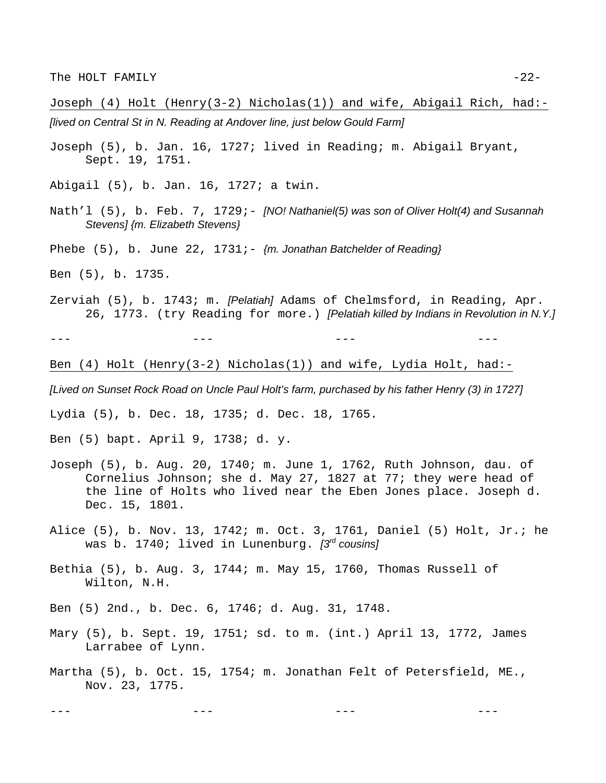Joseph (4) Holt (Henry(3-2) Nicholas(1)) and wife, Abigail Rich, had:- *[lived on Central St in N. Reading at Andover line, just below Gould Farm]*

- Joseph (5), b. Jan. 16, 1727; lived in Reading; m. Abigail Bryant, Sept. 19, 1751.
- Abigail (5), b. Jan. 16, 1727; a twin.
- Nath'l (5), b. Feb. 7, 1729; *[NO! Nathaniel(5) was son of Oliver Holt(4) and Susannah Stevens] {m. Elizabeth Stevens}*
- Phebe (5), b. June 22, 1731; *{m. Jonathan Batchelder of Reading}*
- Ben (5), b. 1735.
- Zerviah (5), b. 1743; m. *[Pelatiah]* Adams of Chelmsford, in Reading, Apr. 26, 1773. (try Reading for more.) *[Pelatiah killed by Indians in Revolution in N.Y.]*

--- --- --- ---

Ben (4) Holt (Henry(3-2) Nicholas(1)) and wife, Lydia Holt, had:-

*[Lived on Sunset Rock Road on Uncle Paul Holt's farm, purchased by his father Henry (3) in 1727]*

Lydia (5), b. Dec. 18, 1735; d. Dec. 18, 1765.

Ben (5) bapt. April 9, 1738; d. y.

- Joseph (5), b. Aug. 20, 1740; m. June 1, 1762, Ruth Johnson, dau. of Cornelius Johnson; she d. May 27, 1827 at 77; they were head of the line of Holts who lived near the Eben Jones place. Joseph d. Dec. 15, 1801.
- Alice (5), b. Nov. 13, 1742; m. Oct. 3, 1761, Daniel (5) Holt, Jr.; he was b. 1740; lived in Lunenburg. *[3rd cousins]*
- Bethia (5), b. Aug. 3, 1744; m. May 15, 1760, Thomas Russell of Wilton, N.H.

Ben (5) 2nd., b. Dec. 6, 1746; d. Aug. 31, 1748.

- Mary (5), b. Sept. 19, 1751; sd. to m. (int.) April 13, 1772, James Larrabee of Lynn.
- Martha (5), b. Oct. 15, 1754; m. Jonathan Felt of Petersfield, ME., Nov. 23, 1775.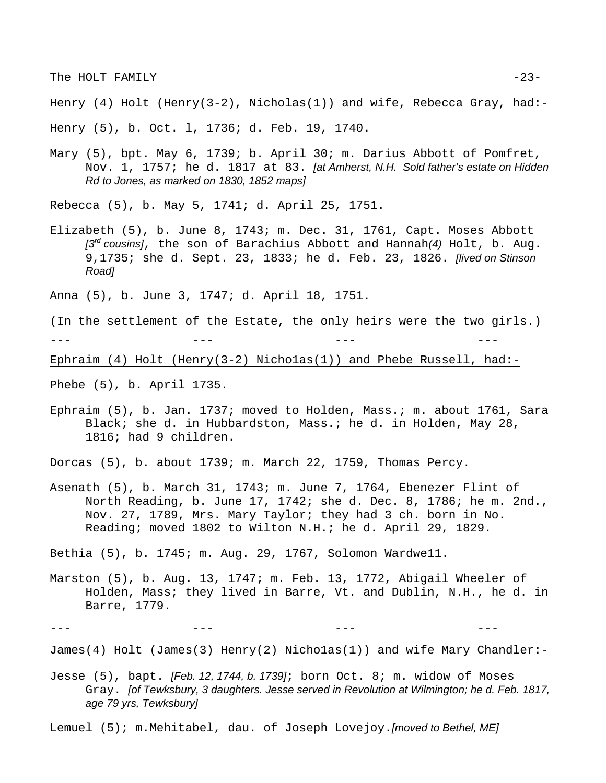Henry (4) Holt (Henry(3-2), Nicholas(1)) and wife, Rebecca Gray, had:-

Henry (5), b. Oct. l, 1736; d. Feb. 19, 1740.

Mary (5), bpt. May 6, 1739; b. April 30; m. Darius Abbott of Pomfret, Nov. 1, 1757; he d. 1817 at 83. *[at Amherst, N.H. Sold father's estate on Hidden Rd to Jones, as marked on 1830, 1852 maps]*

Rebecca (5), b. May 5, 1741; d. April 25, 1751.

Elizabeth (5), b. June 8, 1743; m. Dec. 31, 1761, Capt. Moses Abbott *[3rd cousins]*, the son of Barachius Abbott and Hannah*(4)* Holt, b. Aug. 9,1735; she d. Sept. 23, 1833; he d. Feb. 23, 1826. *[lived on Stinson Road]*

Anna (5), b. June 3, 1747; d. April 18, 1751.

(In the settlement of the Estate, the only heirs were the two girls.)

--- --- --- ---

Ephraim  $(4)$  Holt (Henry $(3-2)$  Nicholas $(1)$ ) and Phebe Russell, had:-

Phebe (5), b. April 1735.

Ephraim (5), b. Jan. 1737; moved to Holden, Mass.; m. about 1761, Sara Black; she d. in Hubbardston, Mass.; he d. in Holden, May 28, 1816; had 9 children.

Dorcas (5), b. about 1739; m. March 22, 1759, Thomas Percy.

Asenath (5), b. March 31, 1743; m. June 7, 1764, Ebenezer Flint of North Reading, b. June 17, 1742; she d. Dec. 8, 1786; he m. 2nd., Nov. 27, 1789, Mrs. Mary Taylor; they had 3 ch. born in No. Reading; moved 1802 to Wilton N.H.; he d. April 29, 1829.

Bethia (5), b. 1745; m. Aug. 29, 1767, Solomon Wardwe11.

Marston (5), b. Aug. 13, 1747; m. Feb. 13, 1772, Abigail Wheeler of Holden, Mass; they lived in Barre, Vt. and Dublin, N.H., he d. in Barre, 1779.

James(4) Holt (James(3) Henry(2) Nicho1as(1)) and wife Mary Chandler:-

Jesse (5), bapt. *[Feb. 12, 1744, b. 1739]*; born Oct. 8; m. widow of Moses Gray. *[of Tewksbury, 3 daughters. Jesse served in Revolution at Wilmington; he d. Feb. 1817, age 79 yrs, Tewksbury]*

Lemuel (5); m.Mehitabel, dau. of Joseph Lovejoy.*[moved to Bethel, ME]*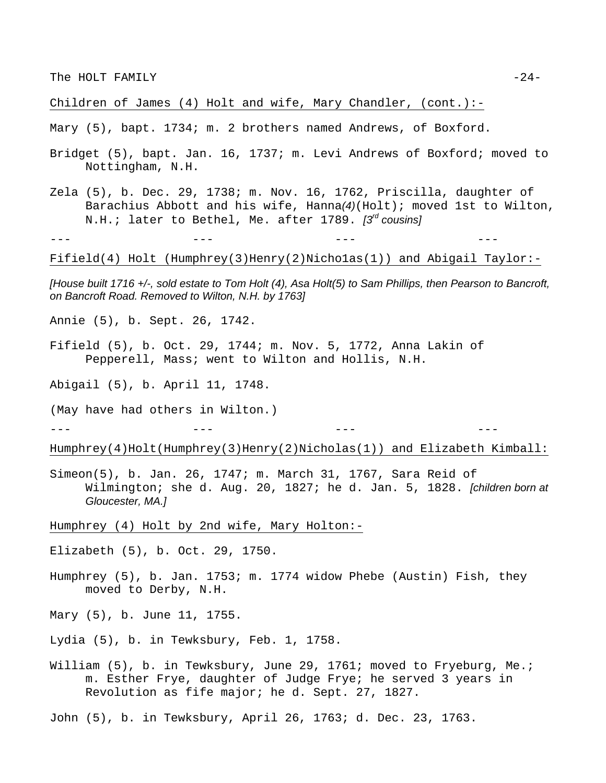Children of James (4) Holt and wife, Mary Chandler, (cont.):-

Mary (5), bapt. 1734; m. 2 brothers named Andrews, of Boxford.

- Bridget (5), bapt. Jan. 16, 1737; m. Levi Andrews of Boxford; moved to Nottingham, N.H.
- Zela (5), b. Dec. 29, 1738; m. Nov. 16, 1762, Priscilla, daughter of Barachius Abbott and his wife, Hanna*(4)*(Holt); moved 1st to Wilton, N.H.; later to Bethel, Me. after 1789. *[3rd cousins]*

Fifield(4) Holt (Humphrey(3)Henry(2)Nicho1as(1)) and Abigail Taylor:-

--- --- --- ---

*[House built 1716 +/-, sold estate to Tom Holt (4), Asa Holt(5) to Sam Phillips, then Pearson to Bancroft, on Bancroft Road. Removed to Wilton, N.H. by 1763]* 

Annie (5), b. Sept. 26, 1742.

Fifield (5), b. Oct. 29, 1744; m. Nov. 5, 1772, Anna Lakin of Pepperell, Mass; went to Wilton and Hollis, N.H.

Abigail (5), b. April 11, 1748.

(May have had others in Wilton.)

--- --- --- ---

Humphrey(4)Holt(Humphrey(3)Henry(2)Nicholas(1)) and Elizabeth Kimball:

Simeon(5), b. Jan. 26, 1747; m. March 31, 1767, Sara Reid of Wilmington; she d. Aug. 20, 1827; he d. Jan. 5, 1828. *[children born at Gloucester, MA.]*

Humphrey (4) Holt by 2nd wife, Mary Holton:-

Elizabeth (5), b. Oct. 29, 1750.

Humphrey (5), b. Jan. 1753; m. 1774 widow Phebe (Austin) Fish, they moved to Derby, N.H.

Mary (5), b. June 11, 1755.

Lydia (5), b. in Tewksbury, Feb. 1, 1758.

William (5), b. in Tewksbury, June 29, 1761; moved to Fryeburg, Me.; m. Esther Frye, daughter of Judge Frye; he served 3 years in Revolution as fife major; he d. Sept. 27, 1827.

John (5), b. in Tewksbury, April 26, 1763; d. Dec. 23, 1763.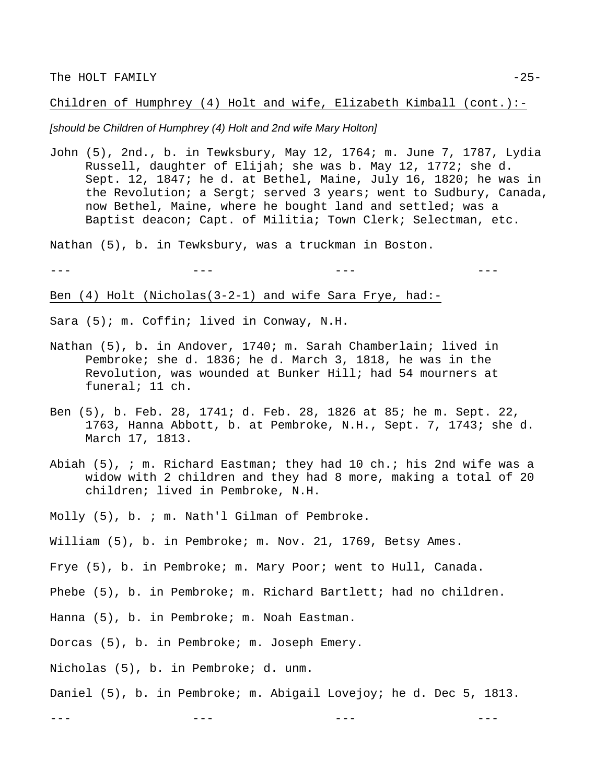Children of Humphrey (4) Holt and wife, Elizabeth Kimball (cont.):-

#### *[should be Children of Humphrey (4) Holt and 2nd wife Mary Holton]*

John (5), 2nd., b. in Tewksbury, May 12, 1764; m. June 7, 1787, Lydia Russell, daughter of Elijah; she was b. May 12, 1772; she d. Sept. 12, 1847; he d. at Bethel, Maine, July 16, 1820; he was in the Revolution; a Sergt; served 3 years; went to Sudbury, Canada, now Bethel, Maine, where he bought land and settled; was a Baptist deacon; Capt. of Militia; Town Clerk; Selectman, etc.

Nathan (5), b. in Tewksbury, was a truckman in Boston.

--- --- --- ---

Ben (4) Holt (Nicholas(3-2-1) and wife Sara Frye, had:-

Sara (5); m. Coffin; lived in Conway, N.H.

- Nathan (5), b. in Andover, 1740; m. Sarah Chamberlain; lived in Pembroke; she d. 1836; he d. March 3, 1818, he was in the Revolution, was wounded at Bunker Hill; had 54 mourners at funeral; 11 ch.
- Ben (5), b. Feb. 28, 1741; d. Feb. 28, 1826 at 85; he m. Sept. 22, 1763, Hanna Abbott, b. at Pembroke, N.H., Sept. 7, 1743; she d. March 17, 1813.
- Abiah (5), ; m. Richard Eastman; they had 10 ch.; his 2nd wife was a widow with 2 children and they had 8 more, making a total of 20 children; lived in Pembroke, N.H.
- Molly (5), b. ; m. Nath'l Gilman of Pembroke.
- William (5), b. in Pembroke; m. Nov. 21, 1769, Betsy Ames.
- Frye (5), b. in Pembroke; m. Mary Poor; went to Hull, Canada.
- Phebe (5), b. in Pembroke; m. Richard Bartlett; had no children.
- Hanna (5), b. in Pembroke; m. Noah Eastman.
- Dorcas (5), b. in Pembroke; m. Joseph Emery.
- Nicholas (5), b. in Pembroke; d. unm.
- Daniel (5), b. in Pembroke; m. Abigail Lovejoy; he d. Dec 5, 1813.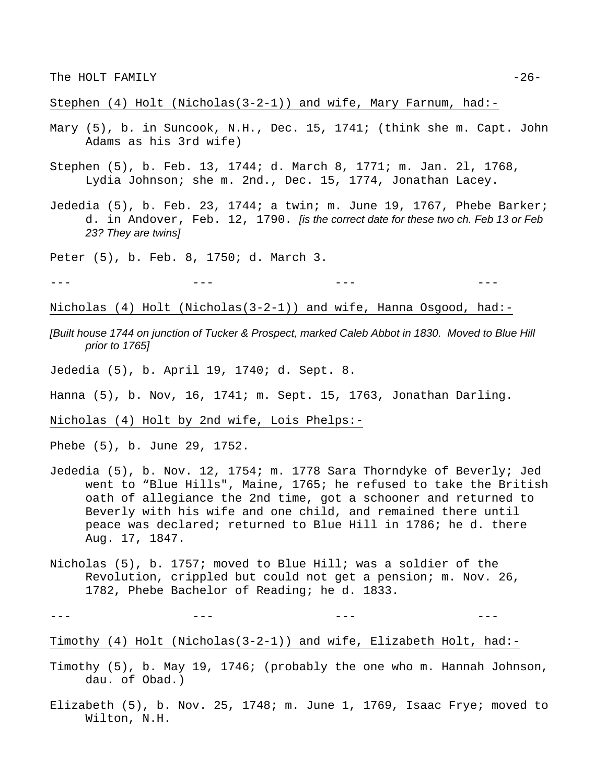Stephen (4) Holt (Nicholas(3-2-1)) and wife, Mary Farnum, had:-

- Mary (5), b. in Suncook, N.H., Dec. 15, 1741; (think she m. Capt. John Adams as his 3rd wife)
- Stephen (5), b. Feb. 13, 1744; d. March 8, 1771; m. Jan. 2l, 1768, Lydia Johnson; she m. 2nd., Dec. 15, 1774, Jonathan Lacey.
- Jededia (5), b. Feb. 23, 1744; a twin; m. June 19, 1767, Phebe Barker; d. in Andover, Feb. 12, 1790. *[is the correct date for these two ch. Feb 13 or Feb 23? They are twins]*

Peter (5), b. Feb. 8, 1750; d. March 3.

Nicholas (4) Holt (Nicholas(3-2-1)) and wife, Hanna Osgood, had:-

--- --- --- ---

*[Built house 1744 on junction of Tucker & Prospect, marked Caleb Abbot in 1830. Moved to Blue Hill prior to 1765]*

Jededia (5), b. April 19, 1740; d. Sept. 8.

Hanna (5), b. Nov, 16, 1741; m. Sept. 15, 1763, Jonathan Darling.

Nicholas (4) Holt by 2nd wife, Lois Phelps:-

Phebe (5), b. June 29, 1752.

- Jededia (5), b. Nov. 12, 1754; m. 1778 Sara Thorndyke of Beverly; Jed went to "Blue Hills", Maine, 1765; he refused to take the British oath of allegiance the 2nd time, got a schooner and returned to Beverly with his wife and one child, and remained there until peace was declared; returned to Blue Hill in 1786; he d. there Aug. 17, 1847.
- Nicholas (5), b. 1757; moved to Blue Hill; was a soldier of the Revolution, crippled but could not get a pension; m. Nov. 26, 1782, Phebe Bachelor of Reading; he d. 1833.

--- --- --- ---

Timothy (4) Holt (Nicholas(3-2-1)) and wife, Elizabeth Holt, had:-

- Timothy (5), b. May 19, 1746; (probably the one who m. Hannah Johnson, dau. of Obad.)
- Elizabeth (5), b. Nov. 25, 1748; m. June 1, 1769, Isaac Frye; moved to Wilton, N.H.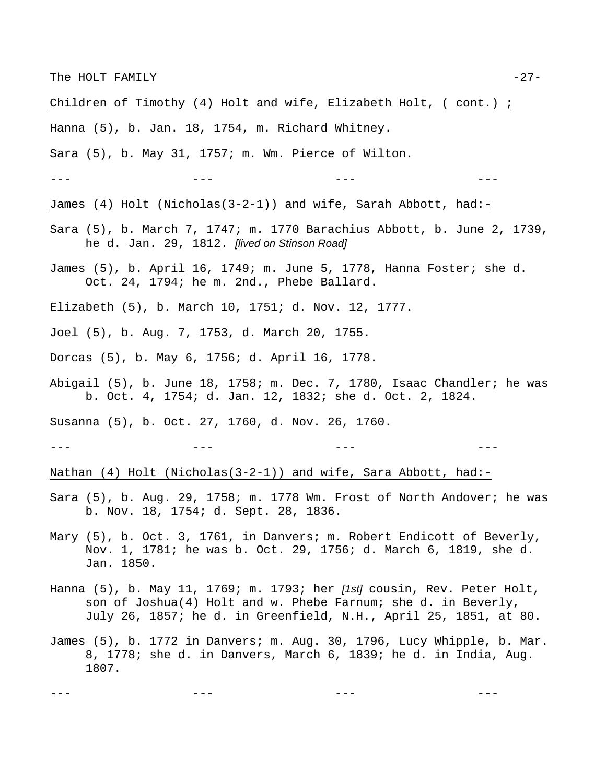Children of Timothy (4) Holt and wife, Elizabeth Holt, ( cont.) ;

Hanna (5), b. Jan. 18, 1754, m. Richard Whitney.

Sara (5), b. May 31, 1757; m. Wm. Pierce of Wilton.

--- --- --- ---

James (4) Holt (Nicholas(3-2-1)) and wife, Sarah Abbott, had:-

- Sara (5), b. March 7, 1747; m. 1770 Barachius Abbott, b. June 2, 1739, he d. Jan. 29, 1812. *[lived on Stinson Road]*
- James (5), b. April 16, 1749; m. June 5, 1778, Hanna Foster; she d. Oct. 24, 1794; he m. 2nd., Phebe Ballard.

Elizabeth (5), b. March 10, 1751; d. Nov. 12, 1777.

Joel (5), b. Aug. 7, 1753, d. March 20, 1755.

Dorcas (5), b. May 6, 1756; d. April 16, 1778.

Abigail (5), b. June 18, 1758; m. Dec. 7, 1780, Isaac Chandler; he was b. Oct. 4, 1754; d. Jan. 12, 1832; she d. Oct. 2, 1824.

Susanna (5), b. Oct. 27, 1760, d. Nov. 26, 1760.

--- --- --- ---

Nathan (4) Holt (Nicholas(3-2-1)) and wife, Sara Abbott, had:-

- Sara (5), b. Aug. 29, 1758; m. 1778 Wm. Frost of North Andover; he was b. Nov. 18, 1754; d. Sept. 28, 1836.
- Mary (5), b. Oct. 3, 1761, in Danvers; m. Robert Endicott of Beverly, Nov. 1, 1781; he was b. Oct. 29, 1756; d. March 6, 1819, she d. Jan. 1850.
- Hanna (5), b. May 11, 1769; m. 1793; her *[1st]* cousin, Rev. Peter Holt, son of Joshua(4) Holt and w. Phebe Farnum; she d. in Beverly, July 26, 1857; he d. in Greenfield, N.H., April 25, 1851, at 80.
- James (5), b. 1772 in Danvers; m. Aug. 30, 1796, Lucy Whipple, b. Mar. 8, 1778; she d. in Danvers, March 6, 1839; he d. in India, Aug. 1807.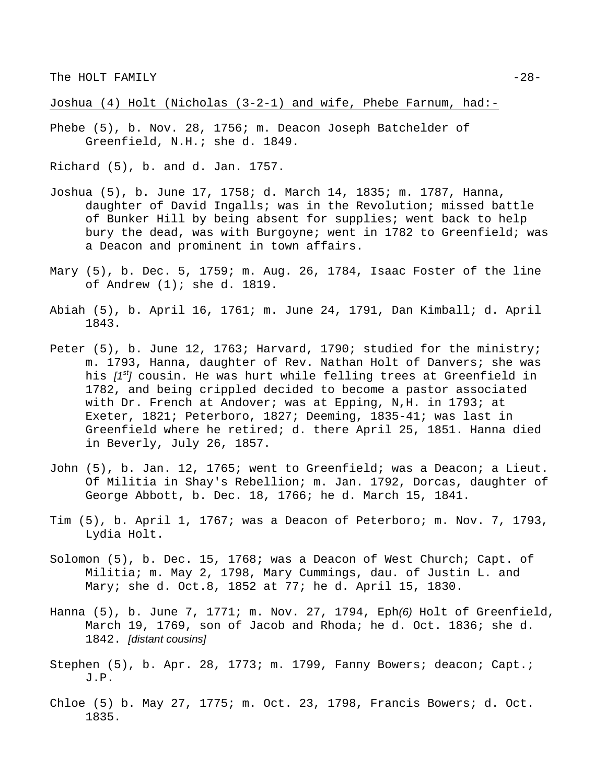Joshua (4) Holt (Nicholas (3-2-1) and wife, Phebe Farnum, had:-

Phebe (5), b. Nov. 28, 1756; m. Deacon Joseph Batchelder of Greenfield, N.H.; she d. 1849.

Richard (5), b. and d. Jan. 1757.

- Joshua (5), b. June 17, 1758; d. March 14, 1835; m. 1787, Hanna, daughter of David Ingalls; was in the Revolution; missed battle of Bunker Hill by being absent for supplies; went back to help bury the dead, was with Burgoyne; went in 1782 to Greenfield; was a Deacon and prominent in town affairs.
- Mary (5), b. Dec. 5, 1759; m. Aug. 26, 1784, Isaac Foster of the line of Andrew (1); she d. 1819.
- Abiah (5), b. April 16, 1761; m. June 24, 1791, Dan Kimball; d. April 1843.
- Peter (5), b. June 12, 1763; Harvard, 1790; studied for the ministry; m. 1793, Hanna, daughter of Rev. Nathan Holt of Danvers; she was his *[1st]* cousin. He was hurt while felling trees at Greenfield in 1782, and being crippled decided to become a pastor associated with Dr. French at Andover; was at Epping, N,H. in 1793; at Exeter, 1821; Peterboro, 1827; Deeming, 1835-41; was last in Greenfield where he retired; d. there April 25, 1851. Hanna died in Beverly, July 26, 1857.
- John (5), b. Jan. 12, 1765; went to Greenfield; was a Deacon; a Lieut. Of Militia in Shay's Rebellion; m. Jan. 1792, Dorcas, daughter of George Abbott, b. Dec. 18, 1766; he d. March 15, 1841.
- Tim (5), b. April 1, 1767; was a Deacon of Peterboro; m. Nov. 7, 1793, Lydia Holt.
- Solomon (5), b. Dec. 15, 1768; was a Deacon of West Church; Capt. of Militia; m. May 2, 1798, Mary Cummings, dau. of Justin L. and Mary; she d. Oct.8, 1852 at 77; he d. April 15, 1830.
- Hanna (5), b. June 7, 1771; m. Nov. 27, 1794, Eph*(6)* Holt of Greenfield, March 19, 1769, son of Jacob and Rhoda; he d. Oct. 1836; she d. 1842. *[distant cousins]*
- Stephen (5), b. Apr. 28, 1773; m. 1799, Fanny Bowers; deacon; Capt.; J.P.
- Chloe (5) b. May 27, 1775; m. Oct. 23, 1798, Francis Bowers; d. Oct. 1835.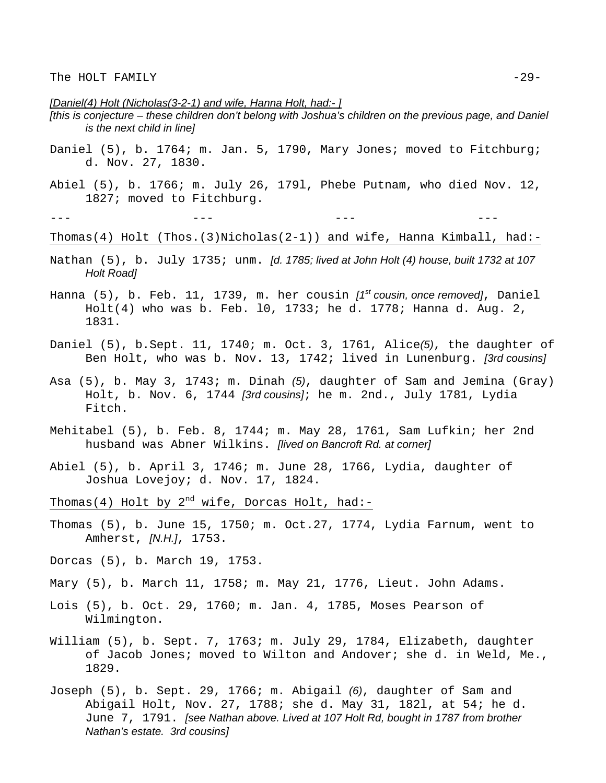# *[Daniel(4) Holt (Nicholas(3-2-1) and wife, Hanna Holt, had:- ]*

- *[this is conjecture these children don't belong with Joshua's children on the previous page, and Daniel is the next child in line]*
- Daniel (5), b. 1764; m. Jan. 5, 1790, Mary Jones; moved to Fitchburg; d. Nov. 27, 1830.
- Abiel (5), b. 1766; m. July 26, 179l, Phebe Putnam, who died Nov. 12, 1827; moved to Fitchburg.

Thomas(4) Holt (Thos.(3)Nicholas(2-1)) and wife, Hanna Kimball, had:-

- Nathan (5), b. July 1735; unm. *[d. 1785; lived at John Holt (4) house, built 1732 at 107 Holt Road]*
- Hanna (5), b. Feb. 11, 1739, m. her cousin *[1st cousin, once removed]*, Daniel Holt(4) who was b. Feb. l0, 1733; he d. 1778; Hanna d. Aug. 2, 1831.
- Daniel (5), b.Sept. 11, 1740; m. Oct. 3, 1761, Alice*(5)*, the daughter of Ben Holt, who was b. Nov. 13, 1742; lived in Lunenburg. *[3rd cousins]*
- Asa (5), b. May 3, 1743; m. Dinah *(5)*, daughter of Sam and Jemina (Gray) Holt, b. Nov. 6, 1744 *[3rd cousins]*; he m. 2nd., July 1781, Lydia Fitch.
- Mehitabel (5), b. Feb. 8, 1744; m. May 28, 1761, Sam Lufkin; her 2nd husband was Abner Wilkins. *[lived on Bancroft Rd. at corner]*
- Abiel (5), b. April 3, 1746; m. June 28, 1766, Lydia, daughter of Joshua Lovejoy; d. Nov. 17, 1824.
- Thomas(4) Holt by  $2^{nd}$  wife, Dorcas Holt, had:-
- Thomas (5), b. June 15, 1750; m. Oct.27, 1774, Lydia Farnum, went to Amherst, *[N.H.]*, 1753.
- Dorcas (5), b. March 19, 1753.
- Mary (5), b. March 11, 1758; m. May 21, 1776, Lieut. John Adams.
- Lois (5), b. Oct. 29, 1760; m. Jan. 4, 1785, Moses Pearson of Wilmington.
- William (5), b. Sept. 7, 1763; m. July 29, 1784, Elizabeth, daughter of Jacob Jones; moved to Wilton and Andover; she d. in Weld, Me., 1829.
- Joseph (5), b. Sept. 29, 1766; m. Abigail *(6)*, daughter of Sam and Abigail Holt, Nov. 27, 1788; she d. May 31, 182l, at 54; he d. June 7, 1791. *[see Nathan above. Lived at 107 Holt Rd, bought in 1787 from brother Nathan's estate. 3rd cousins]*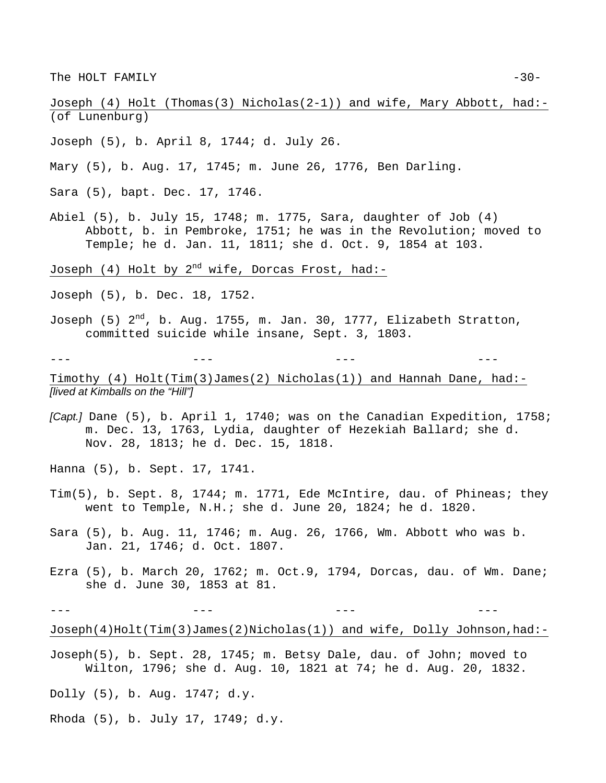The HOLT FAMILY  $-30-$ 

Joseph (4) Holt (Thomas(3) Nicholas(2-1)) and wife, Mary Abbott, had:- (of Lunenburg)

- Joseph (5), b. April 8, 1744; d. July 26.
- Mary (5), b. Aug. 17, 1745; m. June 26, 1776, Ben Darling.
- Sara (5), bapt. Dec. 17, 1746.
- Abiel (5), b. July 15, 1748; m. 1775, Sara, daughter of Job (4) Abbott, b. in Pembroke, 1751; he was in the Revolution; moved to Temple; he d. Jan. 11, 1811; she d. Oct. 9, 1854 at 103.

Joseph (4) Holt by  $2^{nd}$  wife, Dorcas Frost, had:-

Joseph (5), b. Dec. 18, 1752.

Joseph  $(5)$   $2<sup>nd</sup>$ , b. Aug. 1755, m. Jan. 30, 1777, Elizabeth Stratton, committed suicide while insane, Sept. 3, 1803.

--- --- --- ---

Timothy (4) Holt(Tim(3)James(2) Nicholas(1)) and Hannah Dane, had:- *[lived at Kimballs on the "Hill"]* 

*[Capt.]* Dane (5), b. April 1, 1740; was on the Canadian Expedition, 1758; m. Dec. 13, 1763, Lydia, daughter of Hezekiah Ballard; she d. Nov. 28, 1813; he d. Dec. 15, 1818.

Hanna (5), b. Sept. 17, 1741.

- Tim(5), b. Sept. 8, 1744; m. 1771, Ede McIntire, dau. of Phineas; they went to Temple, N.H.; she d. June 20, 1824; he d. 1820.
- Sara (5), b. Aug. 11, 1746; m. Aug. 26, 1766, Wm. Abbott who was b. Jan. 21, 1746; d. Oct. 1807.
- Ezra (5), b. March 20, 1762; m. Oct.9, 1794, Dorcas, dau. of Wm. Dane; she d. June 30, 1853 at 81.

Joseph(4)Holt(Tim(3)James(2)Nicholas(1)) and wife, Dolly Johnson,had:-

Joseph(5), b. Sept. 28, 1745; m. Betsy Dale, dau. of John; moved to Wilton, 1796; she d. Aug. 10, 1821 at 74; he d. Aug. 20, 1832.

- Dolly (5), b. Aug. 1747; d.y.
- Rhoda (5), b. July 17, 1749; d.y.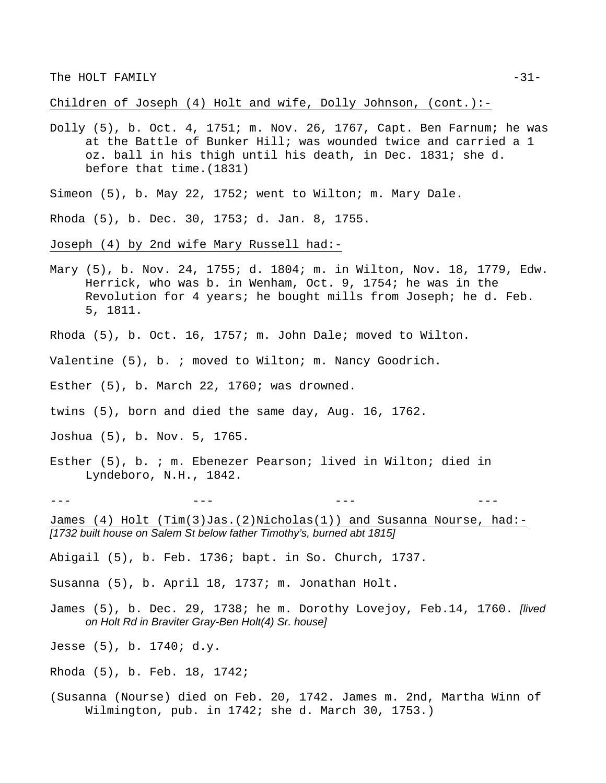Children of Joseph (4) Holt and wife, Dolly Johnson, (cont.):-

- Dolly (5), b. Oct. 4, 1751; m. Nov. 26, 1767, Capt. Ben Farnum; he was at the Battle of Bunker Hill; was wounded twice and carried a 1 oz. ball in his thigh until his death, in Dec. 1831; she d. before that time.(1831)
- Simeon (5), b. May 22, 1752; went to Wilton; m. Mary Dale.
- Rhoda (5), b. Dec. 30, 1753; d. Jan. 8, 1755.
- Joseph (4) by 2nd wife Mary Russell had:-
- Mary (5), b. Nov. 24, 1755; d. 1804; m. in Wilton, Nov. 18, 1779, Edw. Herrick, who was b. in Wenham, Oct. 9, 1754; he was in the Revolution for 4 years; he bought mills from Joseph; he d. Feb. 5, 1811.
- Rhoda (5), b. Oct. 16, 1757; m. John Dale; moved to Wilton.
- Valentine (5), b. ; moved to Wilton; m. Nancy Goodrich.
- Esther (5), b. March 22, 1760; was drowned.
- twins (5), born and died the same day, Aug. 16, 1762.
- Joshua (5), b. Nov. 5, 1765.
- Esther (5), b. ; m. Ebenezer Pearson; lived in Wilton; died in Lyndeboro, N.H., 1842.
- --- --- --- ---

James (4) Holt (Tim(3)Jas.(2)Nicholas(1)) and Susanna Nourse, had:- *[1732 built house on Salem St below father Timothy's, burned abt 1815]*

Abigail (5), b. Feb. 1736; bapt. in So. Church, 1737.

Susanna (5), b. April 18, 1737; m. Jonathan Holt.

- James (5), b. Dec. 29, 1738; he m. Dorothy Lovejoy, Feb.14, 1760. *[lived on Holt Rd in Braviter Gray-Ben Holt(4) Sr. house]*
- Jesse (5), b. 1740; d.y.
- Rhoda (5), b. Feb. 18, 1742;
- (Susanna (Nourse) died on Feb. 20, 1742. James m. 2nd, Martha Winn of Wilmington, pub. in 1742; she d. March 30, 1753.)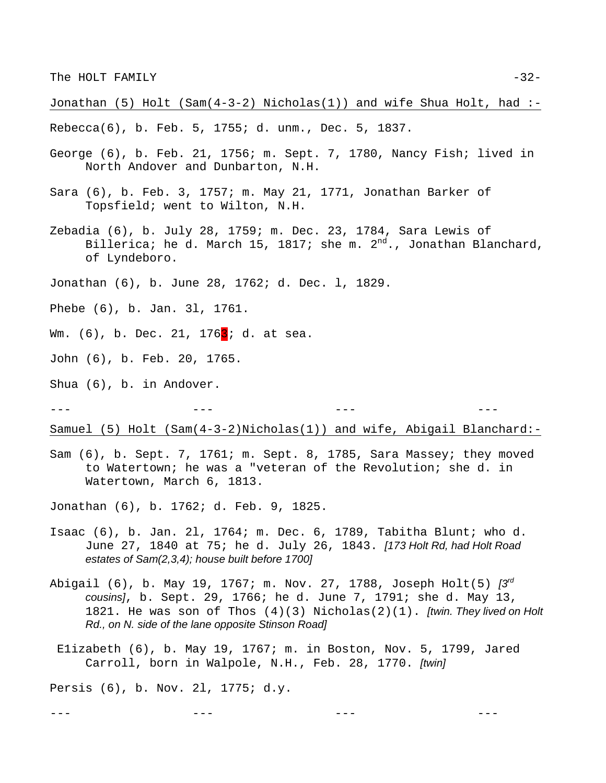Jonathan  $(5)$  Holt  $(Sam(4-3-2)$  Nicholas $(1))$  and wife Shua Holt, had :-

Rebecca(6), b. Feb. 5, 1755; d. unm., Dec. 5, 1837.

- George (6), b. Feb. 21, 1756; m. Sept. 7, 1780, Nancy Fish; lived in North Andover and Dunbarton, N.H.
- Sara (6), b. Feb. 3, 1757; m. May 21, 1771, Jonathan Barker of Topsfield; went to Wilton, N.H.
- Zebadia (6), b. July 28, 1759; m. Dec. 23, 1784, Sara Lewis of Billerica; he d. March 15, 1817; she m.  $2^{nd}$ ., Jonathan Blanchard, of Lyndeboro.
- Jonathan (6), b. June 28, 1762; d. Dec. l, 1829.
- Phebe (6), b. Jan. 3l, 1761.
- Wm. (6), b. Dec. 21, 176<sup>3</sup>; d. at sea.
- John (6), b. Feb. 20, 1765.
- Shua (6), b. in Andover.

--- --- --- ---

Samuel (5) Holt (Sam(4-3-2)Nicholas(1)) and wife, Abigail Blanchard:-

Sam (6), b. Sept. 7, 1761; m. Sept. 8, 1785, Sara Massey; they moved to Watertown; he was a "veteran of the Revolution; she d. in Watertown, March 6, 1813.

Jonathan (6), b. 1762; d. Feb. 9, 1825.

- Isaac (6), b. Jan. 2l, 1764; m. Dec. 6, 1789, Tabitha Blunt; who d. June 27, 1840 at 75; he d. July 26, 1843. *[173 Holt Rd, had Holt Road estates of Sam(2,3,4); house built before 1700]*
- Abigail (6), b. May 19, 1767; m. Nov. 27, 1788, Joseph Holt(5) *[3rd cousins]*, b. Sept. 29, 1766; he d. June 7, 1791; she d. May 13, 1821. He was son of Thos (4)(3) Nicholas(2)(1). *[twin. They lived on Holt Rd., on N. side of the lane opposite Stinson Road]*
	- E1izabeth (6), b. May 19, 1767; m. in Boston, Nov. 5, 1799, Jared Carroll, born in Walpole, N.H., Feb. 28, 1770. *[twin]*

--- --- --- ---

Persis (6), b. Nov. 2l, 1775; d.y.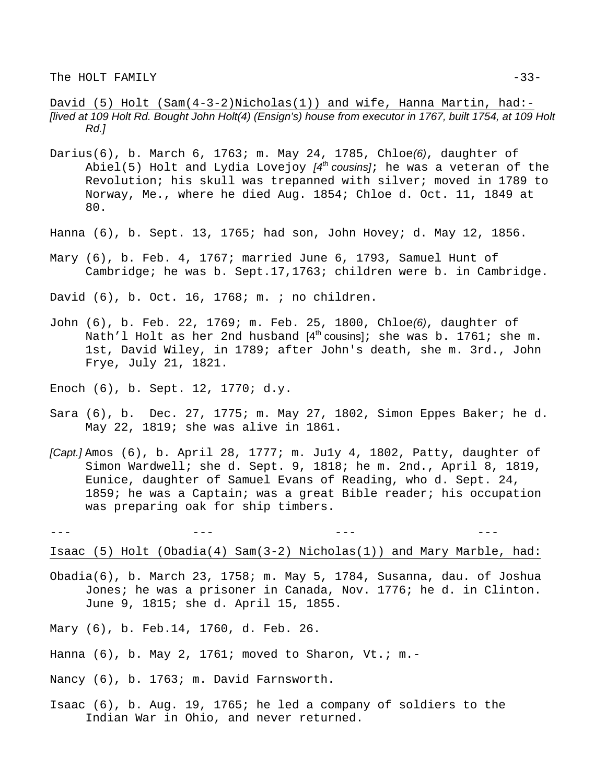David (5) Holt (Sam(4-3-2)Nicholas(1)) and wife, Hanna Martin, had:- *[lived at 109 Holt Rd. Bought John Holt(4) (Ensign's) house from executor in 1767, built 1754, at 109 Holt Rd.]*

- Darius(6), b. March 6, 1763; m. May 24, 1785, Chloe*(6)*, daughter of Abiel(5) Holt and Lydia Lovejoy *[4th cousins]*; he was a veteran of the Revolution; his skull was trepanned with silver; moved in 1789 to Norway, Me., where he died Aug. 1854; Chloe d. Oct. 11, 1849 at 80.
- Hanna (6), b. Sept. 13, 1765; had son, John Hovey; d. May 12, 1856.
- Mary (6), b. Feb. 4, 1767; married June 6, 1793, Samuel Hunt of Cambridge; he was b. Sept.17,1763; children were b. in Cambridge.

David (6), b. Oct. 16, 1768; m. ; no children.

- John (6), b. Feb. 22, 1769; m. Feb. 25, 1800, Chloe*(6)*, daughter of Nath'l Holt as her 2nd husband  $[4<sup>th</sup>$  cousins]; she was b. 1761; she m. 1st, David Wiley, in 1789; after John's death, she m. 3rd., John Frye, July 21, 1821.
- Enoch (6), b. Sept. 12, 1770; d.y.
- Sara (6), b. Dec. 27, 1775; m. May 27, 1802, Simon Eppes Baker; he d. May 22, 1819; she was alive in 1861.
- *[Capt.]* Amos (6), b. April 28, 1777; m. Ju1y 4, 1802, Patty, daughter of Simon Wardwell; she d. Sept. 9, 1818; he m. 2nd., April 8, 1819, Eunice, daughter of Samuel Evans of Reading, who d. Sept. 24, 1859; he was a Captain; was a great Bible reader; his occupation was preparing oak for ship timbers.

Isaac (5) Holt (Obadia(4) Sam(3-2) Nicholas(1)) and Mary Marble, had:

- Obadia(6), b. March 23, 1758; m. May 5, 1784, Susanna, dau. of Joshua Jones; he was a prisoner in Canada, Nov. 1776; he d. in Clinton. June 9, 1815; she d. April 15, 1855.
- Mary (6), b. Feb.14, 1760, d. Feb. 26.
- Hanna (6), b. May 2, 1761; moved to Sharon, Vt.; m.-
- Nancy (6), b. 1763; m. David Farnsworth.
- Isaac (6), b. Aug. 19, 1765; he led a company of soldiers to the Indian War in Ohio, and never returned.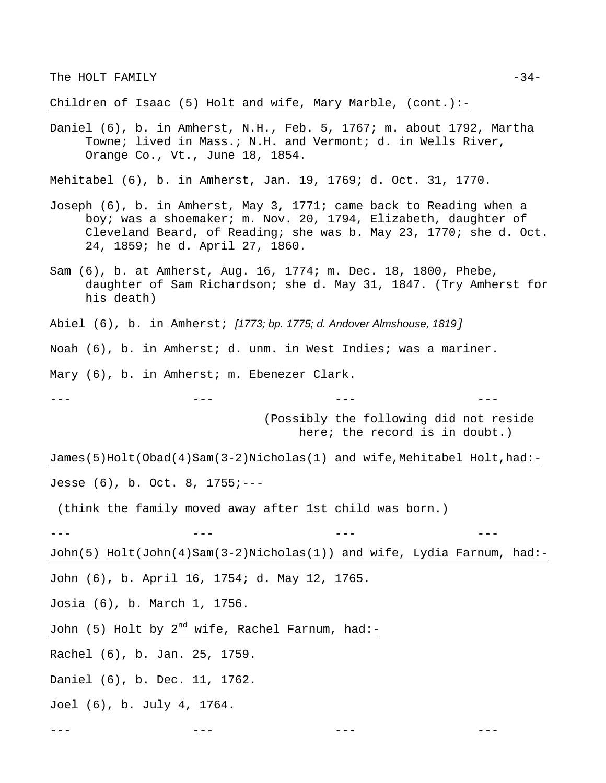Children of Isaac (5) Holt and wife, Mary Marble, (cont.):-

Daniel (6), b. in Amherst, N.H., Feb. 5, 1767; m. about 1792, Martha Towne; lived in Mass.; N.H. and Vermont; d. in Wells River, Orange Co., Vt., June 18, 1854.

Mehitabel (6), b. in Amherst, Jan. 19, 1769; d. Oct. 31, 1770.

- Joseph (6), b. in Amherst, May 3, 1771; came back to Reading when a boy; was a shoemaker; m. Nov. 20, 1794, Elizabeth, daughter of Cleveland Beard, of Reading; she was b. May 23, 1770; she d. Oct. 24, 1859; he d. April 27, 1860.
- Sam (6), b. at Amherst, Aug. 16, 1774; m. Dec. 18, 1800, Phebe, daughter of Sam Richardson; she d. May 31, 1847. (Try Amherst for his death)

Abiel (6), b. in Amherst; *[1773; bp. 1775; d. Andover Almshouse, 1819]* 

Noah (6), b. in Amherst; d. unm. in West Indies; was a mariner.

--- --- --- ---

Mary (6), b. in Amherst; m. Ebenezer Clark.

(Possibly the following did not reside here; the record is in doubt.)

James(5)Holt(Obad(4)Sam(3-2)Nicholas(1) and wife,Mehitabel Holt,had:- Jesse (6), b. Oct. 8, 1755;---

(think the family moved away after 1st child was born.)

--- --- --- ---

John(5) Holt(John(4)Sam(3-2)Nicholas(1)) and wife, Lydia Farnum, had:-

--- --- --- ---

John (6), b. April 16, 1754; d. May 12, 1765.

Josia (6), b. March 1, 1756.

John (5) Holt by  $2^{nd}$  wife, Rachel Farnum, had:-

Rachel (6), b. Jan. 25, 1759.

Daniel (6), b. Dec. 11, 1762.

Joel (6), b. July 4, 1764.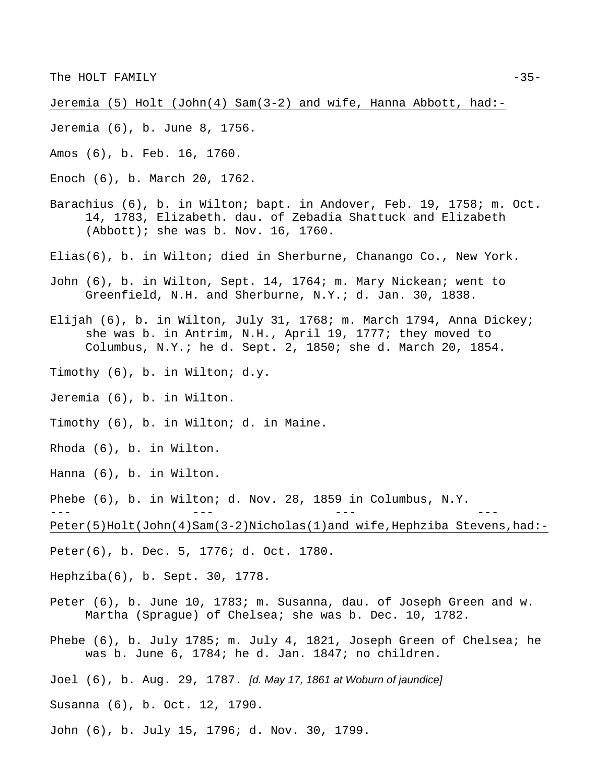Jeremia (5) Holt (John(4) Sam(3-2) and wife, Hanna Abbott, had:-

- Jeremia (6), b. June 8, 1756.
- Amos (6), b. Feb. 16, 1760.
- Enoch (6), b. March 20, 1762.
- Barachius (6), b. in Wilton; bapt. in Andover, Feb. 19, 1758; m. Oct. 14, 1783, Elizabeth. dau. of Zebadia Shattuck and Elizabeth (Abbott); she was b. Nov. 16, 1760.
- Elias(6), b. in Wilton; died in Sherburne, Chanango Co., New York.
- John (6), b. in Wilton, Sept. 14, 1764; m. Mary Nickean; went to Greenfield, N.H. and Sherburne, N.Y.; d. Jan. 30, 1838.
- Elijah (6), b. in Wilton, July 31, 1768; m. March 1794, Anna Dickey; she was b. in Antrim, N.H., April 19, 1777; they moved to Columbus, N.Y.; he d. Sept. 2, 1850; she d. March 20, 1854.
- Timothy (6), b. in Wilton; d.y.
- Jeremia (6), b. in Wilton.
- Timothy (6), b. in Wilton; d. in Maine.
- Rhoda (6), b. in Wilton.
- Hanna (6), b. in Wilton.
- Phebe (6), b. in Wilton; d. Nov. 28, 1859 in Columbus, N.Y.

--- --- --- ---

Peter(5)Holt(John(4)Sam(3-2)Nicholas(1)and wife,Hephziba Stevens,had:-

- Peter(6), b. Dec. 5, 1776; d. Oct. 1780.
- Hephziba(6), b. Sept. 30, 1778.
- Peter (6), b. June 10, 1783; m. Susanna, dau. of Joseph Green and w. Martha (Sprague) of Chelsea; she was b. Dec. 10, 1782.
- Phebe (6), b. July 1785; m. July 4, 1821, Joseph Green of Chelsea; he was b. June 6, 1784; he d. Jan. 1847; no children.
- Joel (6), b. Aug. 29, 1787. *[d. May 17, 1861 at Woburn of jaundice]*
- Susanna (6), b. Oct. 12, 1790.
- John (6), b. July 15, 1796; d. Nov. 30, 1799.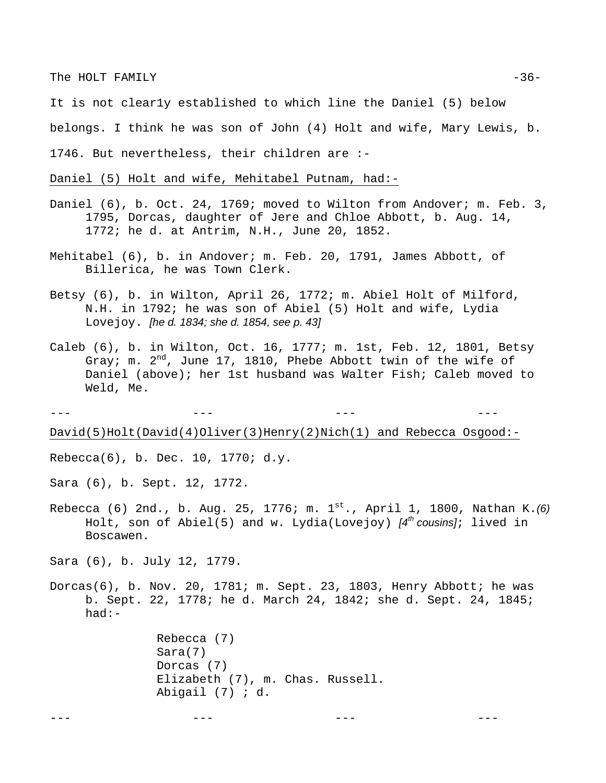The HOLT FAMILY  $-36-$ 

It is not clear1y established to which line the Daniel (5) below

belongs. I think he was son of John (4) Holt and wife, Mary Lewis, b.

1746. But nevertheless, their children are :-

Daniel (5) Holt and wife, Mehitabel Putnam, had:-

- Daniel (6), b. Oct. 24, 1769; moved to Wilton from Andover; m. Feb. 3, 1795, Dorcas, daughter of Jere and Chloe Abbott, b. Aug. 14, 1772; he d. at Antrim, N.H., June 20, 1852.
- Mehitabel (6), b. in Andover; m. Feb. 20, 1791, James Abbott, of Billerica, he was Town Clerk.
- Betsy (6), b. in Wilton, April 26, 1772; m. Abiel Holt of Milford, N.H. in 1792; he was son of Abiel (5) Holt and wife, Lydia Lovejoy. *[he d. 1834; she d. 1854, see p. 43]*
- Caleb (6), b. in Wilton, Oct. 16, 1777; m. 1st, Feb. 12, 1801, Betsy Gray; m.  $2^{nd}$ , June 17, 1810, Phebe Abbott twin of the wife of Daniel (above); her 1st husband was Walter Fish; Caleb moved to Weld, Me.

--- --- --- --- David(5)Holt(David(4)Oliver(3)Henry(2)Nich(1) and Rebecca Osgood:-

Rebecca(6), b. Dec. 10, 1770; d.y.

Sara (6), b. Sept. 12, 1772.

Rebecca (6) 2nd., b. Aug. 25, 1776; m. 1st., April 1, 1800, Nathan K.*(6)* Holt, son of Abiel(5) and w. Lydia(Lovejoy) *[4th cousins]*; lived in Boscawen.

Sara (6), b. July 12, 1779.

Dorcas(6), b. Nov. 20, 1781; m. Sept. 23, 1803, Henry Abbott; he was b. Sept. 22, 1778; he d. March 24, 1842; she d. Sept. 24, 1845; had:-

> Rebecca (7) Sara(7) Dorcas (7) Elizabeth (7), m. Chas. Russell. Abigail (7) ; d.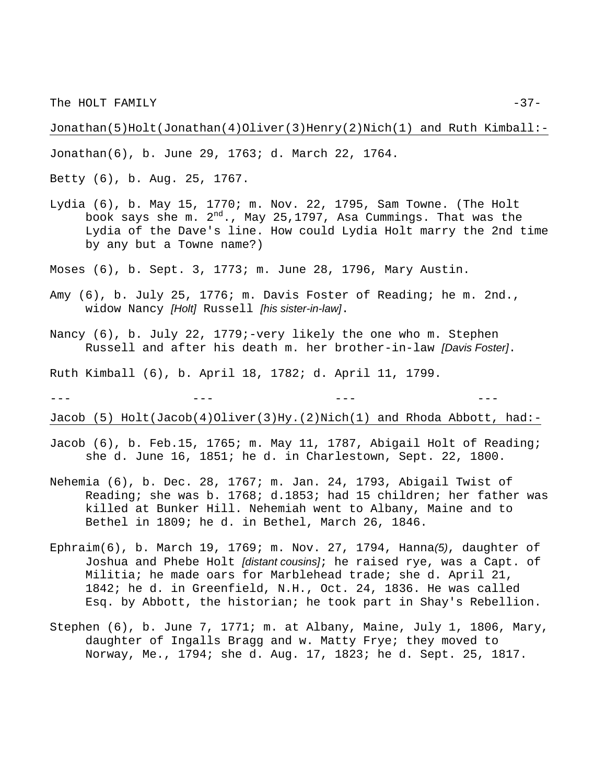The HOLT FAMILY  $-37-$ 

Jonathan(5)Holt(Jonathan(4)Oliver(3)Henry(2)Nich(1) and Ruth Kimball:-

Jonathan(6), b. June 29, 1763; d. March 22, 1764.

Betty (6), b. Aug. 25, 1767.

- Lydia (6), b. May 15, 1770; m. Nov. 22, 1795, Sam Towne. (The Holt book says she m.  $2^{nd}$ ., May 25,1797, Asa Cummings. That was the Lydia of the Dave's line. How could Lydia Holt marry the 2nd time by any but a Towne name?)
- Moses (6), b. Sept. 3, 1773; m. June 28, 1796, Mary Austin.
- Amy (6), b. July 25, 1776; m. Davis Foster of Reading; he m. 2nd., widow Nancy *[Holt]* Russell *[his sister-in-law]*.
- Nancy (6), b. July 22, 1779;-very likely the one who m. Stephen Russell and after his death m. her brother-in-law *[Davis Foster]*.

--- --- --- ---

Ruth Kimball (6), b. April 18, 1782; d. April 11, 1799.

Jacob (5) Holt(Jacob(4)Oliver(3)Hy.(2)Nich(1) and Rhoda Abbott, had:-

- Jacob (6), b. Feb.15, 1765; m. May 11, 1787, Abigail Holt of Reading; she d. June 16, 1851; he d. in Charlestown, Sept. 22, 1800.
- Nehemia (6), b. Dec. 28, 1767; m. Jan. 24, 1793, Abigail Twist of Reading; she was b. 1768; d.1853; had 15 children; her father was killed at Bunker Hill. Nehemiah went to Albany, Maine and to Bethel in 1809; he d. in Bethel, March 26, 1846.
- Ephraim(6), b. March 19, 1769; m. Nov. 27, 1794, Hanna*(5)*, daughter of Joshua and Phebe Holt *[distant cousins]*; he raised rye, was a Capt. of Militia; he made oars for Marblehead trade; she d. April 21, 1842; he d. in Greenfield, N.H., Oct. 24, 1836. He was called Esq. by Abbott, the historian; he took part in Shay's Rebellion.
- Stephen (6), b. June 7, 1771; m. at Albany, Maine, July 1, 1806, Mary, daughter of Ingalls Bragg and w. Matty Frye; they moved to Norway, Me., 1794; she d. Aug. 17, 1823; he d. Sept. 25, 1817.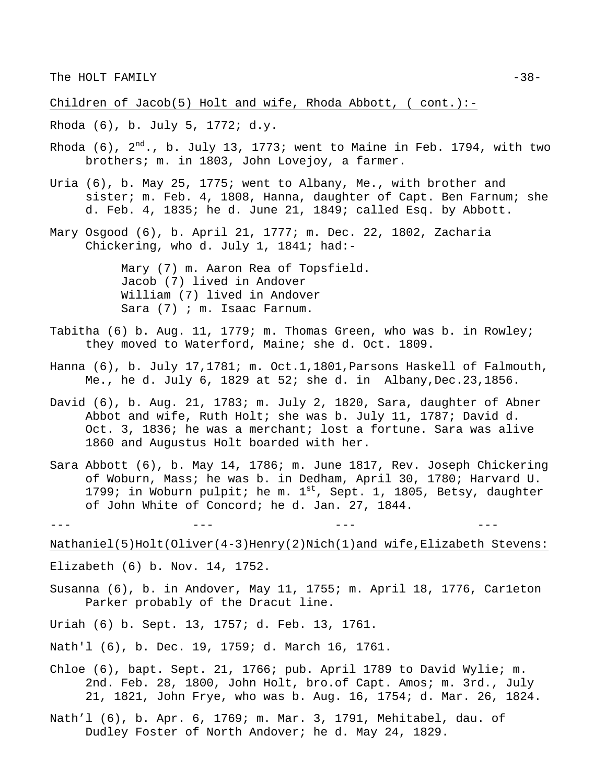Children of Jacob(5) Holt and wife, Rhoda Abbott, ( cont.):-

Rhoda (6), b. July 5, 1772; d.y.

- Rhoda (6),  $2^{nd}$ ., b. July 13, 1773; went to Maine in Feb. 1794, with two brothers; m. in 1803, John Lovejoy, a farmer.
- Uria (6), b. May 25, 1775; went to Albany, Me., with brother and sister; m. Feb. 4, 1808, Hanna, daughter of Capt. Ben Farnum; she d. Feb. 4, 1835; he d. June 21, 1849; called Esq. by Abbott.
- Mary Osgood (6), b. April 21, 1777; m. Dec. 22, 1802, Zacharia Chickering, who d. July 1, 1841; had:-

Mary (7) m. Aaron Rea of Topsfield. Jacob (7) lived in Andover William (7) lived in Andover Sara (7) ; m. Isaac Farnum.

- Tabitha (6) b. Aug. 11, 1779; m. Thomas Green, who was b. in Rowley; they moved to Waterford, Maine; she d. Oct. 1809.
- Hanna (6), b. July 17,1781; m. Oct.1,1801, Parsons Haskell of Falmouth, Me., he d. July 6, 1829 at 52; she d. in Albany,Dec.23,1856.
- David (6), b. Aug. 21, 1783; m. July 2, 1820, Sara, daughter of Abner Abbot and wife, Ruth Holt; she was b. July 11, 1787; David d. Oct. 3, 1836; he was a merchant; lost a fortune. Sara was alive 1860 and Augustus Holt boarded with her.
- Sara Abbott (6), b. May 14, 1786; m. June 1817, Rev. Joseph Chickering of Woburn, Mass; he was b. in Dedham, April 30, 1780; Harvard U. 1799; in Woburn pulpit; he m.  $1^{st}$ , Sept. 1, 1805, Betsy, daughter of John White of Concord; he d. Jan. 27, 1844.

Nathaniel(5)Holt(Oliver(4-3)Henry(2)Nich(1)and wife,Elizabeth Stevens:

- Elizabeth (6) b. Nov. 14, 1752.
- Susanna (6), b. in Andover, May 11, 1755; m. April 18, 1776, Car1eton Parker probably of the Dracut line.
- Uriah (6) b. Sept. 13, 1757; d. Feb. 13, 1761.
- Nath'l (6), b. Dec. 19, 1759; d. March 16, 1761.
- Chloe (6), bapt. Sept. 21, 1766; pub. April 1789 to David Wylie; m. 2nd. Feb. 28, 1800, John Holt, bro.of Capt. Amos; m. 3rd., July 21, 1821, John Frye, who was b. Aug. 16, 1754; d. Mar. 26, 1824.
- Nath'l (6), b. Apr. 6, 1769; m. Mar. 3, 1791, Mehitabel, dau. of Dudley Foster of North Andover; he d. May 24, 1829.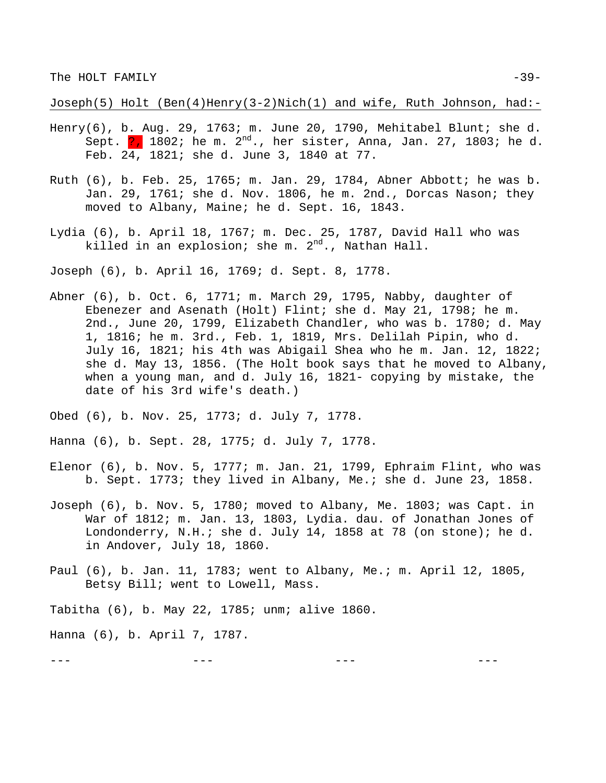Joseph(5) Holt (Ben(4)Henry(3-2)Nich(1) and wife, Ruth Johnson, had:-

- Henry(6), b. Aug. 29, 1763; m. June 20, 1790, Mehitabel Blunt; she d. Sept.  $\frac{1}{2}$ , 1802; he m.  $2^{nd}$ ., her sister, Anna, Jan. 27, 1803; he d. Feb. 24, 1821; she d. June 3, 1840 at 77.
- Ruth (6), b. Feb. 25, 1765; m. Jan. 29, 1784, Abner Abbott; he was b. Jan. 29, 1761; she d. Nov. 1806, he m. 2nd., Dorcas Nason; they moved to Albany, Maine; he d. Sept. 16, 1843.
- Lydia (6), b. April 18, 1767; m. Dec. 25, 1787, David Hall who was killed in an explosion; she m.  $2^{nd}$ ., Nathan Hall.

Joseph (6), b. April 16, 1769; d. Sept. 8, 1778.

- Abner (6), b. Oct. 6, 1771; m. March 29, 1795, Nabby, daughter of Ebenezer and Asenath (Holt) Flint; she d. May 21, 1798; he m. 2nd., June 20, 1799, Elizabeth Chandler, who was b. 1780; d. May 1, 1816; he m. 3rd., Feb. 1, 1819, Mrs. Delilah Pipin, who d. July 16, 1821; his 4th was Abigail Shea who he m. Jan. 12, 1822; she d. May 13, 1856. (The Holt book says that he moved to Albany, when a young man, and d. July 16, 1821- copying by mistake, the date of his 3rd wife's death.)
- Obed (6), b. Nov. 25, 1773; d. July 7, 1778.

Hanna (6), b. Sept. 28, 1775; d. July 7, 1778.

- Elenor (6), b. Nov. 5, 1777; m. Jan. 21, 1799, Ephraim Flint, who was b. Sept. 1773; they lived in Albany, Me.; she d. June 23, 1858.
- Joseph (6), b. Nov. 5, 1780; moved to Albany, Me. 1803; was Capt. in War of 1812; m. Jan. 13, 1803, Lydia. dau. of Jonathan Jones of Londonderry, N.H.; she d. July 14, 1858 at 78 (on stone); he d. in Andover, July 18, 1860.
- Paul (6), b. Jan. 11, 1783; went to Albany, Me.; m. April 12, 1805, Betsy Bill; went to Lowell, Mass.

Tabitha (6), b. May 22, 1785; unm; alive 1860.

Hanna (6), b. April 7, 1787.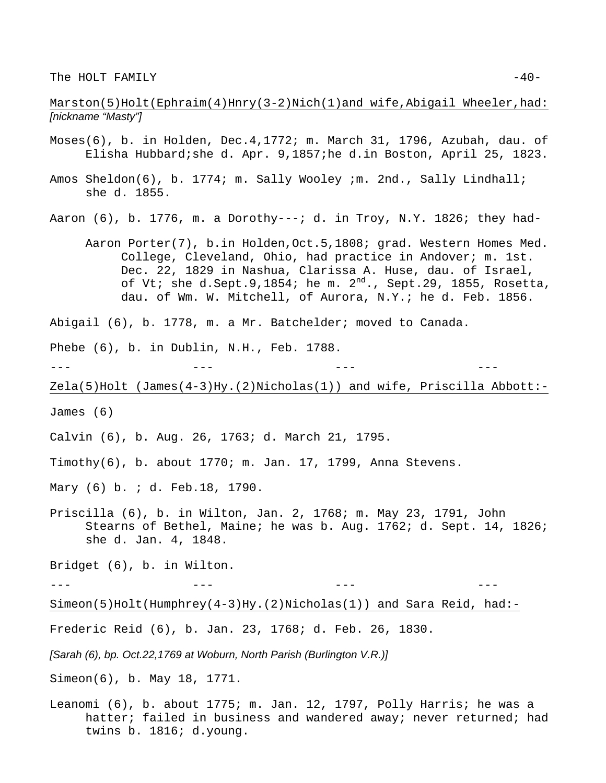### Marston(5)Holt(Ephraim(4)Hnry(3-2)Nich(1)and wife,Abigail Wheeler,had: *[nickname "Masty"]*

- Moses(6), b. in Holden, Dec.4,1772; m. March 31, 1796, Azubah, dau. of Elisha Hubbard;she d. Apr. 9,1857;he d.in Boston, April 25, 1823.
- Amos Sheldon(6), b. 1774; m. Sally Wooley ;m. 2nd., Sally Lindhall; she d. 1855.
- Aaron  $(6)$ , b. 1776, m. a Dorothy---; d. in Troy, N.Y. 1826; they had-
	- Aaron Porter(7), b.in Holden,Oct.5,1808; grad. Western Homes Med. College, Cleveland, Ohio, had practice in Andover; m. 1st. Dec. 22, 1829 in Nashua, Clarissa A. Huse, dau. of Israel, of Vt; she d.Sept.9,1854; he m.  $2<sup>nd</sup>$ ., Sept.29, 1855, Rosetta, dau. of Wm. W. Mitchell, of Aurora, N.Y.; he d. Feb. 1856.

Abigail (6), b. 1778, m. a Mr. Batchelder; moved to Canada.

Phebe (6), b. in Dublin, N.H., Feb. 1788.

```
--- --- --- ---
```
 $Zela(5)$ Holt (James(4-3)Hy.(2)Nicholas(1)) and wife, Priscilla Abbott:-

James (6)

- Calvin (6), b. Aug. 26, 1763; d. March 21, 1795.
- Timothy(6), b. about 1770; m. Jan. 17, 1799, Anna Stevens.

Mary (6) b. ; d. Feb.18, 1790.

Priscilla (6), b. in Wilton, Jan. 2, 1768; m. May 23, 1791, John Stearns of Bethel, Maine; he was b. Aug. 1762; d. Sept. 14, 1826; she d. Jan. 4, 1848.

Bridget (6), b. in Wilton.

--- --- --- ---

Simeon(5)Holt(Humphrey(4-3)Hy.(2)Nicholas(1)) and Sara Reid, had:-

Frederic Reid (6), b. Jan. 23, 1768; d. Feb. 26, 1830.

*[Sarah (6), bp. Oct.22,1769 at Woburn, North Parish (Burlington V.R.)]*

Simeon(6), b. May 18, 1771.

Leanomi (6), b. about 1775; m. Jan. 12, 1797, Polly Harris; he was a hatter; failed in business and wandered away; never returned; had twins b. 1816; d.young.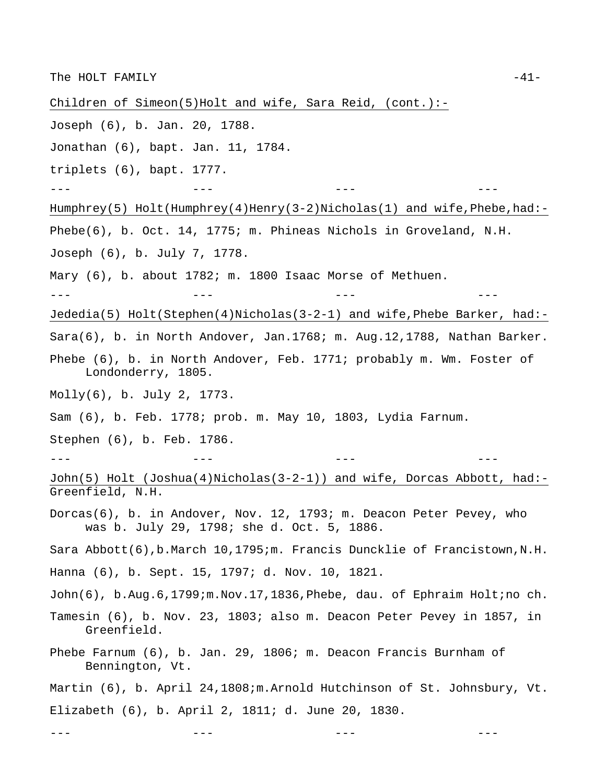Children of Simeon(5)Holt and wife, Sara Reid, (cont.):-

- Joseph (6), b. Jan. 20, 1788.
- Jonathan (6), bapt. Jan. 11, 1784.
- triplets (6), bapt. 1777.

--- --- --- ---

Humphrey(5) Holt(Humphrey(4)Henry(3-2)Nicholas(1) and wife, Phebe, had:-Phebe(6), b. Oct. 14, 1775; m. Phineas Nichols in Groveland, N.H.

- Joseph (6), b. July 7, 1778.
- Mary (6), b. about 1782; m. 1800 Isaac Morse of Methuen.

--- --- --- ---

Jededia(5) Holt(Stephen(4)Nicholas(3-2-1) and wife,Phebe Barker, had:-

Sara(6), b. in North Andover, Jan.1768; m. Aug.12,1788, Nathan Barker.

- Phebe (6), b. in North Andover, Feb. 1771; probably m. Wm. Foster of Londonderry, 1805.
- Molly(6), b. July 2, 1773.
- Sam (6), b. Feb. 1778; prob. m. May 10, 1803, Lydia Farnum.

Stephen (6), b. Feb. 1786.

--- --- --- ---

John(5) Holt (Joshua(4)Nicholas(3-2-1)) and wife, Dorcas Abbott, had:- Greenfield, N.H.

Dorcas(6), b. in Andover, Nov. 12, 1793; m. Deacon Peter Pevey, who was b. July 29, 1798; she d. Oct. 5, 1886.

Sara Abbott(6),b.March 10,1795;m. Francis Duncklie of Francistown,N.H.

Hanna (6), b. Sept. 15, 1797; d. Nov. 10, 1821.

- John(6), b.Aug.6,1799;m.Nov.17,1836, Phebe, dau. of Ephraim Holt;no ch.
- Tamesin (6), b. Nov. 23, 1803; also m. Deacon Peter Pevey in 1857, in Greenfield.
- Phebe Farnum (6), b. Jan. 29, 1806; m. Deacon Francis Burnham of Bennington, Vt.

--- --- --- ---

Martin (6), b. April 24,1808;m.Arnold Hutchinson of St. Johnsbury, Vt. Elizabeth (6), b. April 2, 1811; d. June 20, 1830.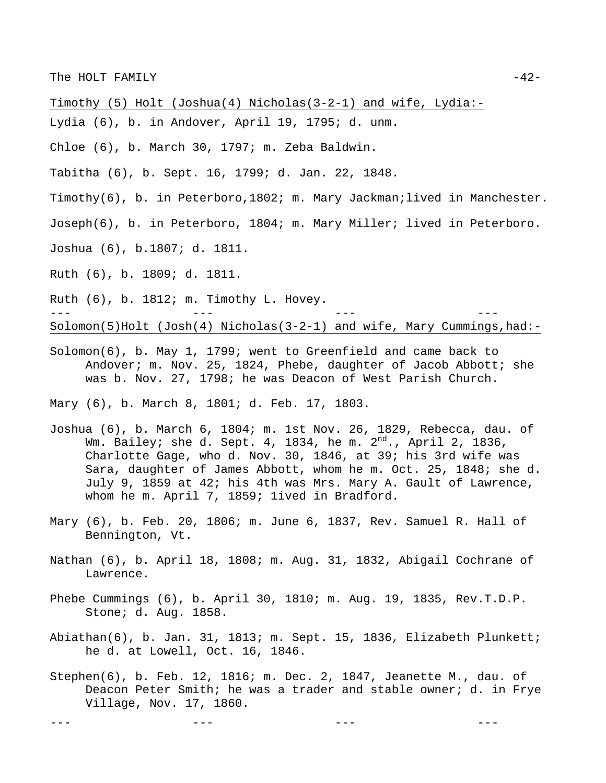Timothy (5) Holt (Joshua(4) Nicholas(3-2-1) and wife, Lydia:-

- Lydia (6), b. in Andover, April 19, 1795; d. unm.
- Chloe (6), b. March 30, 1797; m. Zeba Baldwin.
- Tabitha (6), b. Sept. 16, 1799; d. Jan. 22, 1848.
- Timothy(6), b. in Peterboro,1802; m. Mary Jackman;lived in Manchester.
- Joseph(6), b. in Peterboro, 1804; m. Mary Miller; lived in Peterboro.
- Joshua (6), b.1807; d. 1811.
- Ruth (6), b. 1809; d. 1811.

Ruth (6), b. 1812; m. Timothy L. Hovey. --- --- --- --- Solomon(5)Holt (Josh(4) Nicholas(3-2-1) and wife, Mary Cummings,had:-

Solomon(6), b. May 1, 1799; went to Greenfield and came back to Andover; m. Nov. 25, 1824, Phebe, daughter of Jacob Abbott; she was b. Nov. 27, 1798; he was Deacon of West Parish Church.

Mary (6), b. March 8, 1801; d. Feb. 17, 1803.

- Joshua (6), b. March 6, 1804; m. 1st Nov. 26, 1829, Rebecca, dau. of Wm. Bailey; she d. Sept. 4, 1834, he m.  $2^{nd}$ ., April 2, 1836, Charlotte Gage, who d. Nov. 30, 1846, at 39; his 3rd wife was Sara, daughter of James Abbott, whom he m. Oct. 25, 1848; she d. July 9, 1859 at 42; his 4th was Mrs. Mary A. Gault of Lawrence, whom he m. April 7, 1859; 1ived in Bradford.
- Mary (6), b. Feb. 20, 1806; m. June 6, 1837, Rev. Samuel R. Hall of Bennington, Vt.
- Nathan (6), b. April 18, 1808; m. Aug. 31, 1832, Abigail Cochrane of Lawrence.
- Phebe Cummings (6), b. April 30, 1810; m. Aug. 19, 1835, Rev.T.D.P. Stone; d. Aug. 1858.
- Abiathan(6), b. Jan. 31, 1813; m. Sept. 15, 1836, Elizabeth Plunkett; he d. at Lowell, Oct. 16, 1846.
- Stephen(6), b. Feb. 12, 1816; m. Dec. 2, 1847, Jeanette M., dau. of Deacon Peter Smith; he was a trader and stable owner; d. in Frye Village, Nov. 17, 1860.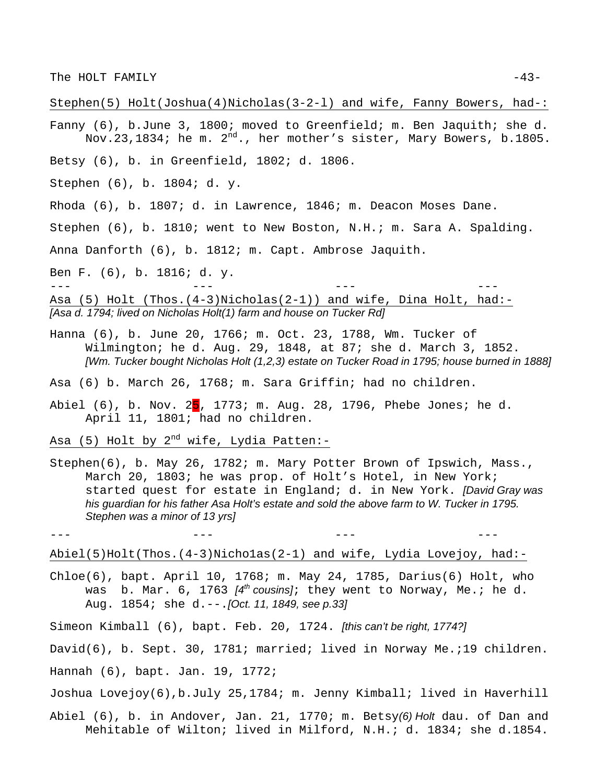Stephen(5) Holt(Joshua(4)Nicholas(3-2-l) and wife, Fanny Bowers, had-:

Fanny (6), b.June 3, 1800; moved to Greenfield; m. Ben Jaquith; she d. Nov.23,1834; he m. 2<sup>nd</sup>., her mother's sister, Mary Bowers, b.1805.

Betsy (6), b. in Greenfield, 1802; d. 1806.

Stephen (6), b. 1804; d. y.

Rhoda (6), b. 1807; d. in Lawrence, 1846; m. Deacon Moses Dane.

Stephen (6), b. 1810; went to New Boston, N.H.; m. Sara A. Spalding.

Anna Danforth (6), b. 1812; m. Capt. Ambrose Jaquith.

Ben F. (6), b. 1816; d. y.

--- --- --- --- Asa (5) Holt (Thos.(4-3)Nicholas(2-1)) and wife, Dina Holt, had:- *[Asa d. 1794; lived on Nicholas Holt(1) farm and house on Tucker Rd]* 

Hanna (6), b. June 20, 1766; m. Oct. 23, 1788, Wm. Tucker of Wilmington; he d. Aug. 29, 1848, at 87; she d. March 3, 1852. *[Wm. Tucker bought Nicholas Holt (1,2,3) estate on Tucker Road in 1795; house burned in 1888]*

Asa (6) b. March 26, 1768; m. Sara Griffin; had no children.

Abiel (6), b. Nov.  $25$ , 1773; m. Aug. 28, 1796, Phebe Jones; he d. April 11, 1801; had no children.

Asa (5) Holt by  $2^{nd}$  wife, Lydia Patten:-

Stephen(6), b. May 26, 1782; m. Mary Potter Brown of Ipswich, Mass., March 20, 1803; he was prop. of Holt's Hotel, in New York; started quest for estate in England; d. in New York. *[David Gray was his guardian for his father Asa Holt's estate and sold the above farm to W. Tucker in 1795. Stephen was a minor of 13 yrs]*

Abiel(5)Holt(Thos.(4-3)Nicho1as(2-1) and wife, Lydia Lovejoy, had:-

--- --- --- ---

Chloe(6), bapt. April 10, 1768; m. May 24, 1785, Darius(6) Holt, who was b. Mar. 6, 1763 *[4th cousins]*; they went to Norway, Me.; he d. Aug. 1854; she d.--.*[Oct. 11, 1849, see p.33]* 

Simeon Kimball (6), bapt. Feb. 20, 1724. *[this can't be right, 1774?]*

David(6), b. Sept. 30, 1781; married; lived in Norway Me.;19 children.

Hannah (6), bapt. Jan. 19, 1772;

Joshua Lovejoy(6),b.July 25,1784; m. Jenny Kimball; lived in Haverhill

Abiel (6), b. in Andover, Jan. 21, 1770; m. Betsy*(6) Holt* dau. of Dan and Mehitable of Wilton; lived in Milford, N.H.; d. 1834; she d.1854.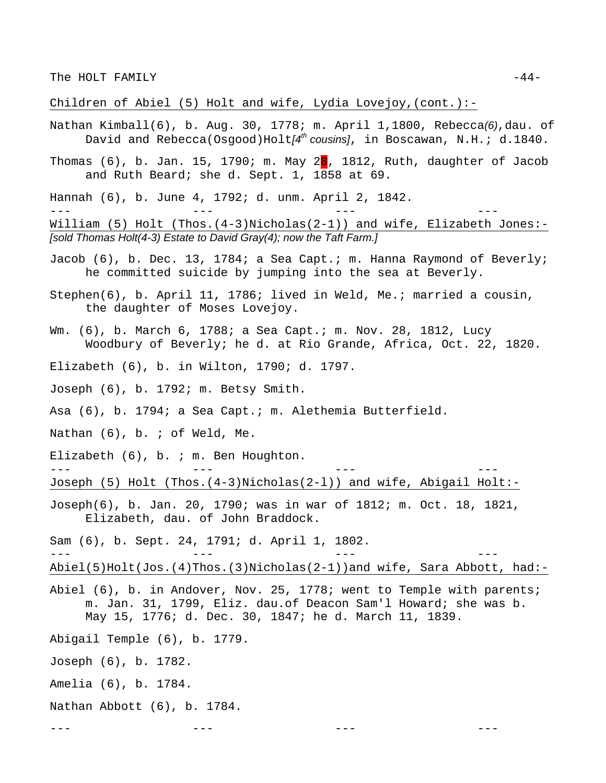Children of Abiel (5) Holt and wife, Lydia Lovejoy, (cont.) :-

- Nathan Kimball(6), b. Aug. 30, 1778; m. April 1,1800, Rebecca*(6)*,dau. of David and Rebecca(Osgood)Holt*[4th cousins]*, in Boscawan, N.H.; d.1840.
- Thomas  $(6)$ , b. Jan. 15, 1790; m. May 28, 1812, Ruth, daughter of Jacob and Ruth Beard; she d. Sept. 1, 1858 at 69.
- Hannah (6), b. June 4, 1792; d. unm. April 2, 1842.

William (5) Holt (Thos.(4-3)Nicholas(2-1)) and wife, Elizabeth Jones:-*[sold Thomas Holt(4-3) Estate to David Gray(4); now the Taft Farm.]* 

--- --- --- ---

- Jacob (6), b. Dec. 13, 1784; a Sea Capt.; m. Hanna Raymond of Beverly; he committed suicide by jumping into the sea at Beverly.
- Stephen(6), b. April 11, 1786; lived in Weld, Me.; married a cousin, the daughter of Moses Lovejoy.
- Wm. (6), b. March 6, 1788; a Sea Capt.; m. Nov. 28, 1812, Lucy Woodbury of Beverly; he d. at Rio Grande, Africa, Oct. 22, 1820.
- Elizabeth (6), b. in Wilton, 1790; d. 1797.
- Joseph (6), b. 1792; m. Betsy Smith.
- Asa (6), b. 1794; a Sea Capt.; m. Alethemia Butterfield.
- Nathan (6), b. ; of Weld, Me.
- Elizabeth (6), b. ; m. Ben Houghton.

--- --- --- --- Joseph (5) Holt (Thos.(4-3)Nicholas(2-l)) and wife, Abigail Holt:-

Joseph(6), b. Jan. 20, 1790; was in war of 1812; m. Oct. 18, 1821, Elizabeth, dau. of John Braddock.

--- --- --- ---

--- --- --- ---

Sam (6), b. Sept. 24, 1791; d. April 1, 1802.

Abiel(5)Holt(Jos.(4)Thos.(3)Nicholas(2-1))and wife, Sara Abbott, had:-

- Abiel (6), b. in Andover, Nov. 25, 1778; went to Temple with parents; m. Jan. 31, 1799, Eliz. dau.of Deacon Sam'l Howard; she was b. May 15, 1776; d. Dec. 30, 1847; he d. March 11, 1839.
- Abigail Temple (6), b. 1779.
- Joseph (6), b. 1782.
- Amelia (6), b. 1784.
- Nathan Abbott (6), b. 1784.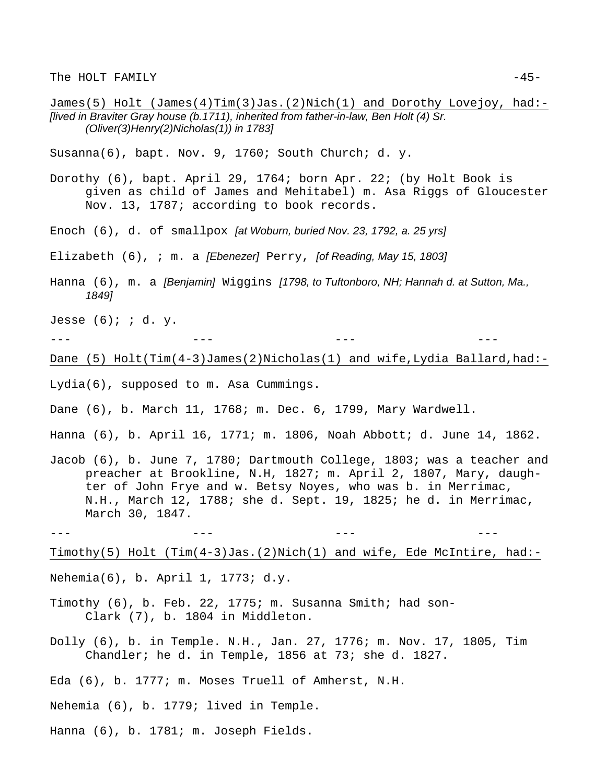James(5) Holt (James(4)Tim(3)Jas.(2)Nich(1) and Dorothy Lovejoy, had:- *[lived in Braviter Gray house (b.1711), inherited from father-in-law, Ben Holt (4) Sr. (Oliver(3)Henry(2)Nicholas(1)) in 1783]* 

Susanna(6), bapt. Nov. 9, 1760; South Church; d. y.

- Dorothy (6), bapt. April 29, 1764; born Apr. 22; (by Holt Book is given as child of James and Mehitabel) m. Asa Riggs of Gloucester Nov. 13, 1787; according to book records.
- Enoch (6), d. of smallpox *[at Woburn, buried Nov. 23, 1792, a. 25 yrs]*
- Elizabeth (6), ; m. a *[Ebenezer]* Perry, *[of Reading, May 15, 1803]*
- Hanna (6), m. a *[Benjamin]* Wiggins *[1798, to Tuftonboro, NH; Hannah d. at Sutton, Ma., 1849]*

Jesse  $(6)$ ; ; d. y.

--- --- --- ---

Dane (5) Holt(Tim(4-3)James(2)Nicholas(1) and wife,Lydia Ballard,had:-

Lydia(6), supposed to m. Asa Cummings.

- Dane (6), b. March 11, 1768; m. Dec. 6, 1799, Mary Wardwell.
- Hanna (6), b. April 16, 1771; m. 1806, Noah Abbott; d. June 14, 1862.
- Jacob (6), b. June 7, 1780; Dartmouth College, 1803; was a teacher and preacher at Brookline, N.H, 1827; m. April 2, 1807, Mary, daughter of John Frye and w. Betsy Noyes, who was b. in Merrimac, N.H., March 12, 1788; she d. Sept. 19, 1825; he d. in Merrimac, March 30, 1847.

--- --- --- ---

Timothy(5) Holt (Tim(4-3)Jas.(2)Nich(1) and wife, Ede McIntire, had:-

- Nehemia(6), b. April 1, 1773; d.y.
- Timothy (6), b. Feb. 22, 1775; m. Susanna Smith; had son-Clark (7), b. 1804 in Middleton.
- Dolly (6), b. in Temple. N.H., Jan. 27, 1776; m. Nov. 17, 1805, Tim Chandler; he d. in Temple, 1856 at 73; she d. 1827.

Eda (6), b. 1777; m. Moses Truell of Amherst, N.H.

Nehemia (6), b. 1779; lived in Temple.

Hanna (6), b. 1781; m. Joseph Fields.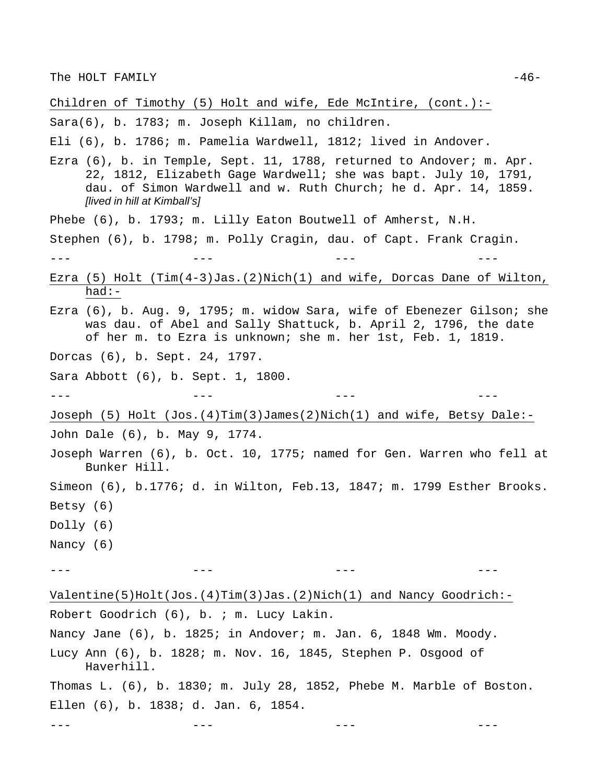Children of Timothy (5) Holt and wife, Ede McIntire, (cont.):-

Sara(6), b. 1783; m. Joseph Killam, no children.

Eli (6), b. 1786; m. Pamelia Wardwell, 1812; lived in Andover.

- Ezra (6), b. in Temple, Sept. 11, 1788, returned to Andover; m. Apr. 22, 1812, Elizabeth Gage Wardwell; she was bapt. July 10, 1791, dau. of Simon Wardwell and w. Ruth Church; he d. Apr. 14, 1859. *[lived in hill at Kimball's]*
- Phebe (6), b. 1793; m. Lilly Eaton Boutwell of Amherst, N.H.

Stephen (6), b. 1798; m. Polly Cragin, dau. of Capt. Frank Cragin.

--- --- --- ---

- Ezra (5) Holt (Tim(4-3)Jas.(2)Nich(1) and wife, Dorcas Dane of Wilton, had:-
- Ezra (6), b. Aug. 9, 1795; m. widow Sara, wife of Ebenezer Gilson; she was dau. of Abel and Sally Shattuck, b. April 2, 1796, the date of her m. to Ezra is unknown; she m. her 1st, Feb. 1, 1819.

Dorcas (6), b. Sept. 24, 1797.

Sara Abbott (6), b. Sept. 1, 1800.

Ellen (6), b. 1838; d. Jan. 6, 1854.

Joseph (5) Holt (Jos.(4)Tim(3)James(2)Nich(1) and wife, Betsy Dale:- John Dale (6), b. May 9, 1774.

--- --- --- ---

- Joseph Warren (6), b. Oct. 10, 1775; named for Gen. Warren who fell at Bunker Hill.
- Simeon (6), b.1776; d. in Wilton, Feb.13, 1847; m. 1799 Esther Brooks. Betsy (6)

Dolly (6)

Nancy (6)

--- --- --- ---

Valentine(5)Holt(Jos.(4)Tim(3)Jas.(2)Nich(1) and Nancy Goodrich:- Robert Goodrich (6), b. ; m. Lucy Lakin. Nancy Jane (6), b. 1825; in Andover; m. Jan. 6, 1848 Wm. Moody. Lucy Ann (6), b. 1828; m. Nov. 16, 1845, Stephen P. Osgood of Haverhill. Thomas L. (6), b. 1830; m. July 28, 1852, Phebe M. Marble of Boston.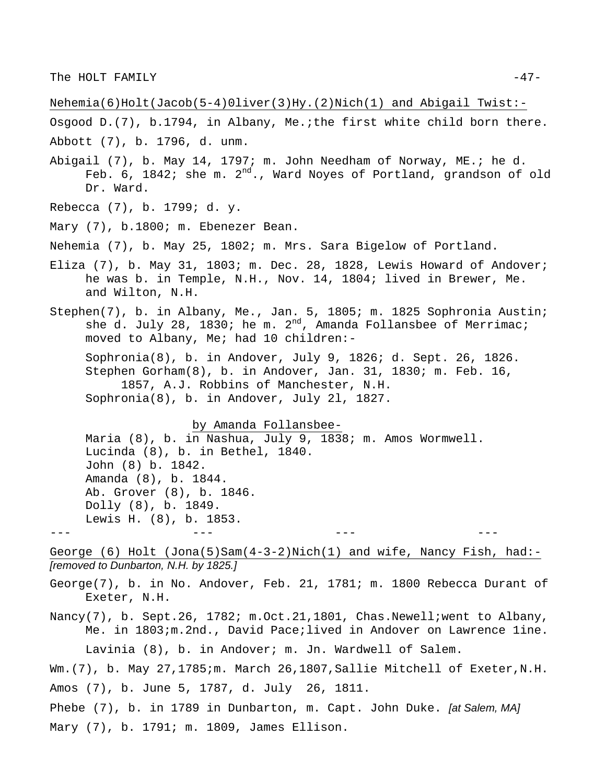Nehemia(6)Holt(Jacob(5-4)0liver(3)Hy.(2)Nich(1) and Abigail Twist:-

Osgood D.(7), b.1794, in Albany, Me.;the first white child born there.

Abbott (7), b. 1796, d. unm.

- Abigail (7), b. May 14, 1797; m. John Needham of Norway, ME.; he d. Feb. 6, 1842; she m.  $2^{nd}$ ., Ward Noyes of Portland, grandson of old Dr. Ward.
- Rebecca (7), b. 1799; d. y.
- Mary (7), b.1800; m. Ebenezer Bean.

Nehemia (7), b. May 25, 1802; m. Mrs. Sara Bigelow of Portland.

- Eliza (7), b. May 31, 1803; m. Dec. 28, 1828, Lewis Howard of Andover; he was b. in Temple, N.H., Nov. 14, 1804; lived in Brewer, Me. and Wilton, N.H.
- Stephen(7), b. in Albany, Me., Jan. 5, 1805; m. 1825 Sophronia Austin; she d. July 28, 1830; he m.  $2^{nd}$ , Amanda Follansbee of Merrimac; moved to Albany, Me; had 10 children:-

Sophronia(8), b. in Andover, July 9, 1826; d. Sept. 26, 1826. Stephen Gorham(8), b. in Andover, Jan. 31, 1830; m. Feb. 16, 1857, A.J. Robbins of Manchester, N.H. Sophronia(8), b. in Andover, July 2l, 1827.

by Amanda Follansbee-

Maria (8), b. in Nashua, July 9, 1838; m. Amos Wormwell. Lucinda (8), b. in Bethel, 1840. John (8) b. 1842. Amanda (8), b. 1844. Ab. Grover (8), b. 1846. Dolly (8), b. 1849. Lewis H. (8), b. 1853. --- --- --- ---

George  $(6)$  Holt  $(Jona(5) Sam(4-3-2)Nich(1)$  and wife, Nancy Fish, had:-*[removed to Dunbarton, N.H. by 1825.]*

George(7), b. in No. Andover, Feb. 21, 1781; m. 1800 Rebecca Durant of Exeter, N.H.

Nancy(7), b. Sept.26, 1782; m.Oct.21,1801, Chas.Newell; went to Albany, Me. in 1803;m.2nd., David Pace;lived in Andover on Lawrence 1ine.

Lavinia (8), b. in Andover; m. Jn. Wardwell of Salem.

Wm.(7), b. May 27,1785;m. March 26,1807,Sallie Mitchell of Exeter,N.H. Amos (7), b. June 5, 1787, d. July 26, 1811.

Phebe (7), b. in 1789 in Dunbarton, m. Capt. John Duke. *[at Salem, MA]* Mary (7), b. 1791; m. 1809, James Ellison.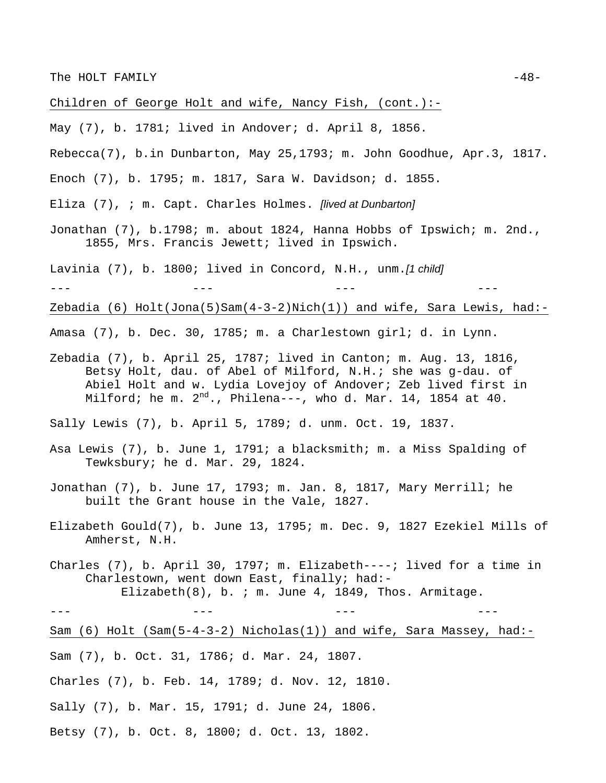Children of George Holt and wife, Nancy Fish, (cont.):-

- May (7), b. 1781; lived in Andover; d. April 8, 1856.
- Rebecca(7), b.in Dunbarton, May 25,1793; m. John Goodhue, Apr.3, 1817.
- Enoch (7), b. 1795; m. 1817, Sara W. Davidson; d. 1855.
- Eliza (7), ; m. Capt. Charles Holmes. *[lived at Dunbarton]*
- Jonathan (7), b.1798; m. about 1824, Hanna Hobbs of Ipswich; m. 2nd., 1855, Mrs. Francis Jewett; lived in Ipswich.
- Lavinia (7), b. 1800; lived in Concord, N.H., unm.*[1 child]*

--- --- --- ---

Zebadia  $(6)$  Holt $(Jona(5) Sam(4-3-2)Nich(1))$  and wife, Sara Lewis, had:-

- Amasa (7), b. Dec. 30, 1785; m. a Charlestown girl; d. in Lynn.
- Zebadia (7), b. April 25, 1787; lived in Canton; m. Aug. 13, 1816, Betsy Holt, dau. of Abel of Milford, N.H.; she was g-dau. of Abiel Holt and w. Lydia Lovejoy of Andover; Zeb lived first in Milford; he m.  $2^{nd}$ ., Philena---, who d. Mar. 14, 1854 at 40.

Sally Lewis (7), b. April 5, 1789; d. unm. Oct. 19, 1837.

- Asa Lewis (7), b. June 1, 1791; a blacksmith; m. a Miss Spalding of Tewksbury; he d. Mar. 29, 1824.
- Jonathan (7), b. June 17, 1793; m. Jan. 8, 1817, Mary Merrill; he built the Grant house in the Vale, 1827.
- Elizabeth Gould(7), b. June 13, 1795; m. Dec. 9, 1827 Ezekiel Mills of Amherst, N.H.
- Charles (7), b. April 30, 1797; m. Elizabeth----; lived for a time in Charlestown, went down East, finally; had:- Elizabeth $(8)$ , b. ; m. June 4, 1849, Thos. Armitage.

Sam (6) Holt (Sam(5-4-3-2) Nicholas(1)) and wife, Sara Massey, had:-

- Sam (7), b. Oct. 31, 1786; d. Mar. 24, 1807.
- Charles (7), b. Feb. 14, 1789; d. Nov. 12, 1810.
- Sally (7), b. Mar. 15, 1791; d. June 24, 1806.
- Betsy (7), b. Oct. 8, 1800; d. Oct. 13, 1802.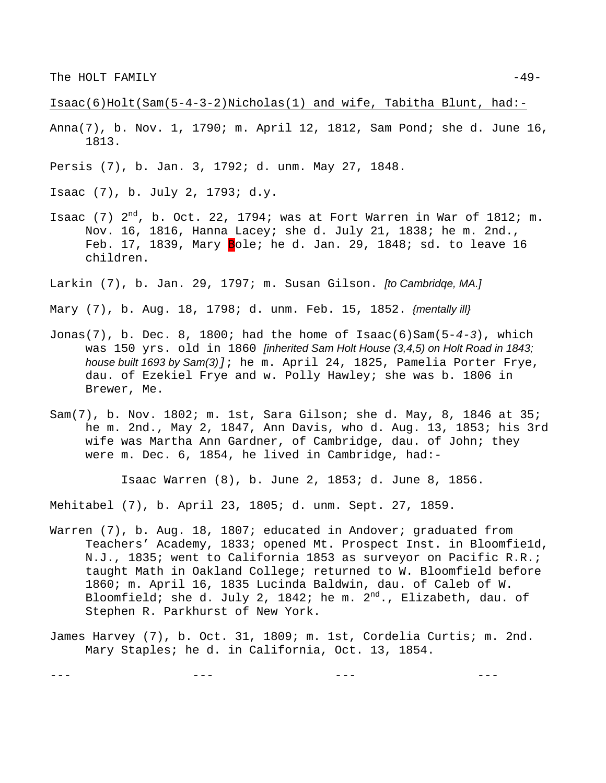Isaac(6)Holt(Sam(5-4-3-2)Nicholas(1) and wife, Tabitha Blunt, had:-

- Anna(7), b. Nov. 1, 1790; m. April 12, 1812, Sam Pond; she d. June 16, 1813.
- Persis (7), b. Jan. 3, 1792; d. unm. May 27, 1848.
- Isaac (7), b. July 2, 1793; d.y.
- Isaac (7)  $2^{nd}$ , b. Oct. 22, 1794; was at Fort Warren in War of 1812; m. Nov. 16, 1816, Hanna Lacey; she d. July 21, 1838; he m. 2nd., Feb. 17, 1839, Mary Bole; he d. Jan. 29, 1848; sd. to leave 16 children.
- Larkin (7), b. Jan. 29, 1797; m. Susan Gilson. *[to Cambridqe, MA.]*

Mary (7), b. Aug. 18, 1798; d. unm. Feb. 15, 1852. *{mentally ill}* 

- Jonas(7), b. Dec. 8, 1800; had the home of Isaac(6)Sam(5-*4-3*), which was 150 yrs. old in 1860 *[inherited Sam Holt House (3,4,5) on Holt Road in 1843; house built 1693 by Sam(3)]*; he m. April 24, 1825, Pamelia Porter Frye, dau. of Ezekiel Frye and w. Polly Hawley; she was b. 1806 in Brewer, Me.
- Sam(7), b. Nov. 1802; m. 1st, Sara Gilson; she d. May, 8, 1846 at 35; he m. 2nd., May 2, 1847, Ann Davis, who d. Aug. 13, 1853; his 3rd wife was Martha Ann Gardner, of Cambridge, dau. of John; they were m. Dec. 6, 1854, he lived in Cambridge, had:-

Isaac Warren (8), b. June 2, 1853; d. June 8, 1856.

Mehitabel (7), b. April 23, 1805; d. unm. Sept. 27, 1859.

- Warren (7), b. Aug. 18, 1807; educated in Andover; graduated from Teachers' Academy, 1833; opened Mt. Prospect Inst. in Bloomfie1d, N.J., 1835; went to California 1853 as surveyor on Pacific R.R.; taught Math in Oakland College; returned to W. Bloomfield before 1860; m. April 16, 1835 Lucinda Baldwin, dau. of Caleb of W. Bloomfield; she d. July 2, 1842; he m.  $2^{nd}$ ., Elizabeth, dau. of Stephen R. Parkhurst of New York.
- James Harvey (7), b. Oct. 31, 1809; m. 1st, Cordelia Curtis; m. 2nd. Mary Staples; he d. in California, Oct. 13, 1854.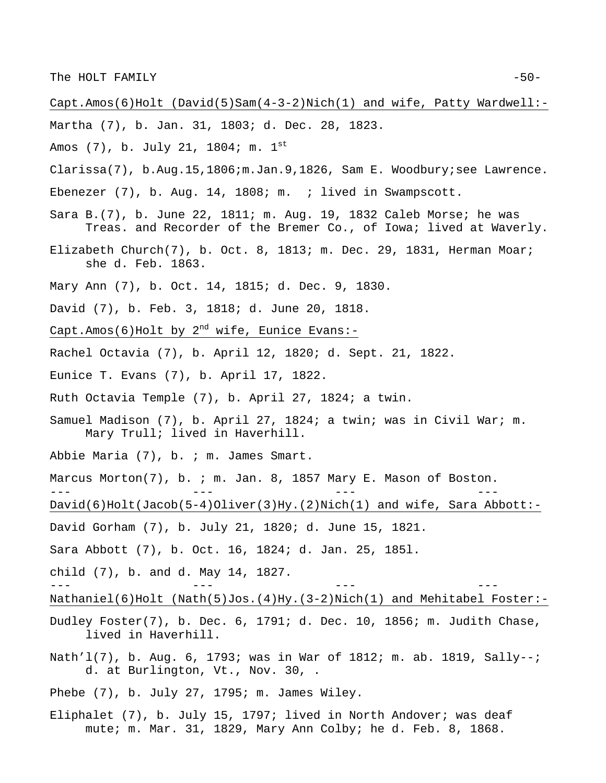Capt.Amos(6)Holt (David(5)Sam(4-3-2)Nich(1) and wife, Patty Wardwell:-

- Martha (7), b. Jan. 31, 1803; d. Dec. 28, 1823.
- Amos (7), b. July 21, 1804; m. 1st
- Clarissa(7), b.Aug.15,1806;m.Jan.9,1826, Sam E. Woodbury;see Lawrence.
- Ebenezer (7), b. Aug. 14, 1808; m. ; lived in Swampscott.
- Sara B.(7), b. June 22, 1811; m. Aug. 19, 1832 Caleb Morse; he was Treas. and Recorder of the Bremer Co., of Iowa; lived at Waverly.
- Elizabeth Church(7), b. Oct. 8, 1813; m. Dec. 29, 1831, Herman Moar; she d. Feb. 1863.
- Mary Ann (7), b. Oct. 14, 1815; d. Dec. 9, 1830.
- David (7), b. Feb. 3, 1818; d. June 20, 1818.
- Capt.Amos(6)Holt by  $2^{nd}$  wife, Eunice Evans:-
- Rachel Octavia (7), b. April 12, 1820; d. Sept. 21, 1822.
- Eunice T. Evans (7), b. April 17, 1822.
- Ruth Octavia Temple (7), b. April 27, 1824; a twin.
- Samuel Madison (7), b. April 27, 1824; a twin; was in Civil War; m. Mary Trull; lived in Haverhill.
- Abbie Maria (7), b. ; m. James Smart.
- Marcus Morton(7), b. ; m. Jan. 8, 1857 Mary E. Mason of Boston. --- --- --- ---
- David(6)Holt(Jacob(5-4)Oliver(3)Hy.(2)Nich(1) and wife, Sara Abbott:-
- David Gorham (7), b. July 21, 1820; d. June 15, 1821.
- Sara Abbott (7), b. Oct. 16, 1824; d. Jan. 25, 185l.
- child (7), b. and d. May 14, 1827.
- Nathaniel(6)Holt (Nath(5)Jos.(4)Hy.(3-2)Nich(1) and Mehitabel Foster:-

- Dudley Foster(7), b. Dec. 6, 1791; d. Dec. 10, 1856; m. Judith Chase, lived in Haverhill.
- Nath'l(7), b. Aug. 6, 1793; was in War of 1812; m. ab. 1819, Sally--; d. at Burlington, Vt., Nov. 30, .
- Phebe (7), b. July 27, 1795; m. James Wiley.
- Eliphalet (7), b. July 15, 1797; lived in North Andover; was deaf mute; m. Mar. 31, 1829, Mary Ann Colby; he d. Feb. 8, 1868.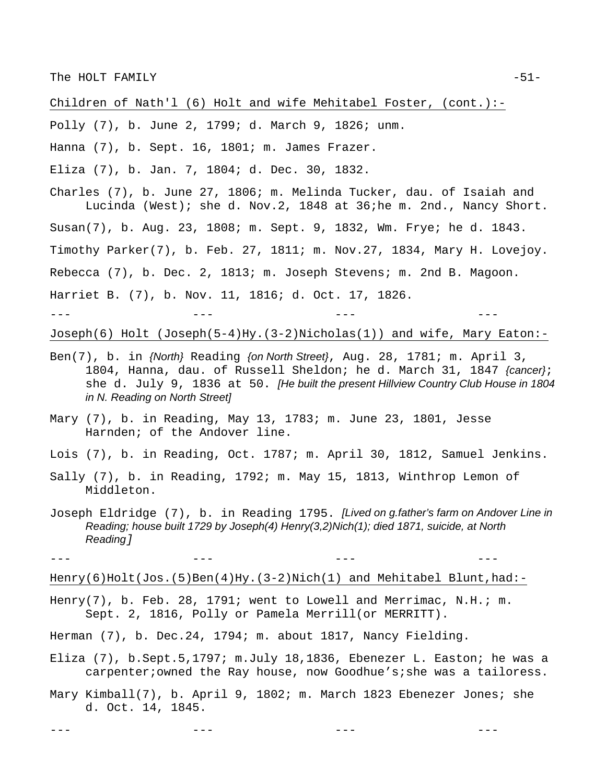Children of Nath'l (6) Holt and wife Mehitabel Foster, (cont.):-

Polly (7), b. June 2, 1799; d. March 9, 1826; unm.

Hanna (7), b. Sept. 16, 1801; m. James Frazer.

Eliza (7), b. Jan. 7, 1804; d. Dec. 30, 1832.

Charles (7), b. June 27, 1806; m. Melinda Tucker, dau. of Isaiah and Lucinda (West); she d. Nov.2, 1848 at 36;he m. 2nd., Nancy Short. Susan(7), b. Aug. 23, 1808; m. Sept. 9, 1832, Wm. Frye; he d. 1843. Timothy Parker(7), b. Feb. 27, 1811; m. Nov.27, 1834, Mary H. Lovejoy. Rebecca (7), b. Dec. 2, 1813; m. Joseph Stevens; m. 2nd B. Magoon. Harriet B. (7), b. Nov. 11, 1816; d. Oct. 17, 1826. --- --- --- ---

Joseph(6) Holt (Joseph(5-4)Hy.(3-2)Nicholas(1)) and wife, Mary Eaton:-

- Ben(7), b. in *{North}* Reading *{on North Street}*, Aug. 28, 1781; m. April 3, 1804, Hanna, dau. of Russell Sheldon; he d. March 31, 1847 *{cancer}*; she d. July 9, 1836 at 50. *[He built the present Hillview Country Club House in 1804 in N. Reading on North Street]*
- Mary (7), b. in Reading, May 13, 1783; m. June 23, 1801, Jesse Harnden; of the Andover line.

Lois (7), b. in Reading, Oct. 1787; m. April 30, 1812, Samuel Jenkins.

- Sally (7), b. in Reading, 1792; m. May 15, 1813, Winthrop Lemon of Middleton.
- Joseph Eldridge (7), b. in Reading 1795. *[Lived on g.father's farm on Andover Line in Reading; house built 1729 by Joseph(4) Henry(3,2)Nich(1); died 1871, suicide, at North Reading]*

--- --- --- ---

Henry(6)Holt(Jos.(5)Ben(4)Hy.(3-2)Nich(1) and Mehitabel Blunt,had:-

Henry(7), b. Feb. 28, 1791; went to Lowell and Merrimac, N.H.; m. Sept. 2, 1816, Polly or Pamela Merrill(or MERRITT).

Herman (7), b. Dec.24, 1794; m. about 1817, Nancy Fielding.

Eliza (7), b.Sept.5,1797; m.July 18,1836, Ebenezer L. Easton; he was a carpenter;owned the Ray house, now Goodhue's;she was a tailoress.

Mary Kimball(7), b. April 9, 1802; m. March 1823 Ebenezer Jones; she d. Oct. 14, 1845.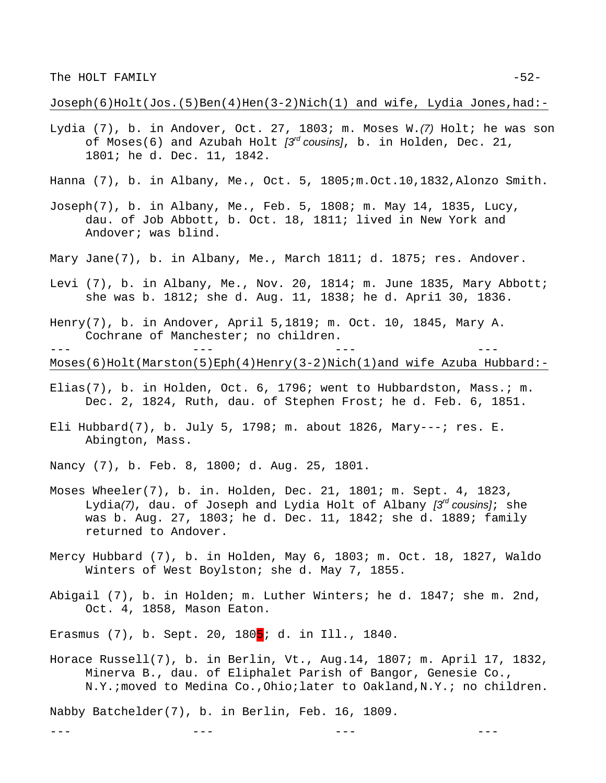Joseph(6)Holt(Jos.(5)Ben(4)Hen(3-2)Nich(1) and wife, Lydia Jones,had:-

- Lydia (7), b. in Andover, Oct. 27, 1803; m. Moses W.*(7)* Holt; he was son of Moses(6) and Azubah Holt *[3rd cousins]*, b. in Holden, Dec. 21, 1801; he d. Dec. 11, 1842.
- Hanna (7), b. in Albany, Me., Oct. 5, 1805;m.Oct.10,1832,Alonzo Smith.
- Joseph(7), b. in Albany, Me., Feb. 5, 1808; m. May 14, 1835, Lucy, dau. of Job Abbott, b. Oct. 18, 1811; lived in New York and Andover; was blind.
- Mary Jane(7), b. in Albany, Me., March 1811; d. 1875; res. Andover.
- Levi (7), b. in Albany, Me., Nov. 20, 1814; m. June 1835, Mary Abbott; she was b. 1812; she d. Aug. 11, 1838; he d. Apri1 30, 1836.
- Henry(7), b. in Andover, April 5,1819; m. Oct. 10, 1845, Mary A. Cochrane of Manchester; no children.

--- --- --- ---

Moses(6)Holt(Marston(5)Eph(4)Henry(3-2)Nich(1)and wife Azuba Hubbard:-

- Elias(7), b. in Holden, Oct. 6, 1796; went to Hubbardston, Mass.; m. Dec. 2, 1824, Ruth, dau. of Stephen Frost; he d. Feb. 6, 1851.
- Eli Hubbard(7), b. July 5, 1798; m. about 1826, Mary---; res. E. Abington, Mass.
- Nancy (7), b. Feb. 8, 1800; d. Aug. 25, 1801.
- Moses Wheeler(7), b. in. Holden, Dec. 21, 1801; m. Sept. 4, 1823, Lydia*(7)*, dau. of Joseph and Lydia Holt of Albany *[3rd cousins]*; she was b. Aug. 27, 1803; he d. Dec. 11, 1842; she d. 1889; family returned to Andover.
- Mercy Hubbard (7), b. in Holden, May 6, 1803; m. Oct. 18, 1827, Waldo Winters of West Boylston; she d. May 7, 1855.
- Abigail (7), b. in Holden; m. Luther Winters; he d. 1847; she m. 2nd, Oct. 4, 1858, Mason Eaton.

Erasmus (7), b. Sept. 20, 180<mark>5</mark>; d. in Ill., 1840.

Horace Russell(7), b. in Berlin, Vt., Aug.14, 1807; m. April 17, 1832, Minerva B., dau. of Eliphalet Parish of Bangor, Genesie Co., N.Y.;moved to Medina Co.,Ohio;later to Oakland,N.Y.; no children.

--- --- --- ---

Nabby Batchelder(7), b. in Berlin, Feb. 16, 1809.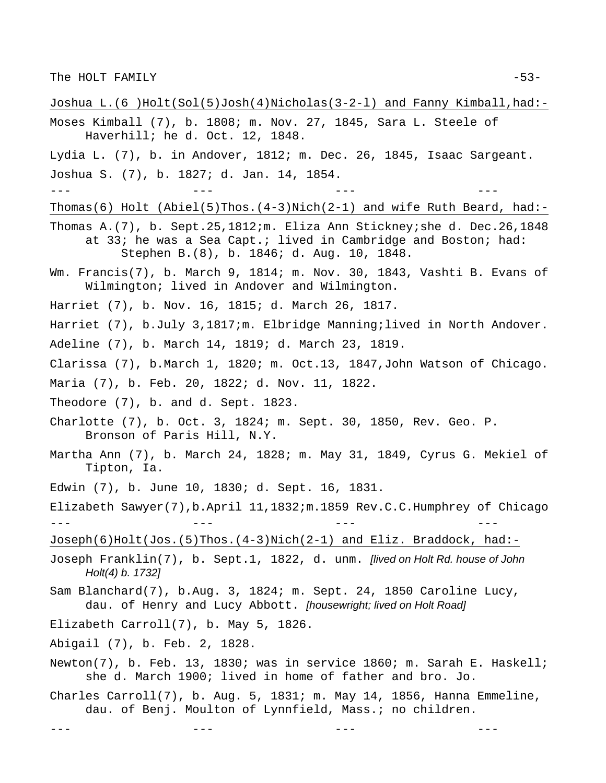- Joshua L.(6 )Holt(Sol(5)Josh(4)Nicholas(3-2-l) and Fanny Kimball,had:- Moses Kimball (7), b. 1808; m. Nov. 27, 1845, Sara L. Steele of Haverhill; he d. Oct. 12, 1848. Lydia L. (7), b. in Andover, 1812; m. Dec. 26, 1845, Isaac Sargeant. Joshua S. (7), b. 1827; d. Jan. 14, 1854. --- --- --- --- Thomas(6) Holt (Abiel(5)Thos.(4-3)Nich(2-1) and wife Ruth Beard, had:- Thomas A.(7), b. Sept.25,1812;m. Eliza Ann Stickney;she d. Dec.26,1848 at 33; he was a Sea Capt.; lived in Cambridge and Boston; had: Stephen B.(8), b. 1846; d. Aug. 10, 1848. Wm. Francis(7), b. March 9, 1814; m. Nov. 30, 1843, Vashti B. Evans of Wilmington; lived in Andover and Wilmington. Harriet (7), b. Nov. 16, 1815; d. March 26, 1817. Harriet (7), b.July 3,1817;m. Elbridge Manning;lived in North Andover. Adeline (7), b. March 14, 1819; d. March 23, 1819. Clarissa (7), b.March 1, 1820; m. Oct.13, 1847,John Watson of Chicago. Maria (7), b. Feb. 20, 1822; d. Nov. 11, 1822. Theodore (7), b. and d. Sept. 1823. Charlotte (7), b. Oct. 3, 1824; m. Sept. 30, 1850, Rev. Geo. P. Bronson of Paris Hill, N.Y. Martha Ann (7), b. March 24, 1828; m. May 31, 1849, Cyrus G. Mekiel of Tipton, Ia. Edwin (7), b. June 10, 1830; d. Sept. 16, 1831. Elizabeth Sawyer(7),b.April 11,1832;m.1859 Rev.C.C.Humphrey of Chicago --- --- --- --- Joseph(6)Holt(Jos.(5)Thos.(4-3)Nich(2-1) and Eliz. Braddock, had:- Joseph Franklin(7), b. Sept.1, 1822, d. unm. *[lived on Holt Rd. house of John Holt(4) b. 1732]* Sam Blanchard(7), b.Aug. 3, 1824; m. Sept. 24, 1850 Caroline Lucy, dau. of Henry and Lucy Abbott. *[housewright; lived on Holt Road]* Elizabeth Carroll(7), b. May 5, 1826. Abigail (7), b. Feb. 2, 1828. Newton(7), b. Feb. 13, 1830; was in service 1860; m. Sarah E. Haskell; she d. March 1900; lived in home of father and bro. Jo.
	- Charles Carroll(7), b. Aug. 5, 1831; m. May 14, 1856, Hanna Emmeline, dau. of Benj. Moulton of Lynnfield, Mass.; no children.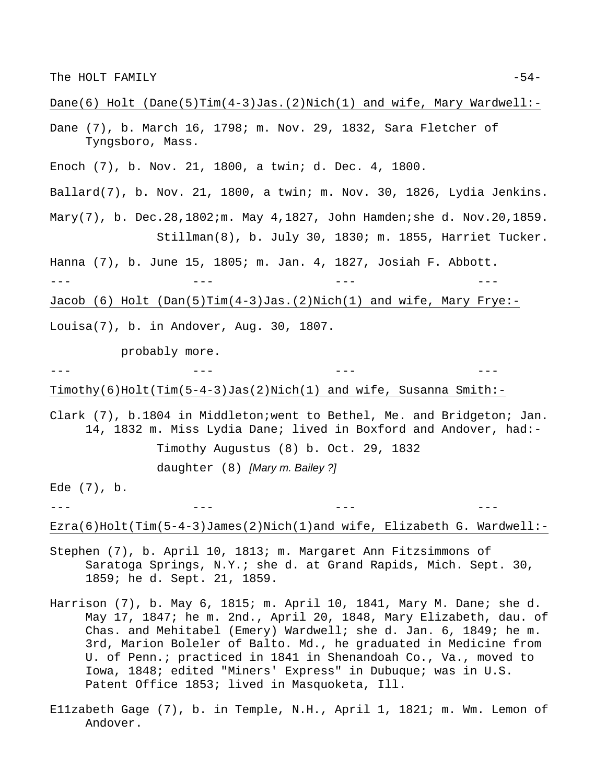#### Dane(6) Holt (Dane(5)Tim(4-3)Jas.(2)Nich(1) and wife, Mary Wardwell:-

- Dane (7), b. March 16, 1798; m. Nov. 29, 1832, Sara Fletcher of Tyngsboro, Mass.
- Enoch (7), b. Nov. 21, 1800, a twin; d. Dec. 4, 1800.
- Ballard(7), b. Nov. 21, 1800, a twin; m. Nov. 30, 1826, Lydia Jenkins.
- Mary(7), b. Dec.28,1802;m. May 4,1827, John Hamden; she d. Nov.20,1859. Stillman(8), b. July 30, 1830; m. 1855, Harriet Tucker.
- Hanna (7), b. June 15, 1805; m. Jan. 4, 1827, Josiah F. Abbott.
- --- --- --- ---
- Jacob (6) Holt (Dan(5)Tim(4-3)Jas.(2)Nich(1) and wife, Mary Frye:-
- Louisa(7), b. in Andover, Aug. 30, 1807.

probably more.

--- --- --- ---

Timothy(6)Holt(Tim(5-4-3)Jas(2)Nich(1) and wife, Susanna Smith:-

Clark (7), b.1804 in Middleton;went to Bethel, Me. and Bridgeton; Jan. 14, 1832 m. Miss Lydia Dane; lived in Boxford and Andover, had:- Timothy Augustus (8) b. Oct. 29, 1832 daughter (8) *[Mary m. Bailey ?]* 

Ede (7), b.

--- --- --- ---

Ezra(6)Holt(Tim(5-4-3)James(2)Nich(1)and wife, Elizabeth G. Wardwell:-

- Stephen (7), b. April 10, 1813; m. Margaret Ann Fitzsimmons of Saratoga Springs, N.Y.; she d. at Grand Rapids, Mich. Sept. 30, 1859; he d. Sept. 21, 1859.
- Harrison (7), b. May 6, 1815; m. April 10, 1841, Mary M. Dane; she d. May 17, 1847; he m. 2nd., April 20, 1848, Mary Elizabeth, dau. of Chas. and Mehitabel (Emery) Wardwell; she d. Jan. 6, 1849; he m. 3rd, Marion Boleler of Balto. Md., he graduated in Medicine from U. of Penn.; practiced in 1841 in Shenandoah Co., Va., moved to Iowa, 1848; edited "Miners' Express" in Dubuque; was in U.S. Patent Office 1853; lived in Masquoketa, Ill.
- E11zabeth Gage (7), b. in Temple, N.H., April 1, 1821; m. Wm. Lemon of Andover.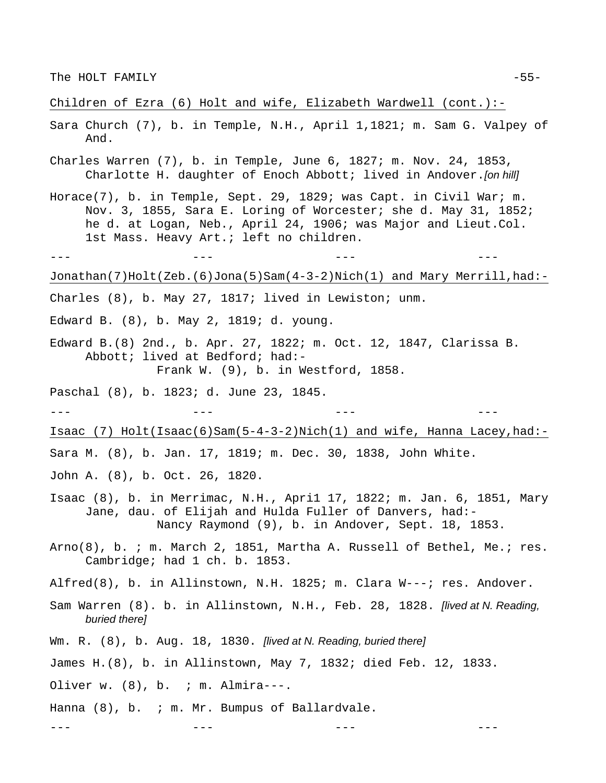Children of Ezra (6) Holt and wife, Elizabeth Wardwell (cont.):-

- Sara Church (7), b. in Temple, N.H., April 1,1821; m. Sam G. Valpey of And.
- Charles Warren (7), b. in Temple, June 6, 1827; m. Nov. 24, 1853, Charlotte H. daughter of Enoch Abbott; lived in Andover.*[on hill]*
- Horace(7), b. in Temple, Sept. 29, 1829; was Capt. in Civil War; m. Nov. 3, 1855, Sara E. Loring of Worcester; she d. May 31, 1852; he d. at Logan, Neb., April 24, 1906; was Major and Lieut.Col. 1st Mass. Heavy Art.; left no children.
- --- --- --- ---

Jonathan(7)Holt(Zeb.(6)Jona(5)Sam(4-3-2)Nich(1) and Mary Merrill,had:-

- Charles (8), b. May 27, 1817; lived in Lewiston; unm.
- Edward B. (8), b. May 2, 1819; d. young.
- Edward B.(8) 2nd., b. Apr. 27, 1822; m. Oct. 12, 1847, Clarissa B. Abbott; lived at Bedford; had:- Frank W. (9), b. in Westford, 1858.
- Paschal (8), b. 1823; d. June 23, 1845.

--- --- --- ---

Isaac (7) Holt(Isaac(6)Sam(5-4-3-2)Nich(1) and wife, Hanna Lacey,had:-

Sara M. (8), b. Jan. 17, 1819; m. Dec. 30, 1838, John White.

- John A. (8), b. Oct. 26, 1820.
- Isaac (8), b. in Merrimac, N.H., Apri1 17, 1822; m. Jan. 6, 1851, Mary Jane, dau. of Elijah and Hulda Fuller of Danvers, had:- Nancy Raymond (9), b. in Andover, Sept. 18, 1853.
- Arno(8), b. ; m. March 2, 1851, Martha A. Russell of Bethel, Me.; res. Cambridge; had 1 ch. b. 1853.
- Alfred(8), b. in Allinstown, N.H. 1825; m. Clara W---; res. Andover.
- Sam Warren (8). b. in Allinstown, N.H., Feb. 28, 1828. *[lived at N. Reading, buried there]*
- Wm. R. (8), b. Aug. 18, 1830. *[lived at N. Reading, buried there]*
- James H.(8), b. in Allinstown, May 7, 1832; died Feb. 12, 1833.
- Oliver w.  $(8)$ , b. ; m. Almira---.
- Hanna (8), b. ; m. Mr. Bumpus of Ballardvale.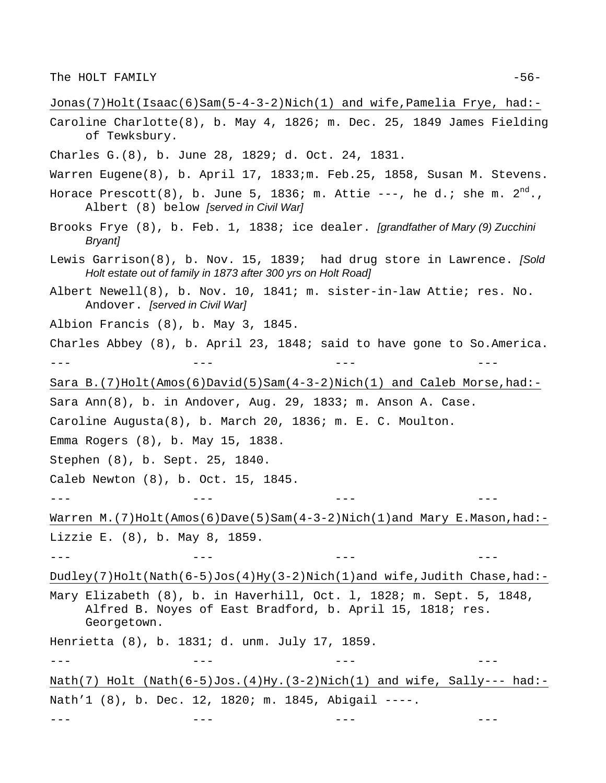Jonas(7)Holt(Isaac(6)Sam(5-4-3-2)Nich(1) and wife,Pamelia Frye, had:- Caroline Charlotte(8), b. May 4, 1826; m. Dec. 25, 1849 James Fielding of Tewksbury. Charles G.(8), b. June 28, 1829; d. Oct. 24, 1831. Warren Eugene(8), b. April 17, 1833;m. Feb.25, 1858, Susan M. Stevens. Horace Prescott(8), b. June 5, 1836; m. Attie ---, he d.; she m.  $2<sup>nd</sup>$ . Albert (8) below *[served in Civil War]* Brooks Frye (8), b. Feb. 1, 1838; ice dealer. *[grandfather of Mary (9) Zucchini Bryant]* Lewis Garrison(8), b. Nov. 15, 1839; had drug store in Lawrence. *[Sold Holt estate out of family in 1873 after 300 yrs on Holt Road]* Albert Newell(8), b. Nov. 10, 1841; m. sister-in-law Attie; res. No. Andover. *[served in Civil War]* Albion Francis (8), b. May 3, 1845. Charles Abbey (8), b. April 23, 1848; said to have gone to So.America. --- --- --- --- Sara B.(7)Holt(Amos(6)David(5)Sam(4-3-2)Nich(1) and Caleb Morse,had:- Sara Ann(8), b. in Andover, Aug. 29, 1833; m. Anson A. Case. Caroline Augusta(8), b. March 20, 1836; m. E. C. Moulton. Emma Rogers (8), b. May 15, 1838. Stephen (8), b. Sept. 25, 1840. Caleb Newton (8), b. Oct. 15, 1845. --- --- --- --- Warren M.(7)Holt(Amos(6)Dave(5)Sam(4-3-2)Nich(1)and Mary E.Mason,had:-Lizzie E. (8), b. May 8, 1859. --- --- --- --- Dudley(7)Holt(Nath(6-5)Jos(4)Hy(3-2)Nich(1)and wife,Judith Chase,had:-Mary Elizabeth (8), b. in Haverhill, Oct. l, 1828; m. Sept. 5, 1848, Alfred B. Noyes of East Bradford, b. April 15, 1818; res. Georgetown. Henrietta (8), b. 1831; d. unm. July 17, 1859. --- --- --- --- Nath(7) Holt (Nath(6-5)Jos.(4)Hy.(3-2)Nich(1) and wife, Sally--- had:-Nath'1 (8), b. Dec. 12, 1820; m. 1845, Abigail ----.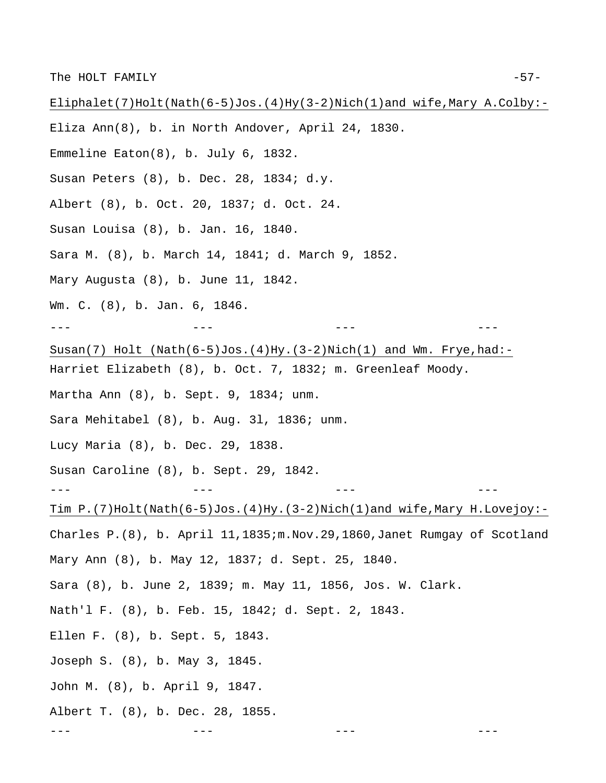Eliphalet(7)Holt(Nath(6-5)Jos.(4)Hy(3-2)Nich(1)and wife,Mary A.Colby:- Eliza Ann(8), b. in North Andover, April 24, 1830. Emmeline Eaton(8), b. July 6, 1832. Susan Peters (8), b. Dec. 28, 1834; d.y. Albert (8), b. Oct. 20, 1837; d. Oct. 24. Susan Louisa (8), b. Jan. 16, 1840. Sara M. (8), b. March 14, 1841; d. March 9, 1852. Mary Augusta (8), b. June 11, 1842. Wm. C. (8), b. Jan. 6, 1846. --- --- --- --- Susan(7) Holt  $(Nath(6-5)Jos.(4)Hy.(3-2)Nich(1) and Wm. Frye,had:-$ Harriet Elizabeth (8), b. Oct. 7, 1832; m. Greenleaf Moody. Martha Ann (8), b. Sept. 9, 1834; unm. Sara Mehitabel (8), b. Aug. 3l, 1836; unm. Lucy Maria (8), b. Dec. 29, 1838. Susan Caroline (8), b. Sept. 29, 1842. --- --- --- --- Tim P.(7)Holt(Nath(6-5)Jos.(4)Hy.(3-2)Nich(1)and wife,Mary H.Lovejoy:- Charles P.(8), b. April 11,1835;m.Nov.29,1860,Janet Rumgay of Scotland Mary Ann (8), b. May 12, 1837; d. Sept. 25, 1840. Sara (8), b. June 2, 1839; m. May 11, 1856, Jos. W. Clark. Nath'l F. (8), b. Feb. 15, 1842; d. Sept. 2, 1843. Ellen F. (8), b. Sept. 5, 1843. Joseph S. (8), b. May 3, 1845. John M. (8), b. April 9, 1847. Albert T. (8), b. Dec. 28, 1855. --- --- --- ---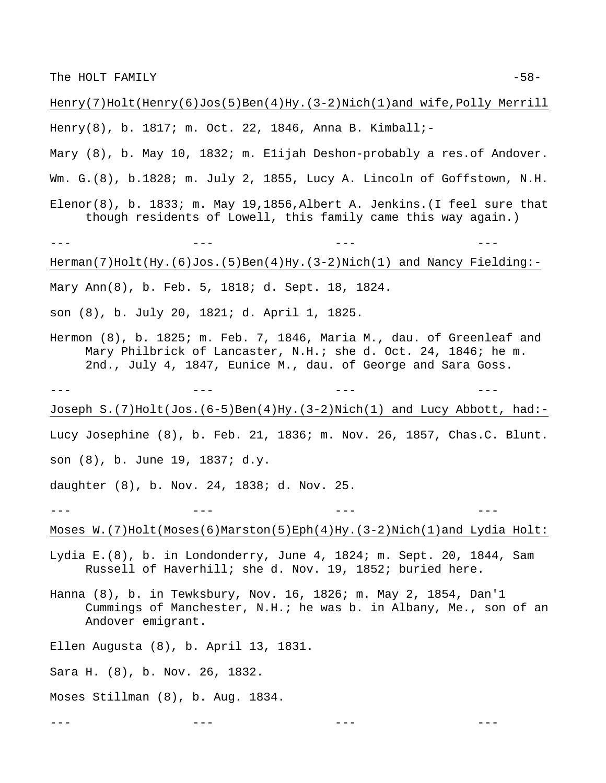Henry(7)Holt(Henry(6)Jos(5)Ben(4)Hy.(3-2)Nich(1)and wife,Polly Merrill

Henry(8), b. 1817; m. Oct. 22, 1846, Anna B. Kimball;-

Mary (8), b. May 10, 1832; m. Elijah Deshon-probably a res.of Andover.

Wm. G.(8), b.1828; m. July 2, 1855, Lucy A. Lincoln of Goffstown, N.H.

Elenor(8), b. 1833; m. May 19,1856, Albert A. Jenkins. (I feel sure that though residents of Lowell, this family came this way again.)

--- --- --- --- Herman(7)Holt(Hy.(6)Jos.(5)Ben(4)Hy.(3-2)Nich(1) and Nancy Fielding:- Mary Ann(8), b. Feb. 5, 1818; d. Sept. 18, 1824.

son (8), b. July 20, 1821; d. April 1, 1825.

Hermon (8), b. 1825; m. Feb. 7, 1846, Maria M., dau. of Greenleaf and Mary Philbrick of Lancaster, N.H.; she d. Oct. 24, 1846; he m. 2nd., July 4, 1847, Eunice M., dau. of George and Sara Goss.

Joseph S.(7)Holt(Jos.(6-5)Ben(4)Hy.(3-2)Nich(1) and Lucy Abbott, had:-

--- --- --- ---

Lucy Josephine (8), b. Feb. 21, 1836; m. Nov. 26, 1857, Chas.C. Blunt. son (8), b. June 19, 1837; d.y.

daughter (8), b. Nov. 24, 1838; d. Nov. 25.

Moses  $W.$  (7)Holt(Moses(6)Marston(5)Eph(4)Hy.(3-2)Nich(1)and Lydia Holt:

--- --- --- ---

--- --- --- ---

Lydia E.(8), b. in Londonderry, June 4, 1824; m. Sept. 20, 1844, Sam Russell of Haverhill; she d. Nov. 19, 1852; buried here.

Hanna (8), b. in Tewksbury, Nov. 16, 1826; m. May 2, 1854, Dan'1 Cummings of Manchester, N.H.; he was b. in Albany, Me., son of an Andover emigrant.

Ellen Augusta (8), b. April 13, 1831.

Sara H. (8), b. Nov. 26, 1832.

Moses Stillman (8), b. Aug. 1834.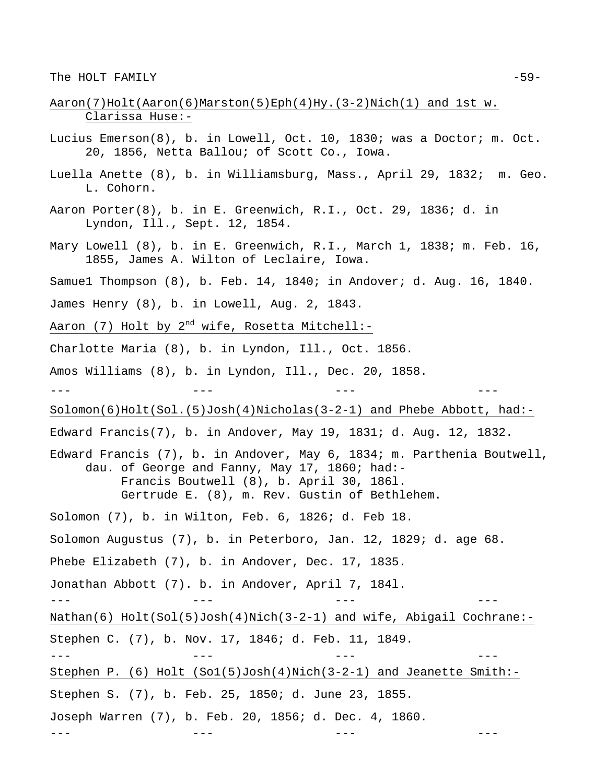- Aaron(7)Holt(Aaron(6)Marston(5)Eph(4)Hy.(3-2)Nich(1) and 1st w. Clarissa Huse:-
- Lucius Emerson(8), b. in Lowell, Oct. 10, 1830; was a Doctor; m. Oct. 20, 1856, Netta Ballou; of Scott Co., Iowa.
- Luella Anette (8), b. in Williamsburg, Mass., April 29, 1832; m. Geo. L. Cohorn.
- Aaron Porter(8), b. in E. Greenwich, R.I., Oct. 29, 1836; d. in Lyndon, Ill., Sept. 12, 1854.
- Mary Lowell (8), b. in E. Greenwich, R.I., March 1, 1838; m. Feb. 16, 1855, James A. Wilton of Leclaire, Iowa.
- Samue1 Thompson (8), b. Feb. 14, 1840; in Andover; d. Aug. 16, 1840.
- James Henry (8), b. in Lowell, Aug. 2, 1843.
- Aaron (7) Holt by  $2^{nd}$  wife, Rosetta Mitchell:-
- Charlotte Maria (8), b. in Lyndon, Ill., Oct. 1856.
- Amos Williams (8), b. in Lyndon, Ill., Dec. 20, 1858.
- 

--- --- --- ---

- Solomon(6)Holt(Sol.(5)Josh(4)Nicholas(3-2-1) and Phebe Abbott, had:-
- Edward Francis(7), b. in Andover, May 19, 1831; d. Aug. 12, 1832.
- Edward Francis (7), b. in Andover, May 6, 1834; m. Parthenia Boutwell, dau. of George and Fanny, May 17, 1860; had:- Francis Boutwell (8), b. April 30, 186l. Gertrude E. (8), m. Rev. Gustin of Bethlehem.

Solomon (7), b. in Wilton, Feb. 6, 1826; d. Feb 18.

Solomon Augustus (7), b. in Peterboro, Jan. 12, 1829; d. age 68.

--- --- --- ---

Phebe Elizabeth (7), b. in Andover, Dec. 17, 1835.

Jonathan Abbott (7). b. in Andover, April 7, 184l.

Nathan(6) Holt(Sol(5)Josh(4)Nich(3-2-1) and wife, Abigail Cochrane:- Stephen C. (7), b. Nov. 17, 1846; d. Feb. 11, 1849.

--- --- --- --- Stephen P. (6) Holt (So1(5)Josh(4)Nich(3-2-1) and Jeanette Smith:-

--- --- --- ---

Stephen S. (7), b. Feb. 25, 1850; d. June 23, 1855.

Joseph Warren (7), b. Feb. 20, 1856; d. Dec. 4, 1860.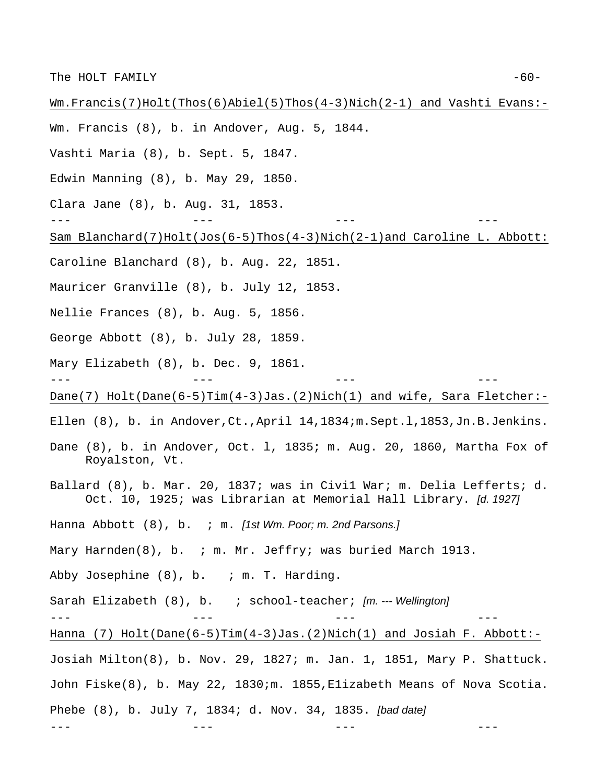Wm.Francis(7)Holt(Thos(6)Abiel(5)Thos(4-3)Nich(2-1) and Vashti Evans:- Wm. Francis (8), b. in Andover, Aug. 5, 1844. Vashti Maria (8), b. Sept. 5, 1847. Edwin Manning (8), b. May 29, 1850. Clara Jane (8), b. Aug. 31, 1853. --- --- --- --- Sam Blanchard(7)Holt(Jos(6-5)Thos(4-3)Nich(2-1)and Caroline L. Abbott: Caroline Blanchard (8), b. Aug. 22, 1851. Mauricer Granville (8), b. July 12, 1853. Nellie Frances (8), b. Aug. 5, 1856. George Abbott (8), b. July 28, 1859. Mary Elizabeth (8), b. Dec. 9, 1861. --- --- --- --- Dane(7) Holt(Dane(6-5)Tim(4-3)Jas.(2)Nich(1) and wife, Sara Fletcher:- Ellen (8), b. in Andover,Ct.,April 14,1834;m.Sept.l,1853,Jn.B.Jenkins. Dane (8), b. in Andover, Oct. l, 1835; m. Aug. 20, 1860, Martha Fox of Royalston, Vt. Ballard (8), b. Mar. 20, 1837; was in Civi1 War; m. Delia Lefferts; d. Oct. 10, 1925; was Librarian at Memorial Hall Library. *[d. 1927]* Hanna Abbott (8), b. ; m. *[1st Wm. Poor; m. 2nd Parsons.]* Mary Harnden(8), b. ; m. Mr. Jeffry; was buried March 1913. Abby Josephine  $(8)$ , b. ; m. T. Harding. Sarah Elizabeth (8), b. ; school-teacher; *[m. --- Wellington]* --- --- --- --- Hanna (7) Holt(Dane(6-5)Tim(4-3)Jas.(2)Nich(1) and Josiah F. Abbott:- Josiah Milton(8), b. Nov. 29, 1827; m. Jan. 1, 1851, Mary P. Shattuck. John Fiske(8), b. May 22, 1830;m. 1855,E1izabeth Means of Nova Scotia. Phebe (8), b. July 7, 1834; d. Nov. 34, 1835. *[bad date]* --- --- --- ---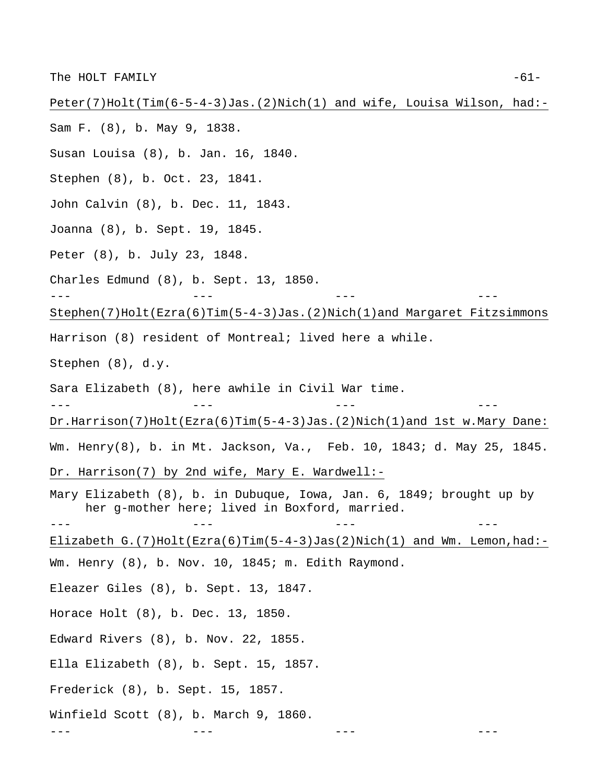Peter(7)Holt(Tim(6-5-4-3)Jas.(2)Nich(1) and wife, Louisa Wilson, had:- Sam F. (8), b. May 9, 1838. Susan Louisa (8), b. Jan. 16, 1840. Stephen (8), b. Oct. 23, 1841. John Calvin (8), b. Dec. 11, 1843. Joanna (8), b. Sept. 19, 1845. Peter (8), b. July 23, 1848. Charles Edmund (8), b. Sept. 13, 1850. --- --- --- --- Stephen(7)Holt(Ezra(6)Tim(5-4-3)Jas.(2)Nich(1)and Margaret Fitzsimmons Harrison (8) resident of Montreal; lived here a while. Stephen (8), d.y. Sara Elizabeth (8), here awhile in Civil War time. --- --- --- --- Dr.Harrison(7)Holt(Ezra(6)Tim(5-4-3)Jas.(2)Nich(1)and 1st w.Mary Dane: Wm. Henry(8), b. in Mt. Jackson, Va., Feb. 10, 1843; d. May 25, 1845. Dr. Harrison(7) by 2nd wife, Mary E. Wardwell:- Mary Elizabeth (8), b. in Dubuque, Iowa, Jan. 6, 1849; brought up by her g-mother here; lived in Boxford, married. --- --- --- --- Elizabeth G.(7)Holt(Ezra(6)Tim(5-4-3)Jas(2)Nich(1) and Wm. Lemon, had:-Wm. Henry (8), b. Nov. 10, 1845; m. Edith Raymond. Eleazer Giles (8), b. Sept. 13, 1847. Horace Holt (8), b. Dec. 13, 1850. Edward Rivers (8), b. Nov. 22, 1855. Ella Elizabeth (8), b. Sept. 15, 1857. Frederick (8), b. Sept. 15, 1857. Winfield Scott (8), b. March 9, 1860. --- --- --- ---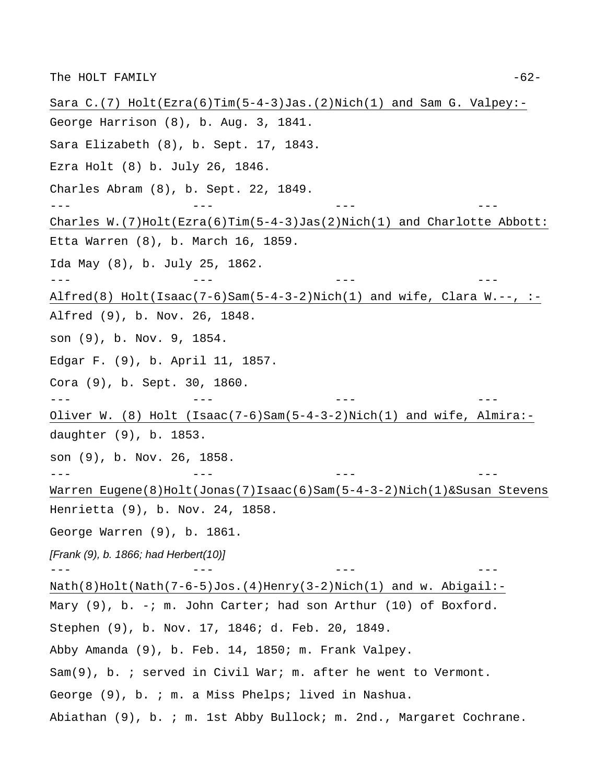Sara C.(7) Holt(Ezra(6)Tim(5-4-3)Jas.(2)Nich(1) and Sam G. Valpey:- George Harrison (8), b. Aug. 3, 1841. Sara Elizabeth (8), b. Sept. 17, 1843. Ezra Holt (8) b. July 26, 1846. Charles Abram (8), b. Sept. 22, 1849. --- --- --- --- Charles  $W.$  (7)Holt(Ezra(6)Tim(5-4-3)Jas(2)Nich(1) and Charlotte Abbott: Etta Warren (8), b. March 16, 1859. Ida May (8), b. July 25, 1862. --- --- --- --- Alfred(8) Holt(Isaac(7-6)Sam(5-4-3-2)Nich(1) and wife, Clara W.--,  $:-$ Alfred (9), b. Nov. 26, 1848. son (9), b. Nov. 9, 1854. Edgar F. (9), b. April 11, 1857. Cora (9), b. Sept. 30, 1860. --- --- --- --- Oliver W. (8) Holt (Isaac(7-6)Sam(5-4-3-2)Nich(1) and wife, Almira: daughter (9), b. 1853. son (9), b. Nov. 26, 1858. --- --- --- --- Warren Eugene(8)Holt(Jonas(7)Isaac(6)Sam(5-4-3-2)Nich(1)&Susan Stevens Henrietta (9), b. Nov. 24, 1858. George Warren (9), b. 1861. *[Frank (9), b. 1866; had Herbert(10)]*  --- --- --- --- Nath(8)Holt(Nath(7-6-5)Jos.(4)Henry(3-2)Nich(1) and w. Abigail:- Mary (9), b. -; m. John Carter; had son Arthur (10) of Boxford. Stephen (9), b. Nov. 17, 1846; d. Feb. 20, 1849. Abby Amanda (9), b. Feb. 14, 1850; m. Frank Valpey. Sam(9), b. ; served in Civil War; m. after he went to Vermont. George (9), b. ; m. a Miss Phelps; lived in Nashua. Abiathan (9), b. ; m. 1st Abby Bullock; m. 2nd., Margaret Cochrane.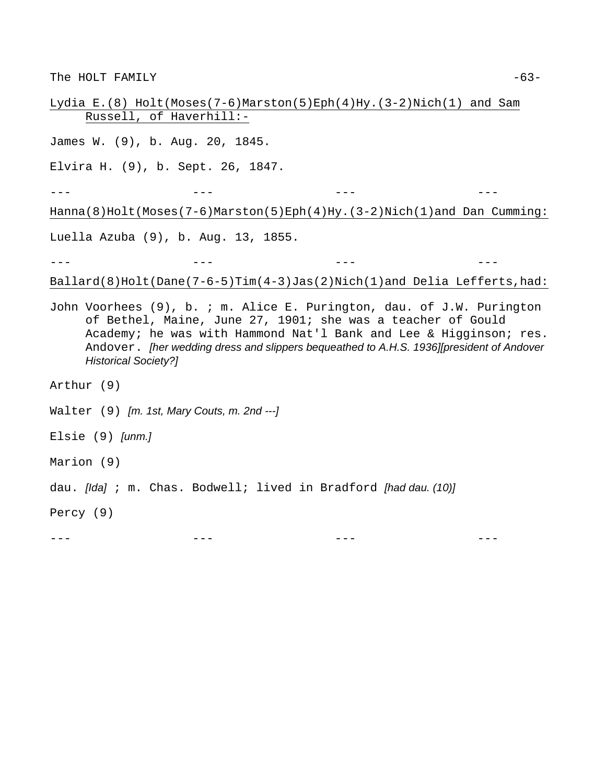The HOLT FAMILY  $-63-$ 

Lydia E.(8) Holt(Moses(7-6)Marston(5)Eph(4)Hy.(3-2)Nich(1) and Sam Russell, of Haverhill:-

James W. (9), b. Aug. 20, 1845.

Elvira H. (9), b. Sept. 26, 1847.

--- --- --- --- Hanna(8)Holt(Moses(7-6)Marston(5)Eph(4)Hy.(3-2)Nich(1)and Dan Cumming:

Luella Azuba (9), b. Aug. 13, 1855.

--- --- --- ---

Ballard(8)Holt(Dane(7-6-5)Tim(4-3)Jas(2)Nich(1)and Delia Lefferts,had:

John Voorhees (9), b. ; m. Alice E. Purington, dau. of J.W. Purington of Bethel, Maine, June 27, 1901; she was a teacher of Gould Academy; he was with Hammond Nat'l Bank and Lee & Higginson; res. Andover. *[her wedding dress and slippers bequeathed to A.H.S. 1936][president of Andover Historical Society?]* 

Arthur (9)

Walter (9) *[m. 1st, Mary Couts, m. 2nd ---]* 

Elsie (9) *[unm.]*

Marion (9)

dau. *[Ida]* ; m. Chas. Bodwell; lived in Bradford *[had dau. (10)]* 

Percy (9)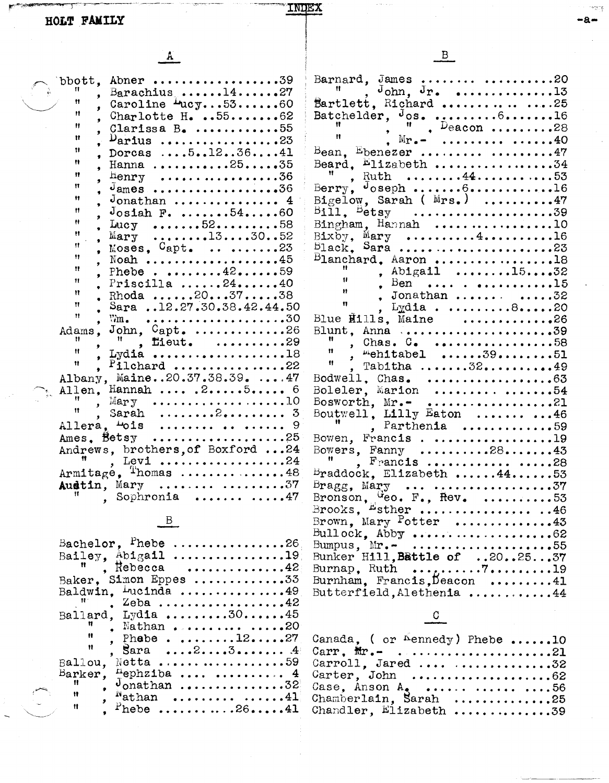| .<br>٠ | ٦<br>. .<br>v | . .<br>۰. |
|--------|---------------|-----------|
|        |               |           |

|                                                         | $\mathbf{B}$                                                                                                                                                                                                                                                                                                                                                                                               |
|---------------------------------------------------------|------------------------------------------------------------------------------------------------------------------------------------------------------------------------------------------------------------------------------------------------------------------------------------------------------------------------------------------------------------------------------------------------------------|
|                                                         |                                                                                                                                                                                                                                                                                                                                                                                                            |
| bbott, Abner 39                                         | Barnard, James  20                                                                                                                                                                                                                                                                                                                                                                                         |
| Barachius $\ldots$ 1427<br>Ħ                            | $J_{\text{ohn}}$ , $J_{\text{r}}$ , 13                                                                                                                                                                                                                                                                                                                                                                     |
| Caroline $\text{Lucy} \dots 53 \dots 60$<br>Ħ           | Bartlett, Richard $\dots$ .25<br>Batchelder, $J$ os. 616                                                                                                                                                                                                                                                                                                                                                   |
| , Charlotte H. $5562$<br>Ħ                              |                                                                                                                                                                                                                                                                                                                                                                                                            |
| Clarissa $B$ . 55<br>Ħ<br>$\nu$ arius 23                | $\frac{11}{11}$ , $\frac{11}{11}$ , Deacon 28<br>. $M_{\Gamma}$ .  40                                                                                                                                                                                                                                                                                                                                      |
| Ħ<br>Dorcas  51236 41                                   | $\text{Bean}$ , Ebenezer  47                                                                                                                                                                                                                                                                                                                                                                               |
| Ħ<br>Hanna 2535                                         | Beard, $E11$ zabeth 34                                                                                                                                                                                                                                                                                                                                                                                     |
| Ħ<br>$Henry$ 36                                         | Ruth 4453                                                                                                                                                                                                                                                                                                                                                                                                  |
| Ħ                                                       | Berry, $\theta$ oseph $\theta$ 16                                                                                                                                                                                                                                                                                                                                                                          |
| Ħ<br>$J$ onathan  4                                     | Bigelow, Sarah ( $Mrs.$ ) 47                                                                                                                                                                                                                                                                                                                                                                               |
| Ħ<br>$J$ osiah F. $54$ 60                               |                                                                                                                                                                                                                                                                                                                                                                                                            |
| Ħ<br>Lucy $52$ 58                                       | Bingham, Hannah 10                                                                                                                                                                                                                                                                                                                                                                                         |
| Ħ<br>Mary 133052                                        | $Bix\bar{b}y$ , Mary 416                                                                                                                                                                                                                                                                                                                                                                                   |
| Ħ<br>Moses, $Capt$ . 23                                 | $B_1$ ack, Sara 23                                                                                                                                                                                                                                                                                                                                                                                         |
| Ħ<br>Noah 45                                            | $B$ lanchard, Aaron 18                                                                                                                                                                                                                                                                                                                                                                                     |
| Ħ<br>Phebe. 4259                                        | , Abigail 1532                                                                                                                                                                                                                                                                                                                                                                                             |
| Ħ<br>Priscilla $\ldots \ldots 24 \ldots \ldots 40$<br>Ħ | $\frac{1}{n}$ , $\frac{1}{n}$ , $\frac{1}{n}$ , $\frac{1}{n}$ , $\frac{1}{n}$ , $\frac{1}{n}$ , $\frac{1}{n}$ , $\frac{1}{n}$ , $\frac{1}{n}$ , $\frac{1}{n}$ , $\frac{1}{n}$ , $\frac{1}{n}$ , $\frac{1}{n}$ , $\frac{1}{n}$ , $\frac{1}{n}$ , $\frac{1}{n}$ , $\frac{1}{n}$ , $\frac{1}{n}$ , $\frac{1}{n}$ , $\frac{1}{n}$ ,                                                                            |
| Rhoda 203738<br>Ħ                                       |                                                                                                                                                                                                                                                                                                                                                                                                            |
| Sara 12.27.30.38.42.44.50<br>Ħ                          |                                                                                                                                                                                                                                                                                                                                                                                                            |
| $\nabla m$ .<br>John, $Capt$ . 26<br>Adams.             | Blue $\overline{\text{Hills}}$ , Maine 26<br>Blunt, Anna 39                                                                                                                                                                                                                                                                                                                                                |
| $"$ , fieut. 29                                         |                                                                                                                                                                                                                                                                                                                                                                                                            |
| Ħ<br>Lydia 18                                           | $\begin{array}{cc}\n\text{} & \text{.} & \text{.} & \text{.} & \text{.} & \text{.} & \text{.} \\ \text{} & \text{} & \text{} & \text{} & \text{.} & \text{.} \\ \text{} & \text{} & \text{} & \text{} & \text{.} & \text{.} \\ \text{} & \text{} & \text{} & \text{} & \text{.} \\ \text{} & \text{} & \text{} & \text{} & \text{.} \\ \text{} & \text{} & \text{} & \text{} & \text{} \\ \text{} & \text$ |
| Ħ<br>$P$ ilchard 22                                     | , Tabitha 3249                                                                                                                                                                                                                                                                                                                                                                                             |
| Albany, Maine20.37.38.39.  47                           | Bodwell, $Chas$ , 63                                                                                                                                                                                                                                                                                                                                                                                       |
| Allen, Hannah $255$                                     | Boleler, Marion  54                                                                                                                                                                                                                                                                                                                                                                                        |
| Mary $\ldots \ldots \ldots \ldots \ldots 10$            | Bosworth, $Mr -$ 21                                                                                                                                                                                                                                                                                                                                                                                        |
| Sarah $2$ 3                                             | Boutwell, Lilly Eaton $\ldots$ 46                                                                                                                                                                                                                                                                                                                                                                          |
| Allera, <sup>4</sup> ois    9                           | $\blacksquare$ , Parthenia 59                                                                                                                                                                                                                                                                                                                                                                              |
| Ames. Betsy 25                                          | Bowen, Francis19                                                                                                                                                                                                                                                                                                                                                                                           |
| Andrews, brothers, of Boxford  24                       | Bowers, Fanny $\ldots \ldots \ldots 28 \ldots \ldots 43$                                                                                                                                                                                                                                                                                                                                                   |
| Levi 24<br>Armitage, Thomas 48                          | $F$ Prancis  28                                                                                                                                                                                                                                                                                                                                                                                            |
| Austin, Mary  37                                        | Braddock, Elizabeth $44$ 53                                                                                                                                                                                                                                                                                                                                                                                |
| , Sophronia $\ldots$ 47                                 | $\texttt{Bragg, } \texttt{Mary} \quad \cdots \quad \cdots \cdots \cdots \cdots \cdots 37$                                                                                                                                                                                                                                                                                                                  |
|                                                         | Bronson, Geo. F., Hev. 53<br>Brooks, Esther 46                                                                                                                                                                                                                                                                                                                                                             |
| $\mathbf{B}$                                            | Brown, Mary Potter 43                                                                                                                                                                                                                                                                                                                                                                                      |
|                                                         | Bullock, $Abby \ldots \ldots \ldots \ldots \ldots 62$                                                                                                                                                                                                                                                                                                                                                      |
| Bachelor, Phebe 26                                      | Bumpus, $Mr - \cdots \cdots \cdots \cdots 55$                                                                                                                                                                                                                                                                                                                                                              |
| Bailey. $Abigail$ 19                                    | Bunker Hill, Battle of 202537                                                                                                                                                                                                                                                                                                                                                                              |
| $R$ Rebecca 42                                          | Burnap, Ruth $\ldots$ , $\ldots$ , $7 \ldots \ldots 19$                                                                                                                                                                                                                                                                                                                                                    |
| Baker, Simon Eppes 33                                   | Burnham, Francis, Deacon 41                                                                                                                                                                                                                                                                                                                                                                                |
| Baldwin. $\frac{1}{2}$ ucinda 49                        | Butterfield, Alethenia 44                                                                                                                                                                                                                                                                                                                                                                                  |
| . Zeba 42<br>Ballard, Lydia 3045                        |                                                                                                                                                                                                                                                                                                                                                                                                            |
| , Nathan $\ldots$ .20                                   |                                                                                                                                                                                                                                                                                                                                                                                                            |
| Ħ<br>, Phebe. 1227                                      | Canada, ( or $^{\circ}$ ennedy) Phebe 10                                                                                                                                                                                                                                                                                                                                                                   |
| Ħ<br>, Sara $23$ 4                                      | Carr, $m_{\bullet}$ 21                                                                                                                                                                                                                                                                                                                                                                                     |
| Ballou, Netta 59                                        | Carroll, Jared  32                                                                                                                                                                                                                                                                                                                                                                                         |
| Barker, $\frac{\text{L}{2}}{\text{Ephziba}}$ 4          | Carter, John 62                                                                                                                                                                                                                                                                                                                                                                                            |
| Ħ<br>$\theta$ onathan 32<br>$\bullet$                   | Case, Anson $A_1$ 56                                                                                                                                                                                                                                                                                                                                                                                       |
| Ħ<br>$Nathan$ 41                                        | Chamberlain, Sarah 25                                                                                                                                                                                                                                                                                                                                                                                      |
| Ħ<br>$P$ hebe2641                                       | $Chandlen$ $E1$ izabeth<br>$30 -$                                                                                                                                                                                                                                                                                                                                                                          |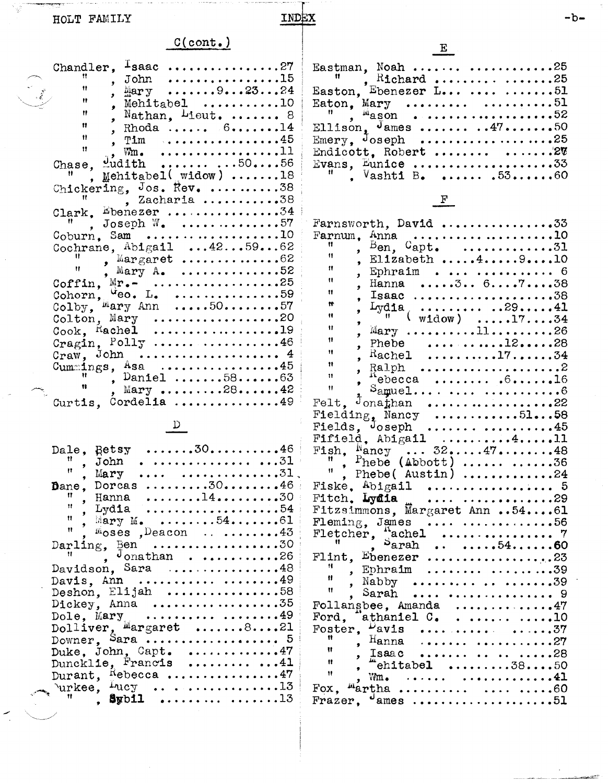$\sim$   $-$ HOLT FAMILY

Ç

INDEX

## $C(\text{cont.})$

| Chandler,                                                                                                                                                                                                                                                                                                                                                                           |
|-------------------------------------------------------------------------------------------------------------------------------------------------------------------------------------------------------------------------------------------------------------------------------------------------------------------------------------------------------------------------------------|
| Ħ<br>. , 15<br>John                                                                                                                                                                                                                                                                                                                                                                 |
| Ħ<br>$\text{Imry}$ 92324                                                                                                                                                                                                                                                                                                                                                            |
| Ħ<br>Mehitabel $\dots\dots\dots 10$                                                                                                                                                                                                                                                                                                                                                 |
| Ħ<br>Nathan, $L_i$ ieut.  8                                                                                                                                                                                                                                                                                                                                                         |
| ٠<br>Ħ<br>Rhoda $614$                                                                                                                                                                                                                                                                                                                                                               |
| Ħ<br>. <b>. <i>.</i> . 45</b><br>, Tim                                                                                                                                                                                                                                                                                                                                              |
| $\mathbf{H}$<br>. 11<br>$\nabla$                                                                                                                                                                                                                                                                                                                                                    |
|                                                                                                                                                                                                                                                                                                                                                                                     |
| $\text{width} \quad \ldots \quad \ldots \quad \ldots \quad \text{50} \ldots \quad \text{56}$<br>Chase.                                                                                                                                                                                                                                                                              |
| Mehitabel(widow) 18                                                                                                                                                                                                                                                                                                                                                                 |
| Chickering, Jos. Rev. 38                                                                                                                                                                                                                                                                                                                                                            |
| , Zacharia 38                                                                                                                                                                                                                                                                                                                                                                       |
| Clark. Ebenezer 34                                                                                                                                                                                                                                                                                                                                                                  |
| Joseph $W_{\bullet}$ 57                                                                                                                                                                                                                                                                                                                                                             |
| $Coburn$ , Sam 10                                                                                                                                                                                                                                                                                                                                                                   |
| Cochrane, $Abigail$ $425962$                                                                                                                                                                                                                                                                                                                                                        |
| Ħ                                                                                                                                                                                                                                                                                                                                                                                   |
| Mary $A_{\bullet}$ 52                                                                                                                                                                                                                                                                                                                                                               |
| Coffin, $Mr_{\bullet}$ 25                                                                                                                                                                                                                                                                                                                                                           |
| $\mu_{\text{e}}$ . L. 59                                                                                                                                                                                                                                                                                                                                                            |
| Cohorn, $\begin{array}{cc}\n\text{Cohorn} & \text{4e0} & \text{L.} & \text{} & \text{} & \text{} & \text{} & \text{} & \text{} & \text{} & \text{} & \text{} & \text{} & \text{} & \text{} & \text{} & \text{} & \text{} & \text{} & \text{} & \text{} & \text{} & \text{} & \text{} & \text{} & \text{} & \text{} & \text{} & \text{} & \text{} & \text{} & \text{} & \text{} & \$ |
| Colton, Mary 20                                                                                                                                                                                                                                                                                                                                                                     |
| $\text{Cook}_{\bullet}$ Hachel 19                                                                                                                                                                                                                                                                                                                                                   |
| Cragin, $Poly$ 46                                                                                                                                                                                                                                                                                                                                                                   |
| Craw, John  4                                                                                                                                                                                                                                                                                                                                                                       |
| Cummings, $\text{Asa}$ 45                                                                                                                                                                                                                                                                                                                                                           |
| Ħ<br>, Daniel $5863$                                                                                                                                                                                                                                                                                                                                                                |
| Ħ<br>Mary 2842                                                                                                                                                                                                                                                                                                                                                                      |
| Curtis, Cordelia 49                                                                                                                                                                                                                                                                                                                                                                 |

 $\frac{D}{2}$ 

| $Retsy$ 3046<br>Dale.                                         |  |
|---------------------------------------------------------------|--|
| 11<br>.  31<br>John                                           |  |
| n<br>31<br>Mary                                               |  |
| Dane, Dorcas 3046                                             |  |
| 11                                                            |  |
| <b>. 14. 3</b> 0<br>Hanna<br>Ħ                                |  |
| , Lydia<br>. 54<br>$\mathbf{H}$                               |  |
| Mary M. $\ldots \ldots 54 \ldots \ldots 61$<br>Ħ              |  |
| $m$ oses , Deacon $\ldots$ $\ldots \ldots \ldots$             |  |
|                                                               |  |
| $J_{\text{onathan}}$ 26<br>11.                                |  |
| Davidson. Sara<br>. <b>. . 4</b> 8                            |  |
| Davis, Ann  49                                                |  |
| Deshon, Elijah $\ldots \ldots \ldots \ldots \ldots 58$        |  |
| Dickey, Anna 35                                               |  |
|                                                               |  |
| Dole, Mary  49<br>Dolliver, Margaret 821                      |  |
| Downer. Sara $5$                                              |  |
|                                                               |  |
| Duke. John. Capt. $\dots\dots\dots47$                         |  |
| Duncklie, Francis $41$                                        |  |
| Durant, $k$ ebecca 47                                         |  |
| $\text{Varkee}, \text{Lucy} \dots \dots \dots \dots \dots 13$ |  |
|                                                               |  |
|                                                               |  |
|                                                               |  |

|                                        |  | $\mathbf{E}$ |  |  |
|----------------------------------------|--|--------------|--|--|
| Eastman, Noah  25                      |  |              |  |  |
| Easton, Ebenezer L51                   |  |              |  |  |
|                                        |  |              |  |  |
|                                        |  |              |  |  |
| Eaton, Mary<br>", <sup>M</sup> ason 52 |  |              |  |  |
| Ellison, $J$ ames  4750                |  |              |  |  |
| Emery, $\tilde{J}$ oseph 25            |  |              |  |  |
| Endicott, Robert $\ldots$ 27           |  |              |  |  |
| Evans, Eunice 33                       |  |              |  |  |
| $V_{\text{asht1}}$ B.  5360            |  |              |  |  |

 $F$ 

| Farnsworth, David 33                                                            |
|---------------------------------------------------------------------------------|
| $_{\text{Anna}}$ 10<br>Farnum.                                                  |
| Ħ<br>$B_{en}$ .<br>$C$ apt. $\ldots \ldots \ldots \ldots 31$                    |
| ż<br>ü<br>Elizabeth  4 9 10                                                     |
| $\bullet$<br>Ħ                                                                  |
| Ephraim  6<br>Hanna 3 6738<br>ý<br>Ħ                                            |
| ,<br>Ħ                                                                          |
| ,<br>lsa.<br>Lydia <sub>(</sub>                                                 |
| Ħ<br>2941<br>÷                                                                  |
| Ħ<br>$width)$ 1734<br>ż                                                         |
| Ħ<br>$Mary$ 1126<br>ý                                                           |
| 11<br>Phebe $\dots \dots \dots \dots 12 \dots \dots 28$                         |
| ż<br>Ħ<br>$\texttt{Rache1}$<br>. 17. 34                                         |
| $\bullet$<br>Ħ                                                                  |
| $\bullet$<br>$\mathbf{H}$                                                       |
| $\text{A}$ ebecca $616$<br>ż<br>Ħ                                               |
| $S_{\text{amue1}}$ 6                                                            |
| $\frac{1}{2}$ on a than $\cdots \cdots \cdots \cdots \cdots \cdots$ 22<br>Felt. |
| Fielding, Nancy $\ldots \ldots \ldots \ldots 51 \ldots 58$                      |
| Fields, $J$ oseph  45                                                           |
| Fifield, $Abi$ gail $\ldots \ldots \ldots 4 \ldots 11$                          |
|                                                                                 |
|                                                                                 |
| Ħ.<br>Phebe( Austin) 24                                                         |
| Fiske, $\Delta$ bigail  5                                                       |
| Fitch, Lydia<br>. 29                                                            |
|                                                                                 |
| Fitzsimmons, Margaret Ann 5461                                                  |
| Fleming, James  56                                                              |
| Fletcher, sachel<br>7                                                           |
| ${\tt S_{arah}}$<br>$\cdots$ $\cdots$ $54$ $\cdots$ $60$                        |
| Flint. Ebenezer<br>. . <b>.</b> 23                                              |
| Ħ.<br>Ephraim<br>. 39<br>$\overline{\phantom{a}}$                               |
| Ħ<br>Nabby    39                                                                |
| Ħ.<br>Sarah<br>. 9                                                              |
|                                                                                 |
| Follangbee, Amanda 47                                                           |
| Ford, "athaniel $C_{\bullet}$ 10                                                |
| $\nu_{\rm {avis}}$<br>Foster.<br>. 37<br>Ħ                                      |
| ${\tt Hanna}$<br>27<br>ż                                                        |
| Ħ<br>. 28<br>Isaac<br>$\bullet$                                                 |
| Ħ<br>"ehitabel 3850<br>,                                                        |
| $\mathbf{H}$<br>, $Wm$ .                                                        |
| <i>Martha</i><br>Fox.                                                           |
| Frazer, $^{\circ}$ ames 51                                                      |
|                                                                                 |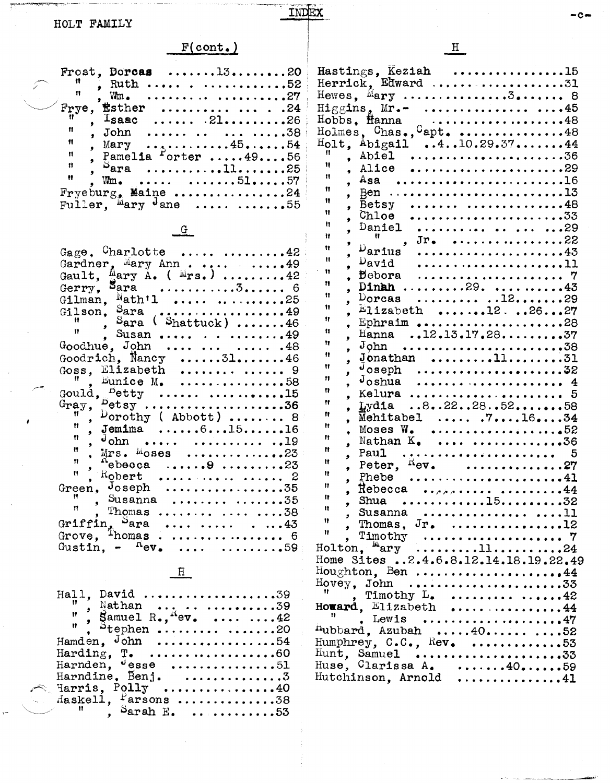Sandara description de la Collegia de la Collegia de la collegia<br>Calendaria

# $F(cont.)$

INDEX

|                     | Frost, Dorcas 1320                               |  |
|---------------------|--------------------------------------------------|--|
|                     | $\frac{11}{10}$ Ruth 52                          |  |
| $\mathbf{H}$ .      |                                                  |  |
|                     | Frye, $\texttt{fstate}$ .24                      |  |
|                     | $\bar{N}$ . Isaac  2126                          |  |
| Ħ.                  | 38<br>John                                       |  |
| Ħ                   | Mary $\dots \dots \dots \dots 45 \dots \dots 54$ |  |
| $\boldsymbol{\Pi}$  | . Pamelia $\frac{1}{2}$ orter 4956               |  |
| $\dot{H}$           | $Sara$ 1125                                      |  |
| $\ddot{\mathbf{H}}$ | $Wm_{\bullet}$ 5157                              |  |
|                     | Fryeburg, Maine 24                               |  |
|                     | Fuller, Mary Jane<br>. 55                        |  |

 $\frac{G}{4}$ 

| Gage. Charlotte $\dots \dots \cdot 42$                                                                                                                                                                                                                                                                                                                                                                   |
|----------------------------------------------------------------------------------------------------------------------------------------------------------------------------------------------------------------------------------------------------------------------------------------------------------------------------------------------------------------------------------------------------------|
| Gardner, Mary Ann. $\ldots$ .49                                                                                                                                                                                                                                                                                                                                                                          |
|                                                                                                                                                                                                                                                                                                                                                                                                          |
|                                                                                                                                                                                                                                                                                                                                                                                                          |
| Gilman, $Nath'1$ 25                                                                                                                                                                                                                                                                                                                                                                                      |
| Gilson, Sara 49                                                                                                                                                                                                                                                                                                                                                                                          |
| $\sum_{\text{area}}$ Sara (Shattuck) 46                                                                                                                                                                                                                                                                                                                                                                  |
|                                                                                                                                                                                                                                                                                                                                                                                                          |
| Susan $\ldots$ 49                                                                                                                                                                                                                                                                                                                                                                                        |
| $G$ oodhue, John    .48                                                                                                                                                                                                                                                                                                                                                                                  |
| Goodrich, Nancy 3146                                                                                                                                                                                                                                                                                                                                                                                     |
| Elizabeth $\ldots$ 9                                                                                                                                                                                                                                                                                                                                                                                     |
| Eunice $M_{\bullet}$ 58                                                                                                                                                                                                                                                                                                                                                                                  |
| $\text{goal}, \text{f}^{\text{D}}$ etty  15                                                                                                                                                                                                                                                                                                                                                              |
| $^{B}$ etsy36                                                                                                                                                                                                                                                                                                                                                                                            |
| Gray, $\begin{matrix} \text{C}r_{\text{c}} & \text{C}r_{\text{c}} & \text{C}r_{\text{c}} & \text{C}r_{\text{c}} & \text{C}r_{\text{c}} & \text{C}r_{\text{c}} & \text{C}r_{\text{c}} & \text{C}r_{\text{c}} & \text{C}r_{\text{c}} & \text{C}r_{\text{c}} & \text{C}r_{\text{c}} & \text{C}r_{\text{c}} & \text{C}r_{\text{c}} & \text{C}r_{\text{c}} & \text{C}r_{\text{c}} & \text{C}r_{\text{c}} & \$ |
| , Jemima $, 6151516$                                                                                                                                                                                                                                                                                                                                                                                     |
|                                                                                                                                                                                                                                                                                                                                                                                                          |
|                                                                                                                                                                                                                                                                                                                                                                                                          |
| $Mrs.$ $M$ oses 23                                                                                                                                                                                                                                                                                                                                                                                       |
| $n_{\text{ebooca}}$ $9$ 23                                                                                                                                                                                                                                                                                                                                                                               |
|                                                                                                                                                                                                                                                                                                                                                                                                          |
| Green, $Joseph$ 35                                                                                                                                                                                                                                                                                                                                                                                       |
| Susanna $\dots 35$                                                                                                                                                                                                                                                                                                                                                                                       |
| Thomas $\dots$ 38                                                                                                                                                                                                                                                                                                                                                                                        |
| Griffin, Sara  43<br>Grove, Thomas 6                                                                                                                                                                                                                                                                                                                                                                     |
|                                                                                                                                                                                                                                                                                                                                                                                                          |
| Gustin, $-\phantom{0}^{11}$ ev. 59                                                                                                                                                                                                                                                                                                                                                                       |
|                                                                                                                                                                                                                                                                                                                                                                                                          |

### $\underline{H}$

| Hall, David 39                                                                       |
|--------------------------------------------------------------------------------------|
|                                                                                      |
|                                                                                      |
| $\overset{\text{\tiny{11}}}{\cdot}$ $\overset{\text{\tiny{3}}}{\circ}$ tephen  20    |
| Hamden. John 54                                                                      |
| Harding, $\mathbb{T}$ . 60                                                           |
| Harnden, <sup>J</sup> esse 51                                                        |
| Harndine, Benj. 3                                                                    |
| $\texttt{Harris}, \texttt{Poly} \dots \dots \dots \dots \dots \dots 40$              |
| $\texttt{Maskell}, \; \texttt{~farsons} \; \ldots \ldots \ldots \ldots \texttt{.38}$ |
| $\mathbb{R}$ , Sarah E. 53                                                           |

| Hastings, Keziah 15<br>Herrick, Edward 31                                                                                                                                                                                                                                                                   |
|-------------------------------------------------------------------------------------------------------------------------------------------------------------------------------------------------------------------------------------------------------------------------------------------------------------|
| Hewes, $M = N$ 3 8                                                                                                                                                                                                                                                                                          |
|                                                                                                                                                                                                                                                                                                             |
|                                                                                                                                                                                                                                                                                                             |
| Hobbs, Hanna 48<br>Holmes, Chas., Capt. 48                                                                                                                                                                                                                                                                  |
|                                                                                                                                                                                                                                                                                                             |
| $H_{\text{OL}}$ , Abigail 410.29.3744                                                                                                                                                                                                                                                                       |
| Ħ<br>Abiel 36                                                                                                                                                                                                                                                                                               |
| Ħ                                                                                                                                                                                                                                                                                                           |
| Alice 29<br>$\bullet$<br>Ħ                                                                                                                                                                                                                                                                                  |
| $\text{Asa}$ 16                                                                                                                                                                                                                                                                                             |
| Ħ<br>$\bullet$                                                                                                                                                                                                                                                                                              |
| Ħ<br>Betsy $\dots\dots\dots48$<br>ý                                                                                                                                                                                                                                                                         |
| Ħ                                                                                                                                                                                                                                                                                                           |
| Ħ                                                                                                                                                                                                                                                                                                           |
| Daniel  29<br>$\bullet$<br>Ħ                                                                                                                                                                                                                                                                                |
| $\mathbb{R}$ , Jr. 22<br>ŷ.                                                                                                                                                                                                                                                                                 |
| $D_{\boldsymbol{\mathrm{arius}}}$<br>Ħ                                                                                                                                                                                                                                                                      |
| Ħ<br>$D$ avid                                                                                                                                                                                                                                                                                               |
| 11<br>Bebora                                                                                                                                                                                                                                                                                                |
| Ħ                                                                                                                                                                                                                                                                                                           |
| Dinh $\ldots \ldots \ldots 29 \ldots \ldots \ldots 43$<br>Ħ                                                                                                                                                                                                                                                 |
| Dorcas $.12.$ 29<br>ż                                                                                                                                                                                                                                                                                       |
| Ħ<br>$E$ lizabeth 122627<br>ż                                                                                                                                                                                                                                                                               |
| Ħ<br>Ephraim 28                                                                                                                                                                                                                                                                                             |
| Ħ<br>Hanna 12.13.17.2837                                                                                                                                                                                                                                                                                    |
| Ħ                                                                                                                                                                                                                                                                                                           |
| $J$ ohn<br>,<br>Ħ                                                                                                                                                                                                                                                                                           |
| $J$ onathan 1131<br>ż                                                                                                                                                                                                                                                                                       |
| Ħ<br>$\sigma$ oseph32<br>,                                                                                                                                                                                                                                                                                  |
| 11<br>$J$ oshua  4<br>ż                                                                                                                                                                                                                                                                                     |
| Ħ<br>Kelura                                                                                                                                                                                                                                                                                                 |
| g<br>Ħ                                                                                                                                                                                                                                                                                                      |
| Lydia $.8.22.28.525.56$<br>٠<br>Ħ                                                                                                                                                                                                                                                                           |
| $\overline{\text{M}}$ ehitabel $71634$<br>$\bullet$                                                                                                                                                                                                                                                         |
| Ħ<br>Moses W.<br>. 52                                                                                                                                                                                                                                                                                       |
| Ħ<br>Nathan $K_{\bullet}$ 36                                                                                                                                                                                                                                                                                |
| Ħ<br>Paul $5$                                                                                                                                                                                                                                                                                               |
| ,<br>Ħ                                                                                                                                                                                                                                                                                                      |
| Peter, $^{R}ev$ . 27<br>Ħ                                                                                                                                                                                                                                                                                   |
| Phebe $\ldots$ 41<br>11                                                                                                                                                                                                                                                                                     |
| Rebecca  44                                                                                                                                                                                                                                                                                                 |
| Ħ<br>, Shua 1532                                                                                                                                                                                                                                                                                            |
| Ħ                                                                                                                                                                                                                                                                                                           |
| Ħ<br>Thomas, $J_{r}$ , 12                                                                                                                                                                                                                                                                                   |
| Ħ                                                                                                                                                                                                                                                                                                           |
|                                                                                                                                                                                                                                                                                                             |
|                                                                                                                                                                                                                                                                                                             |
| Home Sites 2.4.6.8.12.14.18.19.22.49                                                                                                                                                                                                                                                                        |
| $Houghton, Ben \ldots \ldots \ldots \ldots \ldots \ldots \bullet 44$                                                                                                                                                                                                                                        |
|                                                                                                                                                                                                                                                                                                             |
| Timothy $L_{\bullet}$ 42                                                                                                                                                                                                                                                                                    |
|                                                                                                                                                                                                                                                                                                             |
| $\begin{array}{ccccc}\n\text{''} & \text{Timothy} & \text{``} & \text{``} & \text{``} & \text{``} & \text{``} & \text{``} & \text{``} & \text{``} \\ \text{However, E11zabeth} & \text{''} & \text{``} & \text{``} & \text{``} \\ \text{``} & \text{''} & \text{''} & \text{''} & \text{''} \\ \end{array}$ |
| $\overline{H}_{\text{ubbard}}$ , Lewis 47                                                                                                                                                                                                                                                                   |
|                                                                                                                                                                                                                                                                                                             |
| Humphrey, $C \cdot C \cdot$ , $Rev \cdot \cdot \cdot \cdot \cdot \cdot \cdot \cdot \cdot \cdot \cdot \cdot 53$                                                                                                                                                                                              |
|                                                                                                                                                                                                                                                                                                             |
|                                                                                                                                                                                                                                                                                                             |
|                                                                                                                                                                                                                                                                                                             |
| Hutchinson, Arnold 41                                                                                                                                                                                                                                                                                       |

 $\underline{\mathbf{H}}$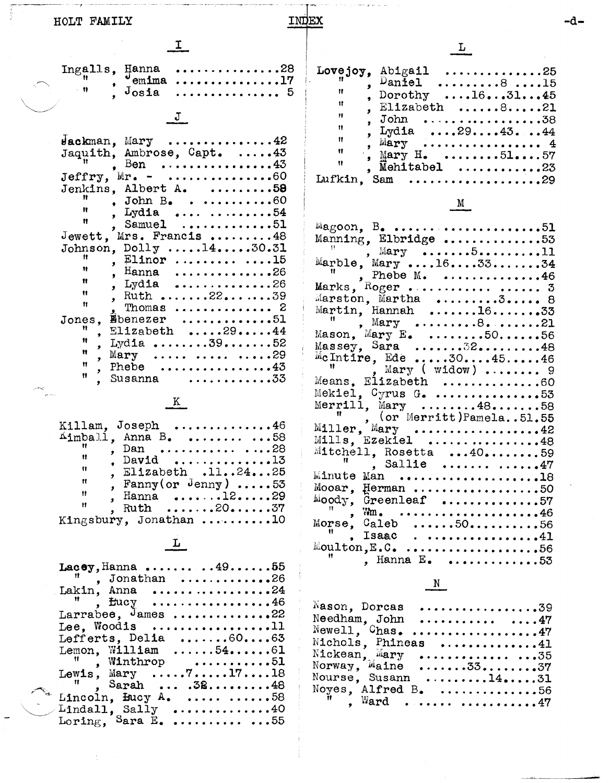| HOLT | FAMILY |
|------|--------|
|------|--------|

INDEX

there go an own w

| I.                                                                                                                                                                                                                                                                                                                                                                                                                                                                                                                                                                                                                                                                                 |                                                                                                                                                                                      |
|------------------------------------------------------------------------------------------------------------------------------------------------------------------------------------------------------------------------------------------------------------------------------------------------------------------------------------------------------------------------------------------------------------------------------------------------------------------------------------------------------------------------------------------------------------------------------------------------------------------------------------------------------------------------------------|--------------------------------------------------------------------------------------------------------------------------------------------------------------------------------------|
| <b>.</b> 28<br>Ingalls,<br>Hanna<br>$^{\circ}$ emima<br><u>. 17</u><br>- 11<br>$J$ osia<br>. 5                                                                                                                                                                                                                                                                                                                                                                                                                                                                                                                                                                                     | Lovejoy<br>Ħ<br>Ħ                                                                                                                                                                    |
| J                                                                                                                                                                                                                                                                                                                                                                                                                                                                                                                                                                                                                                                                                  | Ħ<br>Ħ                                                                                                                                                                               |
| $\mu$ ackman, Mary 42<br>Jaquith, Ambrose, Capt. 43<br>Ben . $\dots \dots \dots \dots \dots \dots 43$<br>Jeffry, $Mr. -$ 60<br>Jenkins, Albert A. 58<br>Ħ<br>John $B_{\bullet}$ 60<br>Ħ<br>, Lydia<br>. 54<br>Ħ<br>Samuel<br>. <b>.</b> 51<br>Jewett, Mrs. Francis 48<br>Johnson, $Dolly$ $14130.31$<br>, Elinor  15<br>Ħ<br>${\tt Hanna}$<br>. 26<br>$\bullet$<br>Ħ<br>, Lydia<br><b>. 26</b><br>Ħ<br>, Ruth 2239<br>Ħ<br>Thomas $2$<br>Ebenezer 51<br>Jones.<br>Ħ<br>Elizabeth $\ldots$ .2944<br>Ħ<br>Lydia $\ldots \ldots \ldots 39 \ldots \ldots 52$<br>Ħ<br>Mary<br>. 29<br>$\bullet$<br>Ħ<br>Phebe $\dots\dots\dots\dots43$<br>Ħ<br>Susanna $\ldots \ldots \ldots \ldots 33$ | Ħ<br>Ħ<br>Ħ<br>Ħ<br>Lufkin.<br>$^{1/2}$ agoon,<br>Manning,<br>Marble,<br>Marks, F<br>Marston,<br>Martin,<br>Ħ<br>Mason, M<br>Massey,<br>McIntire<br>Ħ<br>Means. ${\tt B}$<br>Mekiel, |
| K.                                                                                                                                                                                                                                                                                                                                                                                                                                                                                                                                                                                                                                                                                 | Merrill,<br>Ħ                                                                                                                                                                        |
| Killam, Joseph<br><b>. 4</b> 6<br>$\texttt{Aimball}$ , Anna B.  58<br>Dan<br><b>.</b> 28<br>Ħ<br>David<br>. 13<br>Ħ<br>Elizabeth .112425<br>n<br>, Fanny (or Jenny) $\ldots$ .53<br>Ħ<br>Hanna $\dots 12 \dots 29$<br>y.<br>Ħ<br>, Ruth $\ldots \ldots 20 \ldots 37$<br>Kingsbury, Jonathan 10                                                                                                                                                                                                                                                                                                                                                                                     | Miller,<br>Mills, E<br>Mitchell<br>Minute M<br>Mooar, H<br>Moody, G<br>ES C<br>Morse,<br>I                                                                                           |
| L                                                                                                                                                                                                                                                                                                                                                                                                                                                                                                                                                                                                                                                                                  | Moulton,                                                                                                                                                                             |
| Lacey, Hanna 4955<br>Jonathan 26<br>. 24<br>Lakin, Anna<br>, flucy $\ldots \ldots \ldots \ldots \ldots \ldots 46$<br>Larrabee, $\frac{1}{2}$ ames 22<br>Lee, Woodis<br>. 11<br>Lefferts, Delia $. 60 63$<br>Lemon, William<br>$\ldots \ldots 54 \ldots 61$<br>Ħ<br>Winthrop 51<br>$\bullet$<br>Lewis, Mary $\ldots$ $7 \ldots 17 \ldots 18$<br>Ħ<br>Sarah $.38 \ldots .48$<br>Lincoln, Bucy A. $\ldots \ldots \ldots \ldots$ 58                                                                                                                                                                                                                                                    | Nason, D<br>Needham,<br>Newell,<br>Nichols,<br>Nickean,<br>Norway,<br>Nourse,<br>Noyes, A<br>₩                                                                                       |
|                                                                                                                                                                                                                                                                                                                                                                                                                                                                                                                                                                                                                                                                                    | Lindall, Sally 40<br>Loring, Sara E. 55                                                                                                                                              |

 $\frac{1}{2}$ 

| $\mathbf{H}$<br>$\mathbf{H}$<br>$\mathbf{H}$<br>$+11$<br>$^{\circ}$<br>$^{\dagger}$<br>$\overline{\mathbf{u}}$ | Lovejoy, Abigail<br>. 25<br>Daniel $\dots\dots\dots 8 \dots 15$<br>Dorothy<br>$\ldots$ 16. $\ldots$ 31. $\ldots$ 45<br>Elizabeth 821<br>. John 38<br>Lydia $\ldots$ . 29. $\ldots$ . 43. $\ldots$ . 44<br>. Mary $4$<br>, Mary H. 5157<br>. Mehitabel $\ldots \ldots \ldots \ldots 23$ |
|----------------------------------------------------------------------------------------------------------------|----------------------------------------------------------------------------------------------------------------------------------------------------------------------------------------------------------------------------------------------------------------------------------------|
| Lufkin.                                                                                                        | Sam                                                                                                                                                                                                                                                                                    |

### $M$

 $L$ 

| $Magoon$ , B. 51                                         |  |
|----------------------------------------------------------|--|
| Manning, Elbridge 53                                     |  |
| $\sum_{i=1}^{n}$ Mary 511                                |  |
| Marble, Mary 163334                                      |  |
| Phebe $M_*$ 46                                           |  |
|                                                          |  |
| Marks, $Roger$ 3                                         |  |
| Marston, Martha 3 8                                      |  |
| Martin, Hannah 1633                                      |  |
| , Mary 8. 21                                             |  |
| Mason, Mary E. $\dots \dots \dots 50 \dots \dots 56$     |  |
| $Massey, Sara$ $3218$                                    |  |
| ${}^{\text{M}}$ cIntire, Ede 304546                      |  |
| Mary ( $widown)$ 9                                       |  |
| Means, Elizabeth 60                                      |  |
| Mekiel, $Gyrus$ $G_*$ 53                                 |  |
| Merrill, Mary $\ldots \ldots \ldots 48 \ldots \ldots 58$ |  |
| $($ or Merritt) Pamela51.55                              |  |
| Miller, Mary 42                                          |  |
| Mills, Ezekiel 48                                        |  |
| Mitchell, Rosetta 4059                                   |  |
| $"$ , Sallie  47                                         |  |
| Minute Man 18                                            |  |
|                                                          |  |
| Mooar, Herman 50                                         |  |
| $Mody$ , Greenleaf 57                                    |  |
| $Wm_{\bullet}$ 46                                        |  |
| Morse, Caleb 5056                                        |  |
| $\blacksquare$ , Isaac41                                 |  |
| $M$ oulton, E.C. 56                                      |  |
| , Hanna E. 53                                            |  |
|                                                          |  |

### $\frac{N}{2}$

| $N$ ason, Dorcas 39                               |
|---------------------------------------------------|
| Needham, John $47$                                |
| $Newell,$ $Chas.$ 47                              |
| Nichols, Phineas 41                               |
| $Nickean$ , $Mary$ 35                             |
| Norway, $M$ aine 3337                             |
| Nourse, Susann $\dots\dots 14\dots 31$            |
| Noyes, Alfred B. $\ldots \ldots \ldots \ldots 56$ |
| $\overset{\text{ii}}{\bullet}$ ward 47            |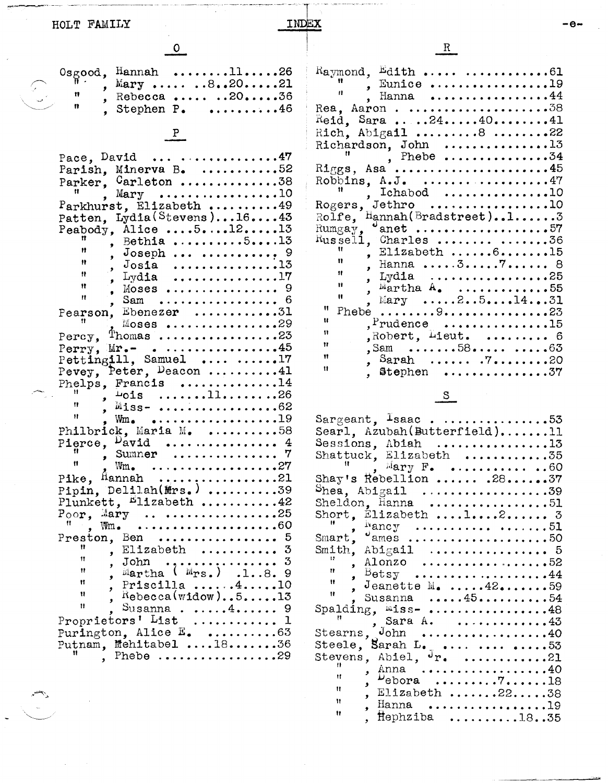| HOLT FAMILY                                   | INDEX                                                                                                                                                                                                                                                                                                                                                                                                                                                                                                                                                                                                                                           |                                                                                                                                                                                                                                                                                                                                                                                                                                                                                                                                                                                                                                                                                                                                                                                                                                                                                                                                                                                                                                                                                              |
|-----------------------------------------------|-------------------------------------------------------------------------------------------------------------------------------------------------------------------------------------------------------------------------------------------------------------------------------------------------------------------------------------------------------------------------------------------------------------------------------------------------------------------------------------------------------------------------------------------------------------------------------------------------------------------------------------------------|----------------------------------------------------------------------------------------------------------------------------------------------------------------------------------------------------------------------------------------------------------------------------------------------------------------------------------------------------------------------------------------------------------------------------------------------------------------------------------------------------------------------------------------------------------------------------------------------------------------------------------------------------------------------------------------------------------------------------------------------------------------------------------------------------------------------------------------------------------------------------------------------------------------------------------------------------------------------------------------------------------------------------------------------------------------------------------------------|
|                                               |                                                                                                                                                                                                                                                                                                                                                                                                                                                                                                                                                                                                                                                 | $\mathbf{R}$                                                                                                                                                                                                                                                                                                                                                                                                                                                                                                                                                                                                                                                                                                                                                                                                                                                                                                                                                                                                                                                                                 |
| n                                             | $Osgood,$ Hannah 1126<br>, Mary $.8.20121$<br>, Rebecca $.2036$<br>, Stephen P. $\dots\dots46$<br>Pace, David $\dots \dots \dots \dots \dots \dots$                                                                                                                                                                                                                                                                                                                                                                                                                                                                                             | Raymond, Edith $\dots \dots \dots \dots$<br>$\begin{array}{ccccc}\n\text{#} & \text{#} & \text{Funice} & \text{#} & \text{#} & \text{#} \\ \text{#} & \text{#} & \text{#} & \text{#} & \text{#} & \text{#} & \text{#} \\ \text{#} & \text{#} & \text{#} & \text{#} & \text{#} & \text{#} & \text{#} \\ \text{#} & \text{#} & \text{#} & \text{#} & \text{#} & \text{#} & \text{#} \\ \text{#} & \text{#} & \text{#} & \text{#} & \text{#} & \text{#} & \text{#} & \text{#}$<br>$\text{Red}$ , Sara 244041<br>Rich, Abigail 8 22<br>Richardson, John 13<br>, Phebe 34                                                                                                                                                                                                                                                                                                                                                                                                                                                                                                                         |
| Ħ<br>11.<br>$\mathbf{H}$<br>$\mathbf{H}$<br>Ħ | Parish, Minerva B. 52<br>Parker, $G$ arleton 38<br>, $Mary$ 10<br>Parkhurst, Elizabeth 49<br>Patten, Lydia (Stevens)1643<br>Peabody, Alice $\dots, 5 \dots, 12 \dots, 13$<br>, Bethia 513<br>, Moses  9<br>, Sam  6<br>Pearson, Ebenezer 31<br>. Moses 29<br>Percy, Thomas 23<br>Perry, $Mr_{\bullet}$ 45<br>Pettingill, Samuel $\ldots$ 17<br>Pevey, Peter, Deacon 41<br>Phelps, Francis 14<br>$\frac{1}{2}$ ois ll26                                                                                                                                                                                                                          | $\mathrm{Riggs},$ Asa 45<br>Robbins, $A-J$ . 47<br>, Ichabod $\ldots \ldots \ldots \ldots \ldots 10$<br>Rogers, Jethro 10<br>$\text{Ro1fe}, \text{ Hannah}(\text{Bradstreet})13$<br>Ħ.<br>, Elizabeth $615$<br>$\mathbf{H}$<br>, Hanna 37 8<br>$\frac{1}{\sqrt{1+\frac{1}{2}}}\frac{1}{\sqrt{1+\frac{1}{2}}}\frac{1}{\sqrt{1+\frac{1}{2}}}\frac{1}{\sqrt{1+\frac{1}{2}}}\frac{1}{\sqrt{1+\frac{1}{2}}}\frac{1}{\sqrt{1+\frac{1}{2}}}\frac{1}{\sqrt{1+\frac{1}{2}}}\frac{1}{\sqrt{1+\frac{1}{2}}}\frac{1}{\sqrt{1+\frac{1}{2}}}\frac{1}{\sqrt{1+\frac{1}{2}}}\frac{1}{\sqrt{1+\frac{1}{2}}}\frac{1}{\sqrt{1+\frac{1}{2}}}\frac{1}{\sqrt{1+\frac{1}{2}}}\frac{1}{\sqrt{1+\frac{$<br>, Lydia $\ldots \ldots \ldots \ldots \ldots 25$<br>, Martha $A_{\bullet}$ 55<br>$\mathbf{H}$<br>, Mary $2 \cdot .5 \cdot 14 \cdot 31$<br>" Phebe $\ldots \ldots \ldots 9 \ldots \ldots \ldots \ldots \ldots 23$<br>Ħ<br>$P$ rudence $\ldots \ldots \ldots \ldots 15$<br>Ħ<br>Robert, Lieut. $6$<br>Ħ<br>, Sam $58 \t 58$<br>Ħ<br>, Sarah $.720$<br>Ħ.<br>, Stephen $\ldots \ldots \ldots \ldots \ldots 37$ |
| Ħ<br>Ħ<br>Ħ<br>Ħ<br>Ħ<br>Ħ<br>Ħ<br>Ħ          | , $Miss-$ 62<br>, Wm. 19<br>Philbrick, Maria M. $\ldots \ldots \ldots 58$<br>Pierce, $\n $ $\blacktriangleright$ $\blacktriangle$ $\blacktriangleright$ $\ldots$ $\ldots$ $\ldots$ $\ldots$ $\ldots$ 4<br>$Wm_{\bullet}$ 27<br>Pike, $\texttt{Hamnah}$ 21<br>Pipin, Delilah $(mrs_{\bullet})$ 39<br>Plunkett, $L11$ zabeth 42<br>$P_{\text{OOP}}$ , Mary 25<br>Preston, Ben  5<br>, Elizabeth $3$<br>, John  3<br>, Martha $(\mathbb{M}_{\text{TS.}})$ .18. 9<br>, Priscilla $\ldots \ldots 4 \ldots 10$<br>, $R$ ebecca(widow)513<br>Susanna $4$ 9<br>Proprietors' List  1<br>Purington, Alice $E_$ 63<br>Putnam, Mehitabel 1836<br>. Phebe 29 | Sargeant, Isaac. $\ldots \ldots \ldots \ldots \ldots$ 53<br>Searl, Azubah (Butterfield)11<br>Sessions, Abiah 13<br>Shattuck, Elizabeth 35<br>$^{\text{II}}$ $\frac{1}{2}$ Mary F. 60<br>Shay's Rebellion  . 28 37<br>$\mathcal{S}$ hea, Abigail 39<br>Sheldon, Hanna 51<br>Short, Elizabeth $123$<br>, wancy  51<br>Smart, $^{\circ}$ ames 50<br>, Alonzo 52<br>$\frac{1}{2}$ Betsy 44<br>$\mathbf{H}$<br>, Jeanette M. $\ldots$ . 42 $\ldots$ . 59<br>Ħ.<br>, Susanna $4554$<br>Spalding, miss- 48<br>Sara A. 43<br>Stearns, John 40<br>Steele, Sarah L.   53<br>Stevens, Abiel, <sup>J</sup> r. 21<br>$\frac{1}{2}$ Anna $\ldots \ldots \ldots \ldots \ldots \ldots 40$<br>Ħ<br>$\frac{1}{2}$ $\mu_{\text{ebora}}$ 18                                                                                                                                                                                                                                                                                                                                                                      |
|                                               |                                                                                                                                                                                                                                                                                                                                                                                                                                                                                                                                                                                                                                                 | Ħ<br>, Elizabeth 2238<br>Ħ<br>, Hanna 19                                                                                                                                                                                                                                                                                                                                                                                                                                                                                                                                                                                                                                                                                                                                                                                                                                                                                                                                                                                                                                                     |

 $\bar{\mathbf{H}}$  $\bar{\mathbf{H}}$ 

, Hephziba  $\ldots \ldots \ldots 18 \ldots 35$ 

 $-e-$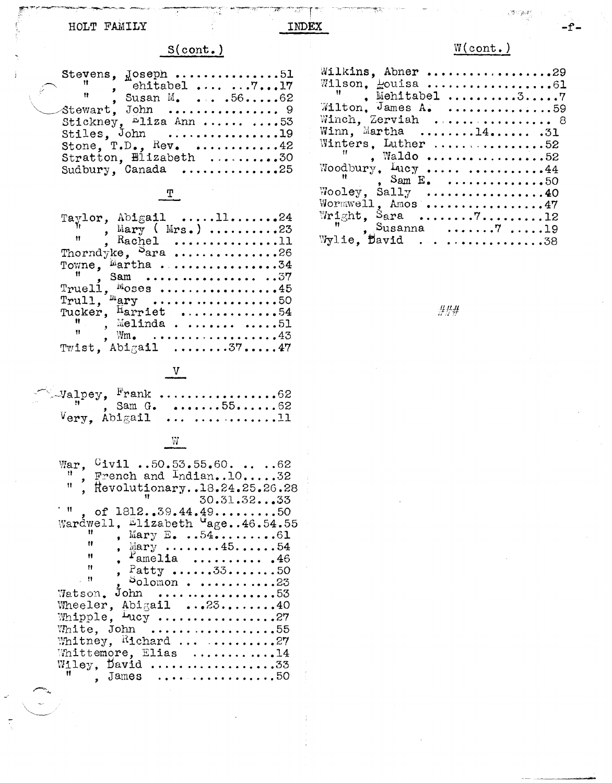## HOLT FAMILY

 $\ddot{i}$ 

# S(cont.)

IJ

INDEX

| Stevens, $J_0$ oseph 51                                         |                                  |  |  |
|-----------------------------------------------------------------|----------------------------------|--|--|
| $\begin{bmatrix} 1 & 1 \\ 1 & 1 \end{bmatrix}$ ehitabel $71717$ |                                  |  |  |
|                                                                 | $\frac{11}{2}$ , Susan M.  .5662 |  |  |
| $\mathcal{A}$ tewart. John  9                                   |                                  |  |  |
| Stickney. <sup>n</sup> liza Ann   53                            |                                  |  |  |
| Stiles, John 19                                                 |                                  |  |  |
|                                                                 | Stone, $T.D., Rev.$ 42           |  |  |
|                                                                 | Stratton, Elizabeth 30           |  |  |
| Sudbury, Canada 25                                              |                                  |  |  |
|                                                                 |                                  |  |  |

 $\mathbb{L}$ 

|              | Taylor, Abigail 1124<br>, Mary (Mrs.) 23<br>", Rachel 11 |  |
|--------------|----------------------------------------------------------|--|
|              |                                                          |  |
|              |                                                          |  |
|              | Thorndyke, $S$ ara 26                                    |  |
|              |                                                          |  |
|              |                                                          |  |
|              | Truell, $M$ oses 45                                      |  |
|              |                                                          |  |
|              |                                                          |  |
|              | $\blacksquare$ . Melinda 51                              |  |
| $\mathbf{H}$ | $Wm_{\bullet}$ 43                                        |  |
|              | Twist. Abigail 3747                                      |  |

 $\overline{V}$ 

| $\sim$ Valpey, Frank 62        |                |  |  |  |  |  |
|--------------------------------|----------------|--|--|--|--|--|
|                                | , Sam G. 55 52 |  |  |  |  |  |
| $V_{\text{ery}}$ , Abigail  11 |                |  |  |  |  |  |

## $\mathbb{W}$

| War, $0$ ivil 50.53.55.60.  62                                                   |
|----------------------------------------------------------------------------------|
|                                                                                  |
| $\frac{11}{2}$ , French and Indian1032<br>Ħ.                                     |
| Revolutionary18.24.25.26.28                                                      |
| 11. L<br>30.31.3233                                                              |
| $^{\circ}$ H<br>of $1812 \cdot .59.44.49 \cdot \cdot \cdot \cdot \cdot \cdot 50$ |
| Wardwell, Elizabeth Gage46.54.55                                                 |
| Ħ<br>, Mary $E_0$ 5461                                                           |
| Ħ<br>, Mary 4554                                                                 |
| $P$ amelia  46<br>Ħ                                                              |
| Ħ                                                                                |
| , Patty 3350                                                                     |
| - 林<br>$S_{\text{olomon}}$ 23                                                    |
| Watson. John 53                                                                  |
| Wheeler, Abigail $\ldots$ .2540                                                  |
| Whipple, Lucy 27                                                                 |
|                                                                                  |
| White, John 55                                                                   |
| Whitney, Richard  27                                                             |
| Whittemore, Elias 14                                                             |
| Wiley, David 33                                                                  |
| Ħ<br>$James$ 50                                                                  |
|                                                                                  |
|                                                                                  |
|                                                                                  |
|                                                                                  |
|                                                                                  |
|                                                                                  |

# $W(\text{cont.})$

 $\label{eq:2} \mathcal{E}^{\text{SUT}}_{\text{GUT}}\mathcal{D}^{\text{SUT}}_{\text{GUT}}$ 

 $-f -$ 

| Wilkins, Abner29                                           |
|------------------------------------------------------------|
| Wilson. Houisa 61                                          |
| $\mathbf{H}$ . Mehitabel 37                                |
| Wilton, James A. 59                                        |
| Winch, Zerviah  8                                          |
| Winn, Martha 14 .31                                        |
| Winters, Luther 52                                         |
| $^{\prime\prime}$ . Waldo 52                               |
| Woodbury, $\text{Log } \ldots \ldots \ldots \ldots \ldots$ |
| $^{\prime\prime}$ , Sam E. 50                              |
| Wooley, Sally 40                                           |
| Wormwell. Amos 47                                          |
|                                                            |
|                                                            |
| $\frac{10}{10}$ , Susanna 7 19<br>Wylie, David 38          |

 $\# \# \#$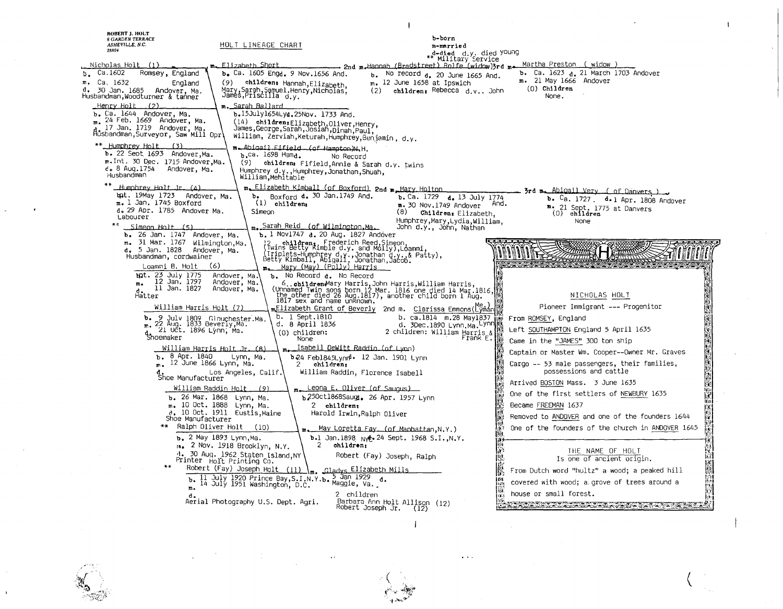| ROBERT J. HOLT                                                   |                                                                                              |                                                                                                                                                                                                               |                                                                                                                                                                                                                                |                   |
|------------------------------------------------------------------|----------------------------------------------------------------------------------------------|---------------------------------------------------------------------------------------------------------------------------------------------------------------------------------------------------------------|--------------------------------------------------------------------------------------------------------------------------------------------------------------------------------------------------------------------------------|-------------------|
| <b>6 GARDEN TERRACE</b><br>ASHEVILLE, N.C.                       | HOLT LINEAGE CHART                                                                           | b-born<br>m-married                                                                                                                                                                                           |                                                                                                                                                                                                                                |                   |
| 28804                                                            |                                                                                              | d-died d.y. died <sup>young</sup><br>** Military Service                                                                                                                                                      |                                                                                                                                                                                                                                |                   |
| Nicholas Holt                                                    | Elizabeth Short                                                                              | Hannah (Bradstreet) Rolfe (widow)3rd m.<br>$2nd$ m                                                                                                                                                            | Martha Preston ( widow )                                                                                                                                                                                                       |                   |
| Ca.1602<br>Romsey, England<br>b.                                 | b. Ca. 1605 Engd. 9 Nov. 1656 And.                                                           | No record d. 20 June 1665 And.<br>ь.                                                                                                                                                                          | <b>b.</b> Ca. 1623 <sub>d.</sub> 21 March 1703 Andover<br>m. 21 May 1666 Andover                                                                                                                                               |                   |
| m, Ca. 1632<br>England<br>d.,<br>30 Jan. 1685<br>Andover, Ma.    | (9)<br>children: Hannah, Elizabeth,                                                          | m. 12 June 1658 at Ipswich<br>(2)<br>children: Rebecca $d.v.$ , John                                                                                                                                          | $(0)$ Children                                                                                                                                                                                                                 |                   |
| Husbandman,Woodturner & tanner                                   | Mary, Sarah, Samuel.Henrý, Nicholas,<br>James, Priscilla d.y.                                |                                                                                                                                                                                                               | None.                                                                                                                                                                                                                          |                   |
| Henry Holt<br>(2)<br>b. Ca. 1644 Andover, Ma.                    | m. Sarah Ballard<br>b.15July1654Lyd.25Nov. 1733 And.                                         |                                                                                                                                                                                                               |                                                                                                                                                                                                                                |                   |
| 24 Feb. 1669 Andover, Ma.<br>m.                                  | (14) children: Elizabeth, Oliver, Henry,                                                     |                                                                                                                                                                                                               |                                                                                                                                                                                                                                |                   |
| 17 Jan. 1719 Andover, Ma.<br>Ausbandman, Surveyor, Saw Mill Opri | James,George,Sarah,Josiah,Dinah,Paul,<br>William, Zerviah, Keturah, Humphrey, Benjamin, d.y. |                                                                                                                                                                                                               |                                                                                                                                                                                                                                |                   |
| <u>** Humphrey Holt _</u><br>(3)                                 | m. Abigail Fifield (of Hampton)N.H.                                                          |                                                                                                                                                                                                               |                                                                                                                                                                                                                                |                   |
| b. 22 Seot 1693 Andover, Ma.<br>m.Int. 30 Dec. 1715 Andover,Ma.  | $b$ .ca. 1698 Hamd.                                                                          | No Record                                                                                                                                                                                                     |                                                                                                                                                                                                                                |                   |
| d. 8 Aug.1754<br>Andover, Ma.                                    | (9) children: Fifield, Annie & Sarah d.y. twins<br>Humphrey d.y., Humphrey, Jonathan, Shuah, |                                                                                                                                                                                                               |                                                                                                                                                                                                                                |                   |
| Husbandman                                                       | William, Mehitable                                                                           |                                                                                                                                                                                                               |                                                                                                                                                                                                                                |                   |
| Humphrey Holt Ir. (4)<br>tat. 19May 1723 Andover, Ma.            | m. Elizabeth Kimball (of Boxford) 2nd m. Mary Holton                                         |                                                                                                                                                                                                               | 3rd m. Abigail Very ( of Danvers )                                                                                                                                                                                             |                   |
| $m. 1$ Jan. 1745 Boxford                                         | Boxford d. 30 Jan.1749 And.<br>ъ.<br>$(1)$ children:                                         | b. Ca. 1729 d. 13 July 1774<br>$m.$ 30 Nov.1749 Andover                                                                                                                                                       | b. Ca. 1727. d. 1 Apr. 1808 Andover<br>Ana.                                                                                                                                                                                    |                   |
| d. 29 Apr. 1785 Andover Ma.<br>Labourer                          | Simeon                                                                                       | (8)<br>Children: Elizabeth,                                                                                                                                                                                   | m. 21 Sept. 1775 at Danvers<br>$(0)$ children                                                                                                                                                                                  |                   |
| <u>Simeon Holt (5)</u>                                           | <sub>m.</sub> Sarah Reid (of Wilmington Ma.                                                  | Humphrey,Mary,Lydia,William,<br>John d.y., John, Nathan                                                                                                                                                       | None                                                                                                                                                                                                                           |                   |
| b. 26 Jan. 1747 Andover, Ma.                                     | b. 1 Nov1747 d. 20 Aug. 1827 Andover                                                         |                                                                                                                                                                                                               |                                                                                                                                                                                                                                |                   |
| m. 31 Mar. 1767 Wilmington, Ma.<br>d. 5 Jan. 1828 Andover, Ma.   | )<br> iwins Betty Kimble d.y. and Molly),Loammi                                              |                                                                                                                                                                                                               |                                                                                                                                                                                                                                |                   |
| Husbandman, cordwainer                                           |                                                                                              | (iriplets-Humphrey d.y., Jonathan d.y., & Patty),<br>Betty Kimball, Abigail, Jonathan, Jacob.                                                                                                                 |                                                                                                                                                                                                                                |                   |
| Loammi B. Holt<br><b>bgt.</b> 23 July 1775                       | (6)<br>Mary (May) (Polly) Harris<br>n.<br>Andover, Ma.<br>b. No Record a. No Record          |                                                                                                                                                                                                               |                                                                                                                                                                                                                                |                   |
| 12 Jan. 1797<br>$m_{\bullet}$<br>11 Jan. 1827                    | Andover, Ma.                                                                                 |                                                                                                                                                                                                               |                                                                                                                                                                                                                                |                   |
| Hatter                                                           | Andover, Ma.                                                                                 | 6children Mary Harris, John Harris, William Harris, (Unnamed Twin sons born 12 Mar. 1816 one died 14 Mar.1816, (1998)<br>The other died 26 Aug.1817), another child born 1 Aug.<br>1817 sex and name unknown. | NICHOLAS HOLT                                                                                                                                                                                                                  |                   |
| William Harris Holt (7)                                          |                                                                                              | mElizabeth Grant of Beverly  2nd m.  Clarissa Emmons(Lyman                                                                                                                                                    | Pioneer Immigrant --- Progenitor                                                                                                                                                                                               |                   |
| b. 9 July 1809 Glouchester Ma.<br>m. 22 Aug. 1833 Beverly, Ma.   | b. 1 Sept.1810                                                                               | b. ca.1814  m.28 May1837                                                                                                                                                                                      | From ROMSEY, England                                                                                                                                                                                                           |                   |
| 21 Učt. 1896 Lýnn, Ma.                                           | d. 8 April 1836<br>$(0)$ children:                                                           | d. 3Dec.1890 Lynn. Ma. Lynn<br>2 children: William Harris &                                                                                                                                                   | Left SOUTHAMPTON England 5 April 1635                                                                                                                                                                                          |                   |
| d.<br>Shoemaker                                                  | None                                                                                         | Frank E.                                                                                                                                                                                                      | Came in the "JAMES" 300 ton ship                                                                                                                                                                                               |                   |
| 8 Apr. 1840<br>ъ.                                                | <u> William Harris Holt Jr. (8)</u><br>Lynn. Ma.                                             | <u>Isabell DeWitt Raddin (of Lyon)</u><br><b>b</b> 24 Feb1845Lynn <sup>d.</sup> 12 Jan. 1901 Lynn                                                                                                             | Captain or Master Wm. Cooper--Owner Mr. Graves                                                                                                                                                                                 |                   |
| $m -$                                                            | 12 June 1866 Lynn, Ma.<br>2<br>children;                                                     |                                                                                                                                                                                                               | Cargo -- 53 male passengers, their families,                                                                                                                                                                                   |                   |
| shoe Manufacturer                                                | Los Angeles, Calif.                                                                          | William Raddin, Florence Isabell                                                                                                                                                                              | possessions and cattle                                                                                                                                                                                                         |                   |
|                                                                  | William Raddin Holt<br>(9)                                                                   | Leona E. Oliver (of Saugus)                                                                                                                                                                                   | Arrived BOSTON Mass. 3 June 1635                                                                                                                                                                                               |                   |
|                                                                  | b. 26 Mar. 1868 Lynn, Ma.                                                                    | b 250ct1868Saugt. 26 Apr. 1957 Lynn                                                                                                                                                                           | One of the first settlers of NEWBURY 1635                                                                                                                                                                                      | lD1.              |
|                                                                  | m. 10 Oct. 1888 Lynn, Ma.<br>2 children:<br>d. 10 Oct. 1911 Eustis, Maine                    | Harold Irwin, Ralph Oliver                                                                                                                                                                                    | Became FREEMAN 1637                                                                                                                                                                                                            |                   |
| Shoe Manufacturer<br>** Ralph Oliver Holt                        | (10)                                                                                         |                                                                                                                                                                                                               | Removed to ANDOVER and one of the founders 1644                                                                                                                                                                                |                   |
|                                                                  | <b>b.</b> 2 May 1893 Lynn.Ma.                                                                | May Loretta Fay, (of Manbattan, N.Y.)<br><b>b.</b> Jan. 1898 $N$ <sup>24</sup> Sept. 1968 S.I., N.Y.                                                                                                          | One of the founders of the church in ANDOVER 1645                                                                                                                                                                              |                   |
|                                                                  | m. 2 Nov. 1918 Brooklyn, N.Y.<br>2                                                           | children;                                                                                                                                                                                                     | THE NAME OF HOLT                                                                                                                                                                                                               | KC.<br>W          |
|                                                                  | 1. 30 Aug. 1962 Staten Island.NY<br>Printer Holt Printing Co.                                | Robert (Fay) Joseph, Ralph                                                                                                                                                                                    | Is one of ancient origin.                                                                                                                                                                                                      | 僩                 |
| $* *$                                                            | Robert (Fay) Joseph Holt (11)                                                                | <u> Gladvs Elizabeth Mills</u>                                                                                                                                                                                | IK<br>K<br>From Dutch word "hultz" a wood; a peaked hill                                                                                                                                                                       | <b>PARTICIPAL</b> |
|                                                                  | 11 July 1920 Prince Bay, S.I.N.Y.b.<br>14 July 1951 Washington, D.C.                         | 5 Jan 1929 d.<br>Maggie, Va.                                                                                                                                                                                  | ika<br>covered with wood; a grove of trees around a                                                                                                                                                                            |                   |
| m.                                                               |                                                                                              | 2 children                                                                                                                                                                                                    | <b>FAX</b><br>house or small forest.<br>li Di                                                                                                                                                                                  |                   |
|                                                                  | Aerial Photography U.S. Dept. Agri.                                                          | Barbara Ann Holt Allison (12)<br>Robert Joseph Jr. (12)                                                                                                                                                       | the good with the company of the company of the company of the company of the company of the company of the company of the company of the company of the company of the company of the company of the company of the company o |                   |
|                                                                  |                                                                                              |                                                                                                                                                                                                               |                                                                                                                                                                                                                                |                   |
|                                                                  |                                                                                              |                                                                                                                                                                                                               |                                                                                                                                                                                                                                |                   |
|                                                                  |                                                                                              |                                                                                                                                                                                                               |                                                                                                                                                                                                                                |                   |
|                                                                  |                                                                                              |                                                                                                                                                                                                               |                                                                                                                                                                                                                                |                   |

 $\alpha$  and

 $\frac{1}{2} \frac{d\mu}{d\mu}$ 

 $\frac{1}{2}$ 

 $\label{eq:2} \int_{\mathbb{R}^d} \frac{1}{\sqrt{2\pi}} \, \mathrm{d} x \, \mathrm{d} y$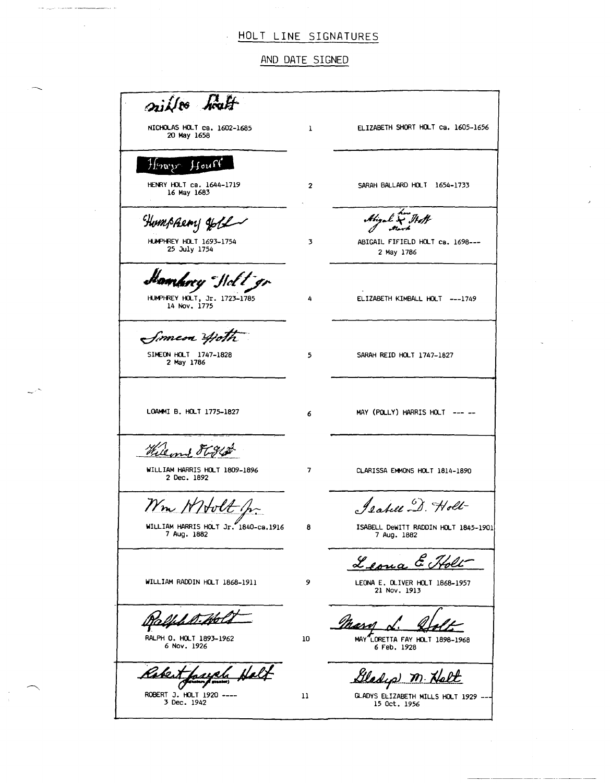#### HOLT LINE SIGNATURES

AND DATE SIGNED

~ *.n iiI*  NICHOLAS HOLT ca. 1602-1685 ELIZABETH SHORT HOLT ca. 1605-1656 1 20 May 1658  $\mathcal{H}$ erv $\mathcal{V}$  $Houff$ HENRY HOLT ca. 1644-1719 SARAH BALLARO HOLT 1654-1733 2 16 May 1683  $\overline{\phantom{a}}$ .  $\overline{\phantom{a}}$ Humphery Joble  $\stackrel{\scriptstyle \ell}{\sim} \stackrel{\scriptstyle \jmath}{\sim} \stackrel{\scriptstyle \ell}{\sim}$ HUMPHREY HOLT 1693-1754 3 ABIGAIL FIFIELO HOLT ca. 1698--- 25 July 1754 2 May 1786 ambrey Holt gr HUMPHREY HOLT, Jr. 1723-1785 4 ELIZABETH KIMBALL HOLT ---1749 14 Nov. 1775 Simeon Hoth SIMEON HOLT 1747-1828 5 SARAH REID HOLT 1747-1827 2 May 1786 LOAMMI B. HOLT 1775-1827 MAY (POLLY) HARRIS HOLT --- --6 William & F G Stat 7 WILLIAM HARRIS HOLT 1809-1896 2 Dec. 1892 CLARISSA EMMONS HOLT 1814-1890 Isabell D. Holl-Nm WHolt WILLIAM HARRIS HOLT Jr. 1840-ca.1916 ISABELL DeWITT RADOIN HOLT 1845-1901 8 7 Aug. 1882 7 Aug. 1882 Leona E i Tholt WILLIAM RADDIN HOLT 1868-1911 9 LEONA E. OLIVER HOLT 1868-1957 21 Nov. 1913 <u>lJalfsh</u> Ko Massed d. Well RALPH O. HOLT 1893-1962 10 6 Nov. 1926 6 Feb. 1928 <u>ah</u> Cladip M. Halt hal Kabe ROBERT J. HOLT 1920 ----<br>3 Dec. 1942 11 GLADYS ELIZABETH MILLS HOLT 1929 -- 15 Oct. 1956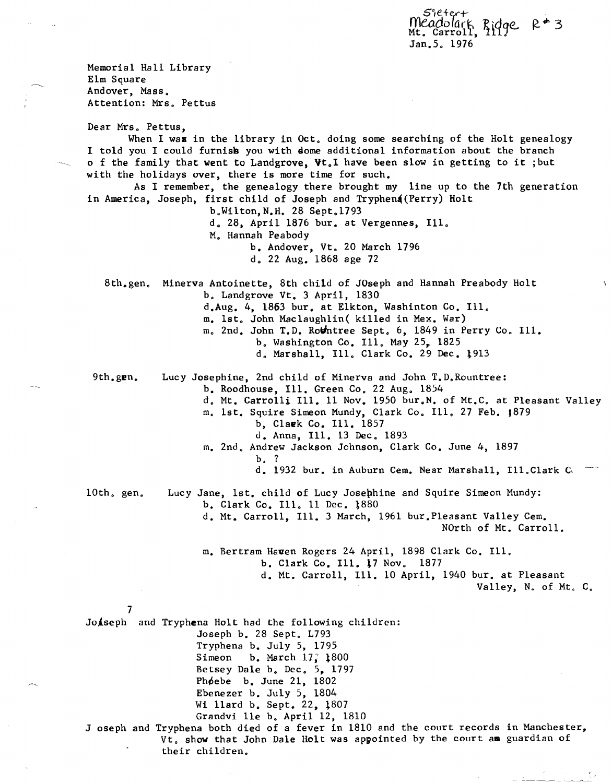s)eter'+ meadolark Ridge R<sup>#</sup>3 Jan.5. 1976

Memorial Hall Library Elm Square Andover, Mass. Attention: Mrs. Pettus Dear Mrs. Pettus, When I was in the library in Oct. doing some searching of the Holt genealogy I told you I could furnisk you with dome additional information about the branch o f the family that went to Landgrove, Vt. I have been slow in getting to it ; but with the holidays over, there is more time for such. As I remember, the genealogy there brought my line up to the 7th generation in America, Joseph, first child of Joseph and Tryphena (Perry) Holt b.Wilton,N.H. 28 Sept.1793  $d_a$  28, April 1876 bur. at Vergennes, Ill. M. Hannah Peabody b. Andover, Vt. 20 March 1796 d. 22 Aug. 1868 age 72 8th. gen. Minerva Antoinette, 8th child of JOseph and Hannah Preabody Holt b. Landgrove Vt. 3 April, 1830 9th.gen. 10th. gen. 7 d.Aug. 4, 1863 bur. at Elkton, Washinton Co. Ill. m. 1st. John Maclaughlin( killed in Mex. War) m. 2nd. John T.D. Rothtree Sept. 6, 1849 in Perry Co. Ill. b. Washington Co. Ill. May 25, 1825 d. Marshall, Ill. Clark Co. 29 Dec. 1913 Lucy Josephine, 2nd child of Minerva and John T.D.Rountree: b. Roodhouse, Ill. Green Co. 22 Aug. 1854 d. Mt. Carrolli Ill. 11 Nov. 1950 bur.N. of Mt.C. at Pleasant Valley m. 1st. Squire Simeon Mundy, Clark Co. Ill. 27 Feb. 1879 b, Claek Co. Ill. 1857 d. Anna, Ill. 13 Dec. 1893 m. 2nd. Andrew Jackson Johnson, Clark Co. June 4, 1897 b. ? d. 1932 bur. in Auburn Cem. Near Marshall, Ill.Clark C, Lucy Jane, 1st. child of Lucy Josephine and Squire Simeon Mundy: b. Clark Co. Ill. 11 Dec. 1880 d. Mt. Carroll, Ill. 3 March, 1961 bur.Pleasant Valley Cem. NOrth of Mt. Carroll. m. Bertram Haven Rogers 24 April, 1898 Clark Co. Ill. b. Clark Co. Ill. 17 Nov. 1877 d. Mt. Carroll, Ill. 10 April, 1940 bur. at Pleasant Valley, N. of Mt. C. Jo*iseph* and Tryphena Holt had the following children: Joseph b. 28 Sept. L793 Tryphena b. July 5, 1795 Simeon b. March  $17$ ;  $1800$ Betsey Dale b. Dec. 5, 1797 Phoebe b. June  $21, 1802$ Ebenezer b. July 5, 1804 Wi llard b. Sept. 22, 1807 Grandvi lle b. April 12, 1810 J oseph and Tryphena both died of a fever in 1810 and the court records in Manchester, Vt. show that John Dale Holt was appointed by the court aa guardian of their children.